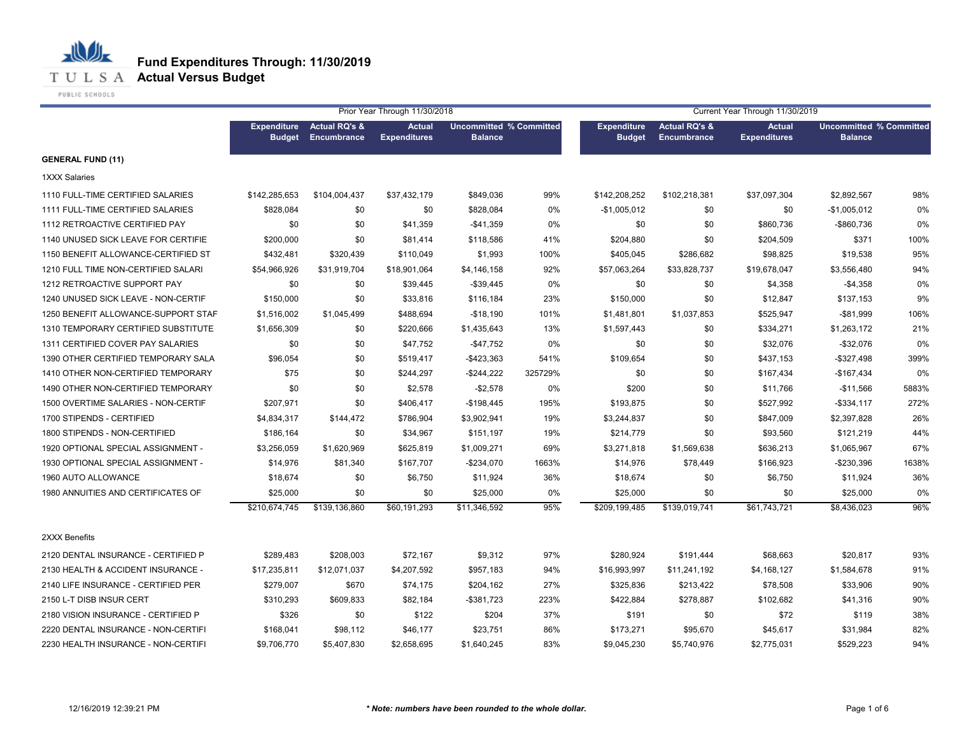

PUBLIC SCHOOLS

|                                     | Prior Year Through 11/30/2018       |                                                |                                      |                                                  |         | Current Year Through 11/30/2019     |                                                |                                      |                                                  |       |  |
|-------------------------------------|-------------------------------------|------------------------------------------------|--------------------------------------|--------------------------------------------------|---------|-------------------------------------|------------------------------------------------|--------------------------------------|--------------------------------------------------|-------|--|
|                                     | <b>Expenditure</b><br><b>Budget</b> | <b>Actual RQ's &amp;</b><br><b>Encumbrance</b> | <b>Actual</b><br><b>Expenditures</b> | <b>Uncommitted % Committed</b><br><b>Balance</b> |         | <b>Expenditure</b><br><b>Budget</b> | <b>Actual RQ's &amp;</b><br><b>Encumbrance</b> | <b>Actual</b><br><b>Expenditures</b> | <b>Uncommitted % Committed</b><br><b>Balance</b> |       |  |
| <b>GENERAL FUND (11)</b>            |                                     |                                                |                                      |                                                  |         |                                     |                                                |                                      |                                                  |       |  |
| <b>1XXX Salaries</b>                |                                     |                                                |                                      |                                                  |         |                                     |                                                |                                      |                                                  |       |  |
| 1110 FULL-TIME CERTIFIED SALARIES   | \$142,285,653                       | \$104,004,437                                  | \$37,432,179                         | \$849,036                                        | 99%     | \$142,208,252                       | \$102,218,381                                  | \$37,097,304                         | \$2,892,567                                      | 98%   |  |
| 1111 FULL-TIME CERTIFIED SALARIES   | \$828,084                           | \$0                                            | \$0                                  | \$828,084                                        | 0%      | $-$1,005,012$                       | \$0                                            | \$0                                  | $-$1,005,012$                                    | 0%    |  |
| 1112 RETROACTIVE CERTIFIED PAY      | \$0                                 | \$0                                            | \$41,359                             | $-$41,359$                                       | 0%      | \$0                                 | \$0                                            | \$860,736                            | -\$860,736                                       | 0%    |  |
| 1140 UNUSED SICK LEAVE FOR CERTIFIE | \$200,000                           | \$0                                            | \$81,414                             | \$118,586                                        | 41%     | \$204,880                           | \$0                                            | \$204,509                            | \$371                                            | 100%  |  |
| 1150 BENEFIT ALLOWANCE-CERTIFIED ST | \$432,481                           | \$320,439                                      | \$110,049                            | \$1,993                                          | 100%    | \$405,045                           | \$286,682                                      | \$98,825                             | \$19,538                                         | 95%   |  |
| 1210 FULL TIME NON-CERTIFIED SALARI | \$54,966,926                        | \$31,919,704                                   | \$18,901,064                         | \$4,146,158                                      | 92%     | \$57,063,264                        | \$33,828,737                                   | \$19,678,047                         | \$3,556,480                                      | 94%   |  |
| 1212 RETROACTIVE SUPPORT PAY        | \$0                                 | \$0                                            | \$39,445                             | $-$ \$39,445                                     | 0%      | \$0                                 | \$0                                            | \$4,358                              | $-$4,358$                                        | $0\%$ |  |
| 1240 UNUSED SICK LEAVE - NON-CERTIF | \$150,000                           | \$0                                            | \$33,816                             | \$116,184                                        | 23%     | \$150,000                           | \$0                                            | \$12,847                             | \$137,153                                        | 9%    |  |
| 1250 BENEFIT ALLOWANCE-SUPPORT STAF | \$1,516,002                         | \$1,045,499                                    | \$488,694                            | $-$18,190$                                       | 101%    | \$1,481,801                         | \$1,037,853                                    | \$525,947                            | $-$ \$81,999                                     | 106%  |  |
| 1310 TEMPORARY CERTIFIED SUBSTITUTE | \$1,656,309                         | \$0                                            | \$220,666                            | \$1,435,643                                      | 13%     | \$1,597,443                         | \$0                                            | \$334,271                            | \$1,263,172                                      | 21%   |  |
| 1311 CERTIFIED COVER PAY SALARIES   | \$0                                 | \$0                                            | \$47,752                             | $-$ \$47,752                                     | 0%      | \$0                                 | \$0                                            | \$32,076                             | $-$ \$32,076                                     | $0\%$ |  |
| 1390 OTHER CERTIFIED TEMPORARY SALA | \$96,054                            | \$0                                            | \$519,417                            | $-$ \$423,363                                    | 541%    | \$109,654                           | \$0                                            | \$437,153                            | $-$ \$327,498                                    | 399%  |  |
| 1410 OTHER NON-CERTIFIED TEMPORARY  | \$75                                | \$0                                            | \$244,297                            | $-$244,222$                                      | 325729% | \$0                                 | \$0                                            | \$167,434                            | $-$167,434$                                      | 0%    |  |
| 1490 OTHER NON-CERTIFIED TEMPORARY  | \$0                                 | \$0                                            | \$2,578                              | $-$2,578$                                        | 0%      | \$200                               | \$0                                            | \$11,766                             | $-$11,566$                                       | 5883% |  |
| 1500 OVERTIME SALARIES - NON-CERTIF | \$207,971                           | \$0                                            | \$406,417                            | $-$198,445$                                      | 195%    | \$193,875                           | \$0                                            | \$527,992                            | $-$ \$334,117                                    | 272%  |  |
| 1700 STIPENDS - CERTIFIED           | \$4,834,317                         | \$144,472                                      | \$786,904                            | \$3,902,941                                      | 19%     | \$3,244,837                         | \$0                                            | \$847,009                            | \$2,397,828                                      | 26%   |  |
| 1800 STIPENDS - NON-CERTIFIED       | \$186,164                           | \$0                                            | \$34,967                             | \$151,197                                        | 19%     | \$214,779                           | \$0                                            | \$93,560                             | \$121,219                                        | 44%   |  |
| 1920 OPTIONAL SPECIAL ASSIGNMENT -  | \$3,256,059                         | \$1,620,969                                    | \$625,819                            | \$1,009,271                                      | 69%     | \$3,271,818                         | \$1,569,638                                    | \$636,213                            | \$1,065,967                                      | 67%   |  |
| 1930 OPTIONAL SPECIAL ASSIGNMENT -  | \$14,976                            | \$81,340                                       | \$167,707                            | $-$234,070$                                      | 1663%   | \$14,976                            | \$78,449                                       | \$166,923                            | -\$230,396                                       | 1638% |  |
| 1960 AUTO ALLOWANCE                 | \$18,674                            | \$0                                            | \$6,750                              | \$11,924                                         | 36%     | \$18,674                            | \$0                                            | \$6,750                              | \$11,924                                         | 36%   |  |
| 1980 ANNUITIES AND CERTIFICATES OF  | \$25,000                            | \$0                                            | \$0                                  | \$25,000                                         | 0%      | \$25,000                            | \$0                                            | \$0                                  | \$25,000                                         | 0%    |  |
|                                     | \$210,674,745                       | \$139,136,860                                  | \$60,191,293                         | \$11,346,592                                     | 95%     | \$209,199,485                       | \$139,019,741                                  | \$61,743,721                         | \$8,436,023                                      | 96%   |  |
| 2XXX Benefits                       |                                     |                                                |                                      |                                                  |         |                                     |                                                |                                      |                                                  |       |  |
| 2120 DENTAL INSURANCE - CERTIFIED P | \$289.483                           | \$208,003                                      | \$72,167                             | \$9.312                                          | 97%     | \$280,924                           | \$191,444                                      | \$68,663                             | \$20,817                                         | 93%   |  |
| 2130 HEALTH & ACCIDENT INSURANCE -  | \$17,235,811                        | \$12,071,037                                   | \$4,207,592                          | \$957,183                                        | 94%     | \$16,993,997                        | \$11,241,192                                   | \$4,168,127                          | \$1,584,678                                      | 91%   |  |
| 2140 LIFE INSURANCE - CERTIFIED PER | \$279,007                           | \$670                                          | \$74,175                             | \$204,162                                        | 27%     | \$325,836                           | \$213,422                                      | \$78,508                             | \$33,906                                         | 90%   |  |
| 2150 L-T DISB INSUR CERT            | \$310,293                           | \$609,833                                      | \$82,184                             | $-$ \$381,723                                    | 223%    | \$422,884                           | \$278,887                                      | \$102,682                            | \$41,316                                         | 90%   |  |
| 2180 VISION INSURANCE - CERTIFIED P | \$326                               | \$0                                            | \$122                                | \$204                                            | 37%     | \$191                               | \$0                                            | \$72                                 | \$119                                            | 38%   |  |
| 2220 DENTAL INSURANCE - NON-CERTIFI | \$168,041                           | \$98,112                                       | \$46,177                             | \$23,751                                         | 86%     | \$173,271                           | \$95,670                                       | \$45,617                             | \$31,984                                         | 82%   |  |
| 2230 HEALTH INSURANCE - NON-CERTIFI | \$9,706,770                         | \$5,407,830                                    | \$2,658,695                          | \$1,640,245                                      | 83%     | \$9,045,230                         | \$5,740,976                                    | \$2,775,031                          | \$529,223                                        | 94%   |  |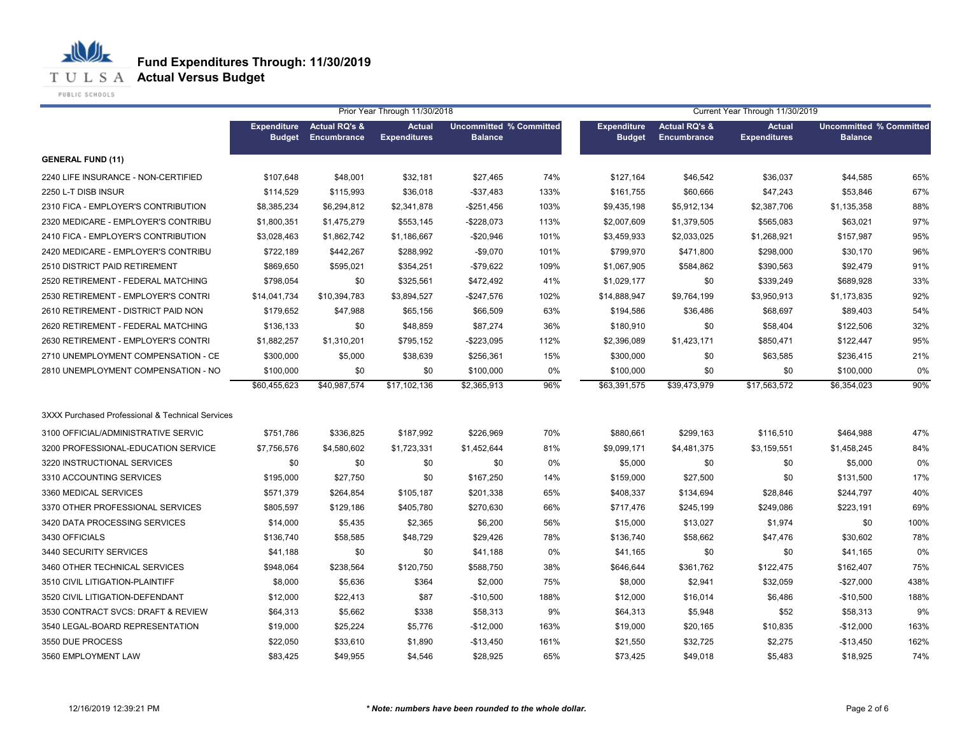**Fund Expenditures Through: 11/30/2019**

**T U L S A Actual Versus Budget** 

PUBLIC SCHOOLS

|                                                  |                                     |                                         | Prior Year Through 11/30/2018        |                                                  |       |                                     |                                                | Current Year Through 11/30/2019      |                                                  |      |
|--------------------------------------------------|-------------------------------------|-----------------------------------------|--------------------------------------|--------------------------------------------------|-------|-------------------------------------|------------------------------------------------|--------------------------------------|--------------------------------------------------|------|
|                                                  | <b>Expenditure</b><br><b>Budget</b> | <b>Actual RQ's &amp;</b><br>Encumbrance | <b>Actual</b><br><b>Expenditures</b> | <b>Uncommitted % Committed</b><br><b>Balance</b> |       | <b>Expenditure</b><br><b>Budget</b> | <b>Actual RQ's &amp;</b><br><b>Encumbrance</b> | <b>Actual</b><br><b>Expenditures</b> | <b>Uncommitted % Committed</b><br><b>Balance</b> |      |
| <b>GENERAL FUND (11)</b>                         |                                     |                                         |                                      |                                                  |       |                                     |                                                |                                      |                                                  |      |
| 2240 LIFE INSURANCE - NON-CERTIFIED              | \$107,648                           | \$48,001                                | \$32,181                             | \$27,465                                         | 74%   | \$127,164                           | \$46,542                                       | \$36,037                             | \$44,585                                         | 65%  |
| 2250 L-T DISB INSUR                              | \$114,529                           | \$115,993                               | \$36,018                             | $-$37,483$                                       | 133%  | \$161,755                           | \$60,666                                       | \$47,243                             | \$53,846                                         | 67%  |
| 2310 FICA - EMPLOYER'S CONTRIBUTION              | \$8,385,234                         | \$6,294,812                             | \$2,341,878                          | $-$251,456$                                      | 103%  | \$9,435,198                         | \$5,912,134                                    | \$2,387,706                          | \$1,135,358                                      | 88%  |
| 2320 MEDICARE - EMPLOYER'S CONTRIBU              | \$1,800,351                         | \$1,475,279                             | \$553,145                            | $-$228,073$                                      | 113%  | \$2,007,609                         | \$1,379,505                                    | \$565,083                            | \$63.021                                         | 97%  |
| 2410 FICA - EMPLOYER'S CONTRIBUTION              | \$3,028,463                         | \$1,862,742                             | \$1,186,667                          | $-$20,946$                                       | 101%  | \$3.459.933                         | \$2,033,025                                    | \$1,268,921                          | \$157,987                                        | 95%  |
| 2420 MEDICARE - EMPLOYER'S CONTRIBU              | \$722.189                           | \$442,267                               | \$288.992                            | $-$9,070$                                        | 101%  | \$799.970                           | \$471,800                                      | \$298,000                            | \$30,170                                         | 96%  |
| 2510 DISTRICT PAID RETIREMENT                    | \$869.650                           | \$595,021                               | \$354,251                            | $-$79,622$                                       | 109%  | \$1,067,905                         | \$584,862                                      | \$390,563                            | \$92,479                                         | 91%  |
| 2520 RETIREMENT - FEDERAL MATCHING               | \$798.054                           | \$0                                     | \$325.561                            | \$472,492                                        | 41%   | \$1,029,177                         | \$0                                            | \$339,249                            | \$689.928                                        | 33%  |
| 2530 RETIREMENT - EMPLOYER'S CONTRI              | \$14,041,734                        | \$10,394,783                            | \$3,894,527                          | $-$247,576$                                      | 102%  | \$14,888,947                        | \$9,764,199                                    | \$3,950,913                          | \$1,173,835                                      | 92%  |
| 2610 RETIREMENT - DISTRICT PAID NON              | \$179.652                           | \$47,988                                | \$65.156                             | \$66,509                                         | 63%   | \$194,586                           | \$36,486                                       | \$68,697                             | \$89,403                                         | 54%  |
| 2620 RETIREMENT - FEDERAL MATCHING               | \$136.133                           | \$0                                     | \$48,859                             | \$87,274                                         | 36%   | \$180,910                           | \$0                                            | \$58,404                             | \$122,506                                        | 32%  |
| 2630 RETIREMENT - EMPLOYER'S CONTRI              | \$1,882,257                         | \$1,310,201                             | \$795.152                            | $-$223,095$                                      | 112%  | \$2,396,089                         | \$1,423,171                                    | \$850.471                            | \$122,447                                        | 95%  |
| 2710 UNEMPLOYMENT COMPENSATION - CE              | \$300,000                           | \$5,000                                 | \$38.639                             | \$256,361                                        | 15%   | \$300,000                           | \$0                                            | \$63,585                             | \$236.415                                        | 21%  |
| 2810 UNEMPLOYMENT COMPENSATION - NO              | \$100,000                           | \$0                                     | \$0                                  | \$100,000                                        | $0\%$ | \$100,000                           | \$0                                            | \$0                                  | \$100,000                                        | 0%   |
|                                                  | \$60.455.623                        | \$40,987,574                            | \$17,102,136                         | \$2,365,913                                      | 96%   | \$63,391,575                        | \$39,473,979                                   | \$17,563,572                         | \$6.354.023                                      | 90%  |
| 3XXX Purchased Professional & Technical Services |                                     |                                         |                                      |                                                  |       |                                     |                                                |                                      |                                                  |      |
| 3100 OFFICIAL/ADMINISTRATIVE SERVIC              | \$751,786                           | \$336,825                               | \$187,992                            | \$226,969                                        | 70%   | \$880,661                           | \$299,163                                      | \$116,510                            | \$464,988                                        | 47%  |
| 3200 PROFESSIONAL-EDUCATION SERVICE              | \$7,756,576                         | \$4,580,602                             | \$1,723,331                          | \$1,452,644                                      | 81%   | \$9,099,171                         | \$4,481,375                                    | \$3,159,551                          | \$1,458,245                                      | 84%  |
| 3220 INSTRUCTIONAL SERVICES                      | \$0                                 | \$0                                     | \$0                                  | \$0                                              | 0%    | \$5,000                             | \$0                                            | \$0                                  | \$5,000                                          | 0%   |
| 3310 ACCOUNTING SERVICES                         | \$195,000                           | \$27,750                                | \$0                                  | \$167,250                                        | 14%   | \$159,000                           | \$27,500                                       | \$0                                  | \$131,500                                        | 17%  |
| 3360 MEDICAL SERVICES                            | \$571,379                           | \$264,854                               | \$105,187                            | \$201,338                                        | 65%   | \$408,337                           | \$134,694                                      | \$28,846                             | \$244,797                                        | 40%  |
| 3370 OTHER PROFESSIONAL SERVICES                 | \$805,597                           | \$129,186                               | \$405,780                            | \$270,630                                        | 66%   | \$717,476                           | \$245,199                                      | \$249,086                            | \$223,191                                        | 69%  |
| 3420 DATA PROCESSING SERVICES                    | \$14,000                            | \$5,435                                 | \$2,365                              | \$6,200                                          | 56%   | \$15,000                            | \$13,027                                       | \$1,974                              | \$0                                              | 100% |
| 3430 OFFICIALS                                   | \$136,740                           | \$58,585                                | \$48,729                             | \$29,426                                         | 78%   | \$136,740                           | \$58,662                                       | \$47,476                             | \$30,602                                         | 78%  |
| 3440 SECURITY SERVICES                           | \$41,188                            | \$0                                     | \$0                                  | \$41,188                                         | 0%    | \$41,165                            | \$0                                            | \$0                                  | \$41,165                                         | 0%   |
| 3460 OTHER TECHNICAL SERVICES                    | \$948,064                           | \$238,564                               | \$120,750                            | \$588,750                                        | 38%   | \$646,644                           | \$361,762                                      | \$122,475                            | \$162,407                                        | 75%  |
| 3510 CIVIL LITIGATION-PLAINTIFF                  | \$8,000                             | \$5,636                                 | \$364                                | \$2,000                                          | 75%   | \$8,000                             | \$2,941                                        | \$32,059                             | $-$27,000$                                       | 438% |
| 3520 CIVIL LITIGATION-DEFENDANT                  | \$12,000                            | \$22,413                                | \$87                                 | $-$10,500$                                       | 188%  | \$12,000                            | \$16,014                                       | \$6,486                              | $-$10,500$                                       | 188% |
| 3530 CONTRACT SVCS: DRAFT & REVIEW               | \$64,313                            | \$5,662                                 | \$338                                | \$58,313                                         | 9%    | \$64,313                            | \$5,948                                        | \$52                                 | \$58,313                                         | 9%   |
| 3540 LEGAL-BOARD REPRESENTATION                  | \$19,000                            | \$25,224                                | \$5,776                              | $-$12,000$                                       | 163%  | \$19,000                            | \$20,165                                       | \$10,835                             | $-$12,000$                                       | 163% |
| 3550 DUE PROCESS                                 | \$22,050                            | \$33,610                                | \$1,890                              | $-$13,450$                                       | 161%  | \$21,550                            | \$32,725                                       | \$2,275                              | $-$13,450$                                       | 162% |
| 3560 EMPLOYMENT LAW                              | \$83,425                            | \$49,955                                | \$4,546                              | \$28,925                                         | 65%   | \$73,425                            | \$49,018                                       | \$5,483                              | \$18,925                                         | 74%  |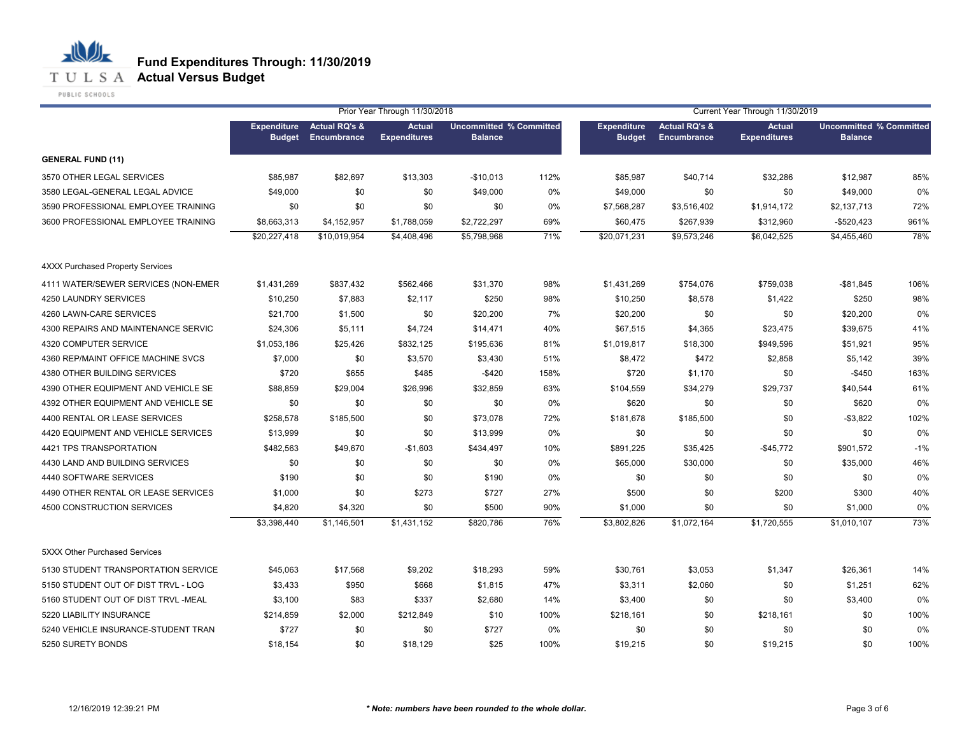

PUBLIC SCHOOLS

|                                         |                                     |                                         | Prior Year Through 11/30/2018        |                                                  |      | Current Year Through 11/30/2019     |                                         |                                      |                                                  |       |
|-----------------------------------------|-------------------------------------|-----------------------------------------|--------------------------------------|--------------------------------------------------|------|-------------------------------------|-----------------------------------------|--------------------------------------|--------------------------------------------------|-------|
|                                         | <b>Expenditure</b><br><b>Budget</b> | <b>Actual RQ's &amp;</b><br>Encumbrance | <b>Actual</b><br><b>Expenditures</b> | <b>Uncommitted % Committed</b><br><b>Balance</b> |      | <b>Expenditure</b><br><b>Budget</b> | <b>Actual RQ's &amp;</b><br>Encumbrance | <b>Actual</b><br><b>Expenditures</b> | <b>Uncommitted % Committed</b><br><b>Balance</b> |       |
| <b>GENERAL FUND (11)</b>                |                                     |                                         |                                      |                                                  |      |                                     |                                         |                                      |                                                  |       |
| 3570 OTHER LEGAL SERVICES               | \$85,987                            | \$82,697                                | \$13,303                             | $-$10,013$                                       | 112% | \$85,987                            | \$40,714                                | \$32,286                             | \$12,987                                         | 85%   |
| 3580 LEGAL-GENERAL LEGAL ADVICE         | \$49,000                            | \$0                                     | \$0                                  | \$49,000                                         | 0%   | \$49,000                            | \$0                                     | \$0                                  | \$49,000                                         | 0%    |
| 3590 PROFESSIONAL EMPLOYEE TRAINING     | \$0                                 | \$0                                     | \$0                                  | \$0                                              | 0%   | \$7,568,287                         | \$3,516,402                             | \$1,914,172                          | \$2,137,713                                      | 72%   |
| 3600 PROFESSIONAL EMPLOYEE TRAINING     | \$8,663,313                         | \$4,152,957                             | \$1,788,059                          | \$2,722,297                                      | 69%  | \$60,475                            | \$267,939                               | \$312,960                            | $-$520,423$                                      | 961%  |
|                                         | \$20,227,418                        | \$10,019,954                            | \$4,408,496                          | \$5,798,968                                      | 71%  | \$20,071,231                        | \$9,573,246                             | \$6,042,525                          | \$4,455,460                                      | 78%   |
| <b>4XXX Purchased Property Services</b> |                                     |                                         |                                      |                                                  |      |                                     |                                         |                                      |                                                  |       |
| 4111 WATER/SEWER SERVICES (NON-EMER     | \$1,431,269                         | \$837,432                               | \$562,466                            | \$31,370                                         | 98%  | \$1,431,269                         | \$754,076                               | \$759,038                            | $-$81,845$                                       | 106%  |
| 4250 LAUNDRY SERVICES                   | \$10,250                            | \$7,883                                 | \$2,117                              | \$250                                            | 98%  | \$10,250                            | \$8,578                                 | \$1,422                              | \$250                                            | 98%   |
| 4260 LAWN-CARE SERVICES                 | \$21,700                            | \$1,500                                 | \$0                                  | \$20,200                                         | 7%   | \$20,200                            | \$0                                     | \$0                                  | \$20,200                                         | 0%    |
| 4300 REPAIRS AND MAINTENANCE SERVIC     | \$24,306                            | \$5,111                                 | \$4,724                              | \$14,471                                         | 40%  | \$67,515                            | \$4,365                                 | \$23,475                             | \$39,675                                         | 41%   |
| 4320 COMPUTER SERVICE                   | \$1,053,186                         | \$25,426                                | \$832,125                            | \$195,636                                        | 81%  | \$1,019,817                         | \$18,300                                | \$949,596                            | \$51,921                                         | 95%   |
| 4360 REP/MAINT OFFICE MACHINE SVCS      | \$7,000                             | \$0                                     | \$3,570                              | \$3,430                                          | 51%  | \$8,472                             | \$472                                   | \$2,858                              | \$5,142                                          | 39%   |
| 4380 OTHER BUILDING SERVICES            | \$720                               | \$655                                   | \$485                                | $-$420$                                          | 158% | \$720                               | \$1,170                                 | \$0                                  | $-$450$                                          | 163%  |
| 4390 OTHER EQUIPMENT AND VEHICLE SE     | \$88,859                            | \$29,004                                | \$26,996                             | \$32,859                                         | 63%  | \$104,559                           | \$34,279                                | \$29,737                             | \$40,544                                         | 61%   |
| 4392 OTHER EQUIPMENT AND VEHICLE SE     | \$0                                 | \$0                                     | \$0                                  | \$0                                              | 0%   | \$620                               | \$0                                     | \$0                                  | \$620                                            | 0%    |
| 4400 RENTAL OR LEASE SERVICES           | \$258,578                           | \$185,500                               | \$0                                  | \$73,078                                         | 72%  | \$181,678                           | \$185,500                               | \$0                                  | $-$3,822$                                        | 102%  |
| 4420 EQUIPMENT AND VEHICLE SERVICES     | \$13,999                            | \$0                                     | \$0                                  | \$13,999                                         | 0%   | \$0                                 | \$0                                     | \$0                                  | \$0                                              | 0%    |
| 4421 TPS TRANSPORTATION                 | \$482,563                           | \$49,670                                | $-$1,603$                            | \$434,497                                        | 10%  | \$891,225                           | \$35,425                                | $-$45,772$                           | \$901,572                                        | $-1%$ |
| 4430 LAND AND BUILDING SERVICES         | \$0                                 | \$0                                     | \$0                                  | \$0                                              | 0%   | \$65,000                            | \$30,000                                | \$0                                  | \$35,000                                         | 46%   |
| 4440 SOFTWARE SERVICES                  | \$190                               | \$0                                     | \$0                                  | \$190                                            | 0%   | \$0                                 | \$0                                     | \$0                                  | \$0                                              | 0%    |
| 4490 OTHER RENTAL OR LEASE SERVICES     | \$1,000                             | \$0                                     | \$273                                | \$727                                            | 27%  | \$500                               | \$0                                     | \$200                                | \$300                                            | 40%   |
| 4500 CONSTRUCTION SERVICES              | \$4,820                             | \$4,320                                 | \$0                                  | \$500                                            | 90%  | \$1,000                             | \$0                                     | \$0                                  | \$1,000                                          | 0%    |
|                                         | \$3,398,440                         | \$1,146,501                             | \$1,431,152                          | \$820,786                                        | 76%  | \$3,802,826                         | \$1,072,164                             | \$1,720,555                          | \$1,010,107                                      | 73%   |
| 5XXX Other Purchased Services           |                                     |                                         |                                      |                                                  |      |                                     |                                         |                                      |                                                  |       |
| 5130 STUDENT TRANSPORTATION SERVICE     | \$45,063                            | \$17,568                                | \$9,202                              | \$18,293                                         | 59%  | \$30,761                            | \$3,053                                 | \$1,347                              | \$26,361                                         | 14%   |
| 5150 STUDENT OUT OF DIST TRVL - LOG     | \$3,433                             | \$950                                   | \$668                                | \$1,815                                          | 47%  | \$3,311                             | \$2,060                                 | \$0                                  | \$1,251                                          | 62%   |
| 5160 STUDENT OUT OF DIST TRVL -MEAL     | \$3,100                             | \$83                                    | \$337                                | \$2,680                                          | 14%  | \$3,400                             | \$0                                     | \$0                                  | \$3,400                                          | 0%    |
| 5220 LIABILITY INSURANCE                | \$214.859                           | \$2,000                                 | \$212,849                            | \$10                                             | 100% | \$218,161                           | \$0                                     | \$218,161                            | \$0                                              | 100%  |
| 5240 VEHICLE INSURANCE-STUDENT TRAN     | \$727                               | \$0                                     | \$0                                  | \$727                                            | 0%   | \$0                                 | \$0                                     | \$0                                  | \$0                                              | 0%    |
| 5250 SURETY BONDS                       | \$18,154                            | \$0                                     | \$18,129                             | \$25                                             | 100% | \$19,215                            | \$0                                     | \$19,215                             | \$0                                              | 100%  |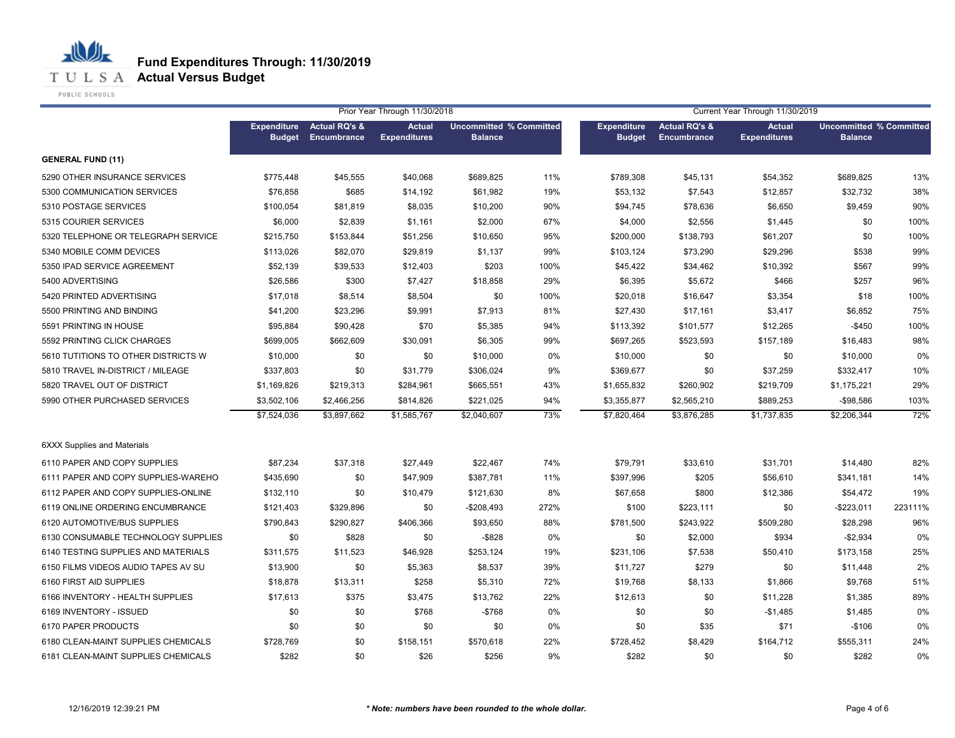**Fund Expenditures Through: 11/30/2019**

**T U L S A Actual Versus Budget** 

PUBLIC SCHOOLS

|                                     |                                     |                                         | Prior Year Through 11/30/2018        |                |                                |                                     |                                         | Current Year Through 11/30/2019 |                                                  |         |
|-------------------------------------|-------------------------------------|-----------------------------------------|--------------------------------------|----------------|--------------------------------|-------------------------------------|-----------------------------------------|---------------------------------|--------------------------------------------------|---------|
|                                     | <b>Expenditure</b><br><b>Budget</b> | <b>Actual RQ's &amp;</b><br>Encumbrance | <b>Actual</b><br><b>Expenditures</b> | <b>Balance</b> | <b>Uncommitted % Committed</b> | <b>Expenditure</b><br><b>Budget</b> | <b>Actual RQ's &amp;</b><br>Encumbrance | Actual<br><b>Expenditures</b>   | <b>Uncommitted % Committed</b><br><b>Balance</b> |         |
| <b>GENERAL FUND (11)</b>            |                                     |                                         |                                      |                |                                |                                     |                                         |                                 |                                                  |         |
| 5290 OTHER INSURANCE SERVICES       | \$775,448                           | \$45,555                                | \$40,068                             | \$689,825      | 11%                            | \$789,308                           | \$45,131                                | \$54,352                        | \$689,825                                        | 13%     |
| 5300 COMMUNICATION SERVICES         | \$76,858                            | \$685                                   | \$14,192                             | \$61,982       | 19%                            | \$53,132                            | \$7,543                                 | \$12,857                        | \$32,732                                         | 38%     |
| 5310 POSTAGE SERVICES               | \$100,054                           | \$81,819                                | \$8,035                              | \$10,200       | 90%                            | \$94,745                            | \$78,636                                | \$6,650                         | \$9,459                                          | 90%     |
| 5315 COURIER SERVICES               | \$6,000                             | \$2,839                                 | \$1,161                              | \$2,000        | 67%                            | \$4,000                             | \$2,556                                 | \$1,445                         | \$0                                              | 100%    |
| 5320 TELEPHONE OR TELEGRAPH SERVICE | \$215,750                           | \$153,844                               | \$51,256                             | \$10,650       | 95%                            | \$200,000                           | \$138,793                               | \$61,207                        | \$0                                              | 100%    |
| 5340 MOBILE COMM DEVICES            | \$113,026                           | \$82,070                                | \$29,819                             | \$1,137        | 99%                            | \$103,124                           | \$73,290                                | \$29,296                        | \$538                                            | 99%     |
| 5350 IPAD SERVICE AGREEMENT         | \$52,139                            | \$39,533                                | \$12,403                             | \$203          | 100%                           | \$45,422                            | \$34,462                                | \$10,392                        | \$567                                            | 99%     |
| 5400 ADVERTISING                    | \$26,586                            | \$300                                   | \$7,427                              | \$18,858       | 29%                            | \$6,395                             | \$5,672                                 | \$466                           | \$257                                            | 96%     |
| 5420 PRINTED ADVERTISING            | \$17,018                            | \$8,514                                 | \$8,504                              | \$0            | 100%                           | \$20,018                            | \$16,647                                | \$3,354                         | \$18                                             | 100%    |
| 5500 PRINTING AND BINDING           | \$41,200                            | \$23,296                                | \$9,991                              | \$7,913        | 81%                            | \$27,430                            | \$17,161                                | \$3,417                         | \$6,852                                          | 75%     |
| 5591 PRINTING IN HOUSE              | \$95,884                            | \$90,428                                | \$70                                 | \$5,385        | 94%                            | \$113,392                           | \$101,577                               | \$12,265                        | $-$450$                                          | 100%    |
| 5592 PRINTING CLICK CHARGES         | \$699,005                           | \$662,609                               | \$30,091                             | \$6,305        | 99%                            | \$697,265                           | \$523,593                               | \$157,189                       | \$16,483                                         | 98%     |
| 5610 TUTITIONS TO OTHER DISTRICTS W | \$10,000                            | \$0                                     | \$0                                  | \$10,000       | 0%                             | \$10,000                            | \$0                                     | \$0                             | \$10,000                                         | 0%      |
| 5810 TRAVEL IN-DISTRICT / MILEAGE   | \$337,803                           | \$0                                     | \$31,779                             | \$306,024      | 9%                             | \$369,677                           | \$0                                     | \$37,259                        | \$332,417                                        | 10%     |
| 5820 TRAVEL OUT OF DISTRICT         | \$1,169,826                         | \$219,313                               | \$284,961                            | \$665,551      | 43%                            | \$1,655,832                         | \$260,902                               | \$219,709                       | \$1,175,221                                      | 29%     |
| 5990 OTHER PURCHASED SERVICES       | \$3,502,106                         | \$2,466,256                             | \$814,826                            | \$221,025      | 94%                            | \$3,355,877                         | \$2,565,210                             | \$889,253                       | $-$98,586$                                       | 103%    |
|                                     | \$7,524,036                         | \$3,897,662                             | \$1,585,767                          | \$2,040,607    | 73%                            | \$7,820,464                         | \$3,876,285                             | \$1,737,835                     | \$2,206,344                                      | 72%     |
| <b>6XXX Supplies and Materials</b>  |                                     |                                         |                                      |                |                                |                                     |                                         |                                 |                                                  |         |
| 6110 PAPER AND COPY SUPPLIES        | \$87,234                            | \$37,318                                | \$27,449                             | \$22,467       | 74%                            | \$79,791                            | \$33,610                                | \$31,701                        | \$14,480                                         | 82%     |
| 6111 PAPER AND COPY SUPPLIES-WAREHO | \$435,690                           | \$0                                     | \$47,909                             | \$387,781      | 11%                            | \$397,996                           | \$205                                   | \$56,610                        | \$341,181                                        | 14%     |
| 6112 PAPER AND COPY SUPPLIES-ONLINE | \$132,110                           | \$0                                     | \$10,479                             | \$121,630      | 8%                             | \$67,658                            | \$800                                   | \$12,386                        | \$54,472                                         | 19%     |
| 6119 ONLINE ORDERING ENCUMBRANCE    | \$121,403                           | \$329,896                               | \$0                                  | $-$208,493$    | 272%                           | \$100                               | \$223,111                               | \$0                             | $-$ \$223,011                                    | 223111% |
| 6120 AUTOMOTIVE/BUS SUPPLIES        | \$790,843                           | \$290,827                               | \$406,366                            | \$93,650       | 88%                            | \$781,500                           | \$243,922                               | \$509,280                       | \$28,298                                         | 96%     |
| 6130 CONSUMABLE TECHNOLOGY SUPPLIES | \$0                                 | \$828                                   | \$0                                  | $-$ \$828      | 0%                             | \$0                                 | \$2,000                                 | \$934                           | $-$2,934$                                        | 0%      |
| 6140 TESTING SUPPLIES AND MATERIALS | \$311,575                           | \$11,523                                | \$46,928                             | \$253,124      | 19%                            | \$231,106                           | \$7,538                                 | \$50,410                        | \$173,158                                        | 25%     |
| 6150 FILMS VIDEOS AUDIO TAPES AV SU | \$13,900                            | \$0                                     | \$5,363                              | \$8,537        | 39%                            | \$11,727                            | \$279                                   | \$0                             | \$11,448                                         | 2%      |
| 6160 FIRST AID SUPPLIES             | \$18,878                            | \$13,311                                | \$258                                | \$5,310        | 72%                            | \$19,768                            | \$8,133                                 | \$1,866                         | \$9,768                                          | 51%     |
| 6166 INVENTORY - HEALTH SUPPLIES    | \$17,613                            | \$375                                   | \$3,475                              | \$13,762       | 22%                            | \$12,613                            | \$0                                     | \$11,228                        | \$1,385                                          | 89%     |
| 6169 INVENTORY - ISSUED             | \$0                                 | \$0                                     | \$768                                | $-$ \$768      | 0%                             | \$0                                 | \$0                                     | $-$1,485$                       | \$1,485                                          | 0%      |
| 6170 PAPER PRODUCTS                 | \$0                                 | \$0                                     | \$0                                  | \$0            | 0%                             | \$0                                 | \$35                                    | \$71                            | $-$106$                                          | 0%      |
| 6180 CLEAN-MAINT SUPPLIES CHEMICALS | \$728,769                           | \$0                                     | \$158,151                            | \$570,618      | 22%                            | \$728,452                           | \$8,429                                 | \$164,712                       | \$555,311                                        | 24%     |
| 6181 CLEAN-MAINT SUPPLIES CHEMICALS | \$282                               | \$0                                     | \$26                                 | \$256          | 9%                             | \$282                               | \$0                                     | \$0                             | \$282                                            | 0%      |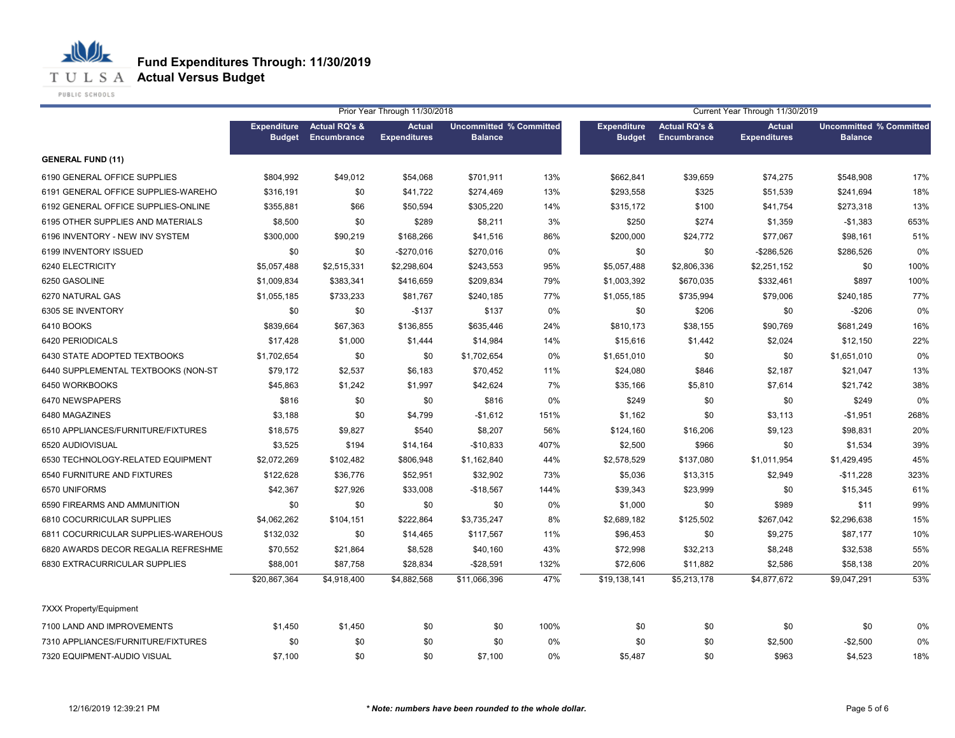**Fund Expenditures Through: 11/30/2019**

**T U L S A Actual Versus Budget** 

PUBLIC SCHOOLS

|                                     |                                     |                                         | Prior Year Through 11/30/2018        |                                                  |      | Current Year Through 11/30/2019     |                                         |                                      |                                                  |      |
|-------------------------------------|-------------------------------------|-----------------------------------------|--------------------------------------|--------------------------------------------------|------|-------------------------------------|-----------------------------------------|--------------------------------------|--------------------------------------------------|------|
|                                     | <b>Expenditure</b><br><b>Budget</b> | <b>Actual RQ's &amp;</b><br>Encumbrance | <b>Actual</b><br><b>Expenditures</b> | <b>Uncommitted % Committed</b><br><b>Balance</b> |      | <b>Expenditure</b><br><b>Budget</b> | <b>Actual RQ's &amp;</b><br>Encumbrance | <b>Actual</b><br><b>Expenditures</b> | <b>Uncommitted % Committed</b><br><b>Balance</b> |      |
| <b>GENERAL FUND (11)</b>            |                                     |                                         |                                      |                                                  |      |                                     |                                         |                                      |                                                  |      |
| 6190 GENERAL OFFICE SUPPLIES        | \$804,992                           | \$49,012                                | \$54,068                             | \$701,911                                        | 13%  | \$662,841                           | \$39,659                                | \$74,275                             | \$548,908                                        | 17%  |
| 6191 GENERAL OFFICE SUPPLIES-WAREHO | \$316,191                           | \$0                                     | \$41,722                             | \$274,469                                        | 13%  | \$293,558                           | \$325                                   | \$51,539                             | \$241,694                                        | 18%  |
| 6192 GENERAL OFFICE SUPPLIES-ONLINE | \$355,881                           | \$66                                    | \$50,594                             | \$305,220                                        | 14%  | \$315,172                           | \$100                                   | \$41,754                             | \$273,318                                        | 13%  |
| 6195 OTHER SUPPLIES AND MATERIALS   | \$8,500                             | \$0                                     | \$289                                | \$8,211                                          | 3%   | \$250                               | \$274                                   | \$1,359                              | $-$1,383$                                        | 653% |
| 6196 INVENTORY - NEW INV SYSTEM     | \$300,000                           | \$90,219                                | \$168,266                            | \$41,516                                         | 86%  | \$200,000                           | \$24,772                                | \$77,067                             | \$98,161                                         | 51%  |
| 6199 INVENTORY ISSUED               | \$0                                 | \$0                                     | $-$270,016$                          | \$270,016                                        | 0%   | \$0                                 | \$0                                     | $-$ \$286,526                        | \$286,526                                        | 0%   |
| 6240 ELECTRICITY                    | \$5,057,488                         | \$2,515,331                             | \$2,298,604                          | \$243,553                                        | 95%  | \$5,057,488                         | \$2,806,336                             | \$2,251,152                          | \$0                                              | 100% |
| 6250 GASOLINE                       | \$1,009,834                         | \$383,341                               | \$416,659                            | \$209,834                                        | 79%  | \$1,003,392                         | \$670,035                               | \$332,461                            | \$897                                            | 100% |
| 6270 NATURAL GAS                    | \$1,055,185                         | \$733,233                               | \$81,767                             | \$240,185                                        | 77%  | \$1,055,185                         | \$735,994                               | \$79,006                             | \$240,185                                        | 77%  |
| 6305 SE INVENTORY                   | \$0                                 | \$0                                     | $-$137$                              | \$137                                            | 0%   | \$0                                 | \$206                                   | \$0                                  | $-$206$                                          | 0%   |
| 6410 BOOKS                          | \$839,664                           | \$67,363                                | \$136,855                            | \$635,446                                        | 24%  | \$810,173                           | \$38,155                                | \$90,769                             | \$681,249                                        | 16%  |
| 6420 PERIODICALS                    | \$17,428                            | \$1,000                                 | \$1,444                              | \$14,984                                         | 14%  | \$15,616                            | \$1,442                                 | \$2,024                              | \$12,150                                         | 22%  |
| 6430 STATE ADOPTED TEXTBOOKS        | \$1,702,654                         | \$0                                     | \$0                                  | \$1,702,654                                      | 0%   | \$1,651,010                         | \$0                                     | \$0                                  | \$1,651,010                                      | 0%   |
| 6440 SUPPLEMENTAL TEXTBOOKS (NON-ST | \$79,172                            | \$2,537                                 | \$6,183                              | \$70,452                                         | 11%  | \$24,080                            | \$846                                   | \$2,187                              | \$21,047                                         | 13%  |
| 6450 WORKBOOKS                      | \$45,863                            | \$1,242                                 | \$1,997                              | \$42,624                                         | 7%   | \$35,166                            | \$5,810                                 | \$7,614                              | \$21,742                                         | 38%  |
| 6470 NEWSPAPERS                     | \$816                               | \$0                                     | \$0                                  | \$816                                            | 0%   | \$249                               | \$0                                     | \$0                                  | \$249                                            | 0%   |
| 6480 MAGAZINES                      | \$3,188                             | \$0                                     | \$4,799                              | $-$1,612$                                        | 151% | \$1,162                             | \$0                                     | \$3,113                              | $-$1,951$                                        | 268% |
| 6510 APPLIANCES/FURNITURE/FIXTURES  | \$18,575                            | \$9,827                                 | \$540                                | \$8,207                                          | 56%  | \$124,160                           | \$16,206                                | \$9,123                              | \$98,831                                         | 20%  |
| 6520 AUDIOVISUAL                    | \$3,525                             | \$194                                   | \$14,164                             | $-$10,833$                                       | 407% | \$2,500                             | \$966                                   | \$0                                  | \$1,534                                          | 39%  |
| 6530 TECHNOLOGY-RELATED EQUIPMENT   | \$2,072,269                         | \$102,482                               | \$806,948                            | \$1,162,840                                      | 44%  | \$2,578,529                         | \$137,080                               | \$1,011,954                          | \$1,429,495                                      | 45%  |
| 6540 FURNITURE AND FIXTURES         | \$122,628                           | \$36,776                                | \$52,951                             | \$32,902                                         | 73%  | \$5,036                             | \$13,315                                | \$2,949                              | $-$11,228$                                       | 323% |
| 6570 UNIFORMS                       | \$42,367                            | \$27,926                                | \$33,008                             | $-$18,567$                                       | 144% | \$39,343                            | \$23,999                                | \$0                                  | \$15,345                                         | 61%  |
| 6590 FIREARMS AND AMMUNITION        | \$0                                 | \$0                                     | \$0                                  | \$0                                              | 0%   | \$1,000                             | \$0                                     | \$989                                | \$11                                             | 99%  |
| 6810 COCURRICULAR SUPPLIES          | \$4,062,262                         | \$104,151                               | \$222,864                            | \$3,735,247                                      | 8%   | \$2,689,182                         | \$125,502                               | \$267,042                            | \$2,296,638                                      | 15%  |
| 6811 COCURRICULAR SUPPLIES-WAREHOUS | \$132,032                           | \$0                                     | \$14,465                             | \$117,567                                        | 11%  | \$96,453                            | \$0                                     | \$9,275                              | \$87,177                                         | 10%  |
| 6820 AWARDS DECOR REGALIA REFRESHME | \$70,552                            | \$21,864                                | \$8,528                              | \$40,160                                         | 43%  | \$72,998                            | \$32,213                                | \$8,248                              | \$32,538                                         | 55%  |
| 6830 EXTRACURRICULAR SUPPLIES       | \$88,001                            | \$87,758                                | \$28,834                             | $-$28,591$                                       | 132% | \$72,606                            | \$11,882                                | \$2,586                              | \$58,138                                         | 20%  |
|                                     | \$20,867,364                        | \$4,918,400                             | \$4,882,568                          | \$11,066,396                                     | 47%  | \$19,138,141                        | \$5,213,178                             | \$4,877,672                          | \$9,047,291                                      | 53%  |
| 7XXX Property/Equipment             |                                     |                                         |                                      |                                                  |      |                                     |                                         |                                      |                                                  |      |
| 7100 LAND AND IMPROVEMENTS          | \$1,450                             | \$1,450                                 | \$0                                  | \$0                                              | 100% | \$0                                 | \$0                                     | \$0                                  | \$0                                              | 0%   |
| 7310 APPLIANCES/FURNITURE/FIXTURES  | \$0                                 | \$0                                     | \$0                                  | \$0                                              | 0%   | \$0                                 | \$0                                     | \$2,500                              | $-$2,500$                                        | 0%   |
| 7320 EQUIPMENT-AUDIO VISUAL         | \$7,100                             | \$0                                     | \$0                                  | \$7,100                                          | 0%   | \$5,487                             | \$0                                     | \$963                                | \$4,523                                          | 18%  |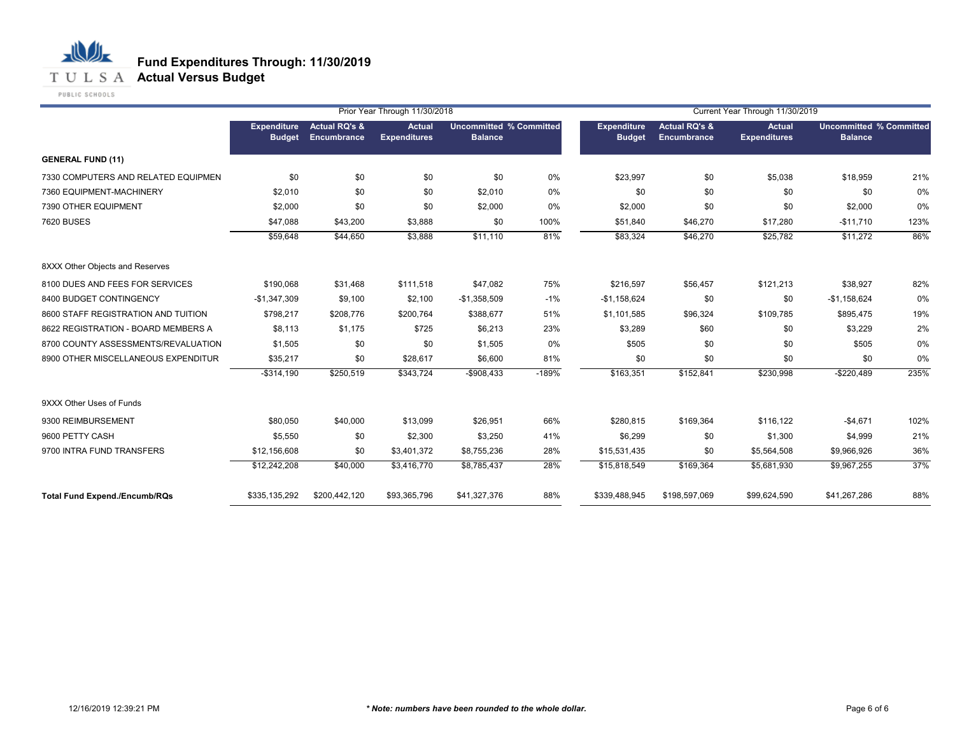

|                                      |                                     |                                         | Prior Year Through 11/30/2018        |                                                  |         | Current Year Through 11/30/2019     |                                         |                                      |                                                  |      |  |
|--------------------------------------|-------------------------------------|-----------------------------------------|--------------------------------------|--------------------------------------------------|---------|-------------------------------------|-----------------------------------------|--------------------------------------|--------------------------------------------------|------|--|
|                                      | <b>Expenditure</b><br><b>Budget</b> | <b>Actual RQ's &amp;</b><br>Encumbrance | <b>Actual</b><br><b>Expenditures</b> | <b>Uncommitted % Committed</b><br><b>Balance</b> |         | <b>Expenditure</b><br><b>Budget</b> | <b>Actual RQ's &amp;</b><br>Encumbrance | <b>Actual</b><br><b>Expenditures</b> | <b>Uncommitted % Committed</b><br><b>Balance</b> |      |  |
| <b>GENERAL FUND (11)</b>             |                                     |                                         |                                      |                                                  |         |                                     |                                         |                                      |                                                  |      |  |
| 7330 COMPUTERS AND RELATED EQUIPMEN  | \$0                                 | \$0                                     | \$0                                  | \$0                                              | 0%      | \$23,997                            | \$0                                     | \$5,038                              | \$18,959                                         | 21%  |  |
| 7360 EQUIPMENT-MACHINERY             | \$2,010                             | \$0                                     | \$0                                  | \$2,010                                          | 0%      | \$0                                 | \$0                                     | \$0                                  | \$0                                              | 0%   |  |
| 7390 OTHER EQUIPMENT                 | \$2,000                             | \$0                                     | \$0                                  | \$2,000                                          | 0%      | \$2,000                             | \$0                                     | \$0                                  | \$2,000                                          | 0%   |  |
| 7620 BUSES                           | \$47,088                            | \$43,200                                | \$3,888                              | \$0                                              | 100%    | \$51,840                            | \$46,270                                | \$17,280                             | $-$11,710$                                       | 123% |  |
|                                      | \$59,648                            | \$44,650                                | \$3,888                              | \$11,110                                         | 81%     | \$83,324                            | \$46,270                                | \$25,782                             | \$11,272                                         | 86%  |  |
| 8XXX Other Objects and Reserves      |                                     |                                         |                                      |                                                  |         |                                     |                                         |                                      |                                                  |      |  |
| 8100 DUES AND FEES FOR SERVICES      | \$190,068                           | \$31,468                                | \$111,518                            | \$47,082                                         | 75%     | \$216,597                           | \$56,457                                | \$121,213                            | \$38,927                                         | 82%  |  |
| 8400 BUDGET CONTINGENCY              | $-$1,347,309$                       | \$9,100                                 | \$2,100                              | $-$1,358,509$                                    | $-1%$   | $-$1,158,624$                       | \$0                                     | \$0                                  | $-$1,158,624$                                    | 0%   |  |
| 8600 STAFF REGISTRATION AND TUITION  | \$798,217                           | \$208,776                               | \$200,764                            | \$388,677                                        | 51%     | \$1,101,585                         | \$96,324                                | \$109,785                            | \$895,475                                        | 19%  |  |
| 8622 REGISTRATION - BOARD MEMBERS A  | \$8,113                             | \$1,175                                 | \$725                                | \$6,213                                          | 23%     | \$3,289                             | \$60                                    | \$0                                  | \$3,229                                          | 2%   |  |
| 8700 COUNTY ASSESSMENTS/REVALUATION  | \$1,505                             | \$0                                     | \$0                                  | \$1,505                                          | 0%      | \$505                               | \$0                                     | \$0                                  | \$505                                            | 0%   |  |
| 8900 OTHER MISCELLANEOUS EXPENDITUR  | \$35,217                            | \$0                                     | \$28,617                             | \$6,600                                          | 81%     | \$0                                 | \$0                                     | \$0                                  | \$0                                              | 0%   |  |
|                                      | $-$314,190$                         | \$250,519                               | \$343,724                            | $-$908,433$                                      | $-189%$ | \$163,351                           | \$152,841                               | \$230,998                            | $-$220,489$                                      | 235% |  |
| 9XXX Other Uses of Funds             |                                     |                                         |                                      |                                                  |         |                                     |                                         |                                      |                                                  |      |  |
| 9300 REIMBURSEMENT                   | \$80,050                            | \$40,000                                | \$13,099                             | \$26,951                                         | 66%     | \$280,815                           | \$169,364                               | \$116,122                            | $-$4,671$                                        | 102% |  |
| 9600 PETTY CASH                      | \$5,550                             | \$0                                     | \$2,300                              | \$3,250                                          | 41%     | \$6,299                             | \$0                                     | \$1,300                              | \$4,999                                          | 21%  |  |
| 9700 INTRA FUND TRANSFERS            | \$12,156,608                        | \$0                                     | \$3,401,372                          | \$8,755,236                                      | 28%     | \$15,531,435                        | \$0                                     | \$5,564,508                          | \$9,966,926                                      | 36%  |  |
|                                      | \$12,242,208                        | \$40,000                                | \$3,416,770                          | \$8,785,437                                      | 28%     | \$15,818,549                        | \$169,364                               | \$5,681,930                          | \$9,967,255                                      | 37%  |  |
| <b>Total Fund Expend./Encumb/RQs</b> | \$335,135,292                       | \$200,442,120                           | \$93,365,796                         | \$41,327,376                                     | 88%     | \$339,488,945                       | \$198,597,069                           | \$99,624,590                         | \$41,267,286                                     | 88%  |  |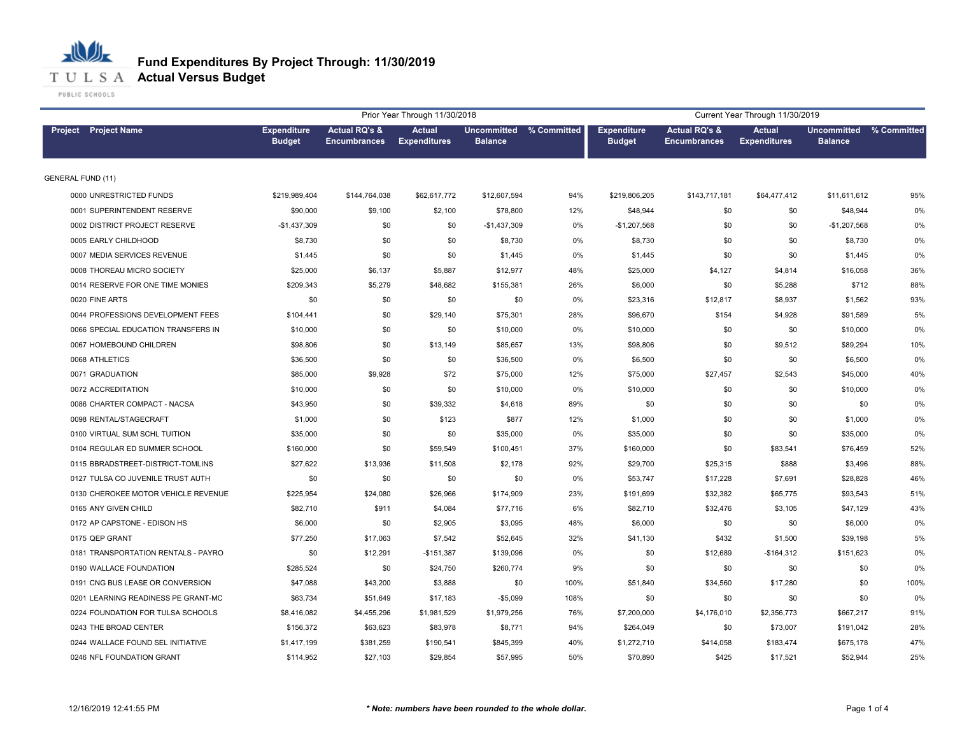

PUBLIC SCHOOLS

|                                     |                                     |                                                 | Prior Year Through 11/30/2018        |                                           | Current Year Through 11/30/2019 |                                     |                                                 |                                      |                                      |             |
|-------------------------------------|-------------------------------------|-------------------------------------------------|--------------------------------------|-------------------------------------------|---------------------------------|-------------------------------------|-------------------------------------------------|--------------------------------------|--------------------------------------|-------------|
| <b>Project</b> Project Name         | <b>Expenditure</b><br><b>Budget</b> | <b>Actual RQ's &amp;</b><br><b>Encumbrances</b> | <b>Actual</b><br><b>Expenditures</b> | Uncommitted % Committed<br><b>Balance</b> |                                 | <b>Expenditure</b><br><b>Budget</b> | <b>Actual RQ's &amp;</b><br><b>Encumbrances</b> | <b>Actual</b><br><b>Expenditures</b> | <b>Uncommitted</b><br><b>Balance</b> | % Committed |
| <b>GENERAL FUND (11)</b>            |                                     |                                                 |                                      |                                           |                                 |                                     |                                                 |                                      |                                      |             |
| 0000 UNRESTRICTED FUNDS             | \$219,989,404                       | \$144,764,038                                   | \$62,617,772                         | \$12,607,594                              | 94%                             | \$219,806,205                       | \$143,717,181                                   | \$64,477,412                         | \$11,611,612                         | 95%         |
| 0001 SUPERINTENDENT RESERVE         | \$90,000                            | \$9,100                                         | \$2,100                              | \$78,800                                  | 12%                             | \$48,944                            | \$0                                             | \$0                                  | \$48,944                             | 0%          |
| 0002 DISTRICT PROJECT RESERVE       | $-$1,437,309$                       | \$0                                             | \$0                                  | $-$1,437,309$                             | 0%                              | $-$1,207,568$                       | \$0                                             | \$0                                  | $-$1,207,568$                        | 0%          |
| 0005 EARLY CHILDHOOD                | \$8,730                             | \$0                                             | \$0                                  | \$8,730                                   | 0%                              | \$8,730                             | \$0                                             | \$0                                  | \$8,730                              | 0%          |
| 0007 MEDIA SERVICES REVENUE         | \$1,445                             | \$0                                             | \$0                                  | \$1,445                                   | 0%                              | \$1,445                             | \$0                                             | \$0                                  | \$1,445                              | 0%          |
| 0008 THOREAU MICRO SOCIETY          | \$25,000                            | \$6,137                                         | \$5,887                              | \$12,977                                  | 48%                             | \$25,000                            | \$4,127                                         | \$4,814                              | \$16,058                             | 36%         |
| 0014 RESERVE FOR ONE TIME MONIES    | \$209,343                           | \$5,279                                         | \$48,682                             | \$155,381                                 | 26%                             | \$6,000                             | \$0                                             | \$5,288                              | \$712                                | 88%         |
| 0020 FINE ARTS                      | \$0                                 | \$0                                             | \$0                                  | \$0                                       | 0%                              | \$23,316                            | \$12,817                                        | \$8,937                              | \$1,562                              | 93%         |
| 0044 PROFESSIONS DEVELOPMENT FEES   | \$104,441                           | \$0                                             | \$29,140                             | \$75,301                                  | 28%                             | \$96,670                            | \$154                                           | \$4,928                              | \$91,589                             | 5%          |
| 0066 SPECIAL EDUCATION TRANSFERS IN | \$10,000                            | \$0                                             | \$0                                  | \$10,000                                  | 0%                              | \$10,000                            | \$0                                             | \$0                                  | \$10,000                             | 0%          |
| 0067 HOMEBOUND CHILDREN             | \$98,806                            | \$0                                             | \$13,149                             | \$85,657                                  | 13%                             | \$98,806                            | \$0                                             | \$9,512                              | \$89,294                             | 10%         |
| 0068 ATHLETICS                      | \$36,500                            | \$0                                             | \$0                                  | \$36,500                                  | 0%                              | \$6,500                             | \$0                                             | \$0                                  | \$6,500                              | 0%          |
| 0071 GRADUATION                     | \$85,000                            | \$9,928                                         | \$72                                 | \$75,000                                  | 12%                             | \$75,000                            | \$27,457                                        | \$2,543                              | \$45,000                             | 40%         |
| 0072 ACCREDITATION                  | \$10,000                            | \$0                                             | \$0                                  | \$10,000                                  | 0%                              | \$10,000                            | \$0                                             | \$0                                  | \$10,000                             | 0%          |
| 0086 CHARTER COMPACT - NACSA        | \$43,950                            | \$0                                             | \$39,332                             | \$4,618                                   | 89%                             | \$0                                 | \$0                                             | \$0                                  | \$0                                  | 0%          |
| 0098 RENTAL/STAGECRAFT              | \$1,000                             | \$0                                             | \$123                                | \$877                                     | 12%                             | \$1,000                             | \$0                                             | \$0                                  | \$1,000                              | 0%          |
| 0100 VIRTUAL SUM SCHL TUITION       | \$35,000                            | \$0                                             | \$0                                  | \$35,000                                  | 0%                              | \$35,000                            | \$0                                             | \$0                                  | \$35,000                             | 0%          |
| 0104 REGULAR ED SUMMER SCHOOL       | \$160,000                           | \$0                                             | \$59,549                             | \$100,451                                 | 37%                             | \$160,000                           | \$0                                             | \$83,541                             | \$76,459                             | 52%         |
| 0115 BBRADSTREET-DISTRICT-TOMLINS   | \$27,622                            | \$13,936                                        | \$11,508                             | \$2,178                                   | 92%                             | \$29,700                            | \$25,315                                        | \$888                                | \$3,496                              | 88%         |
| 0127 TULSA CO JUVENILE TRUST AUTH   | \$0                                 | \$0                                             | \$0                                  | \$0                                       | 0%                              | \$53,747                            | \$17,228                                        | \$7,691                              | \$28,828                             | 46%         |
| 0130 CHEROKEE MOTOR VEHICLE REVENUE | \$225,954                           | \$24,080                                        | \$26,966                             | \$174,909                                 | 23%                             | \$191,699                           | \$32,382                                        | \$65,775                             | \$93,543                             | 51%         |
| 0165 ANY GIVEN CHILD                | \$82,710                            | \$911                                           | \$4,084                              | \$77,716                                  | 6%                              | \$82,710                            | \$32,476                                        | \$3,105                              | \$47,129                             | 43%         |
| 0172 AP CAPSTONE - EDISON HS        | \$6,000                             | \$0                                             | \$2,905                              | \$3,095                                   | 48%                             | \$6,000                             | \$0                                             | \$0                                  | \$6,000                              | 0%          |
| 0175 QEP GRANT                      | \$77,250                            | \$17,063                                        | \$7,542                              | \$52,645                                  | 32%                             | \$41,130                            | \$432                                           | \$1,500                              | \$39,198                             | 5%          |
| 0181 TRANSPORTATION RENTALS - PAYRO | \$0                                 | \$12,291                                        | $-$151,387$                          | \$139,096                                 | 0%                              | \$0                                 | \$12,689                                        | $-$164,312$                          | \$151,623                            | 0%          |
| 0190 WALLACE FOUNDATION             | \$285,524                           | \$0                                             | \$24,750                             | \$260,774                                 | 9%                              | \$0                                 | \$0                                             | \$0                                  | \$0                                  | 0%          |
| 0191 CNG BUS LEASE OR CONVERSION    | \$47,088                            | \$43,200                                        | \$3,888                              | \$0                                       | 100%                            | \$51,840                            | \$34,560                                        | \$17,280                             | \$0                                  | 100%        |
| 0201 LEARNING READINESS PE GRANT-MC | \$63,734                            | \$51,649                                        | \$17,183                             | $-$5,099$                                 | 108%                            | \$0                                 | \$0                                             | \$0                                  | \$0                                  | 0%          |
| 0224 FOUNDATION FOR TULSA SCHOOLS   | \$8,416,082                         | \$4,455,296                                     | \$1,981,529                          | \$1,979,256                               | 76%                             | \$7,200,000                         | \$4,176,010                                     | \$2,356,773                          | \$667,217                            | 91%         |
| 0243 THE BROAD CENTER               | \$156,372                           | \$63,623                                        | \$83,978                             | \$8,771                                   | 94%                             | \$264,049                           | \$0                                             | \$73,007                             | \$191,042                            | 28%         |
| 0244 WALLACE FOUND SEL INITIATIVE   | \$1,417,199                         | \$381,259                                       | \$190,541                            | \$845,399                                 | 40%                             | \$1,272,710                         | \$414,058                                       | \$183,474                            | \$675,178                            | 47%         |
| 0246 NFL FOUNDATION GRANT           | \$114,952                           | \$27,103                                        | \$29,854                             | \$57,995                                  | 50%                             | \$70,890                            | \$425                                           | \$17,521                             | \$52,944                             | 25%         |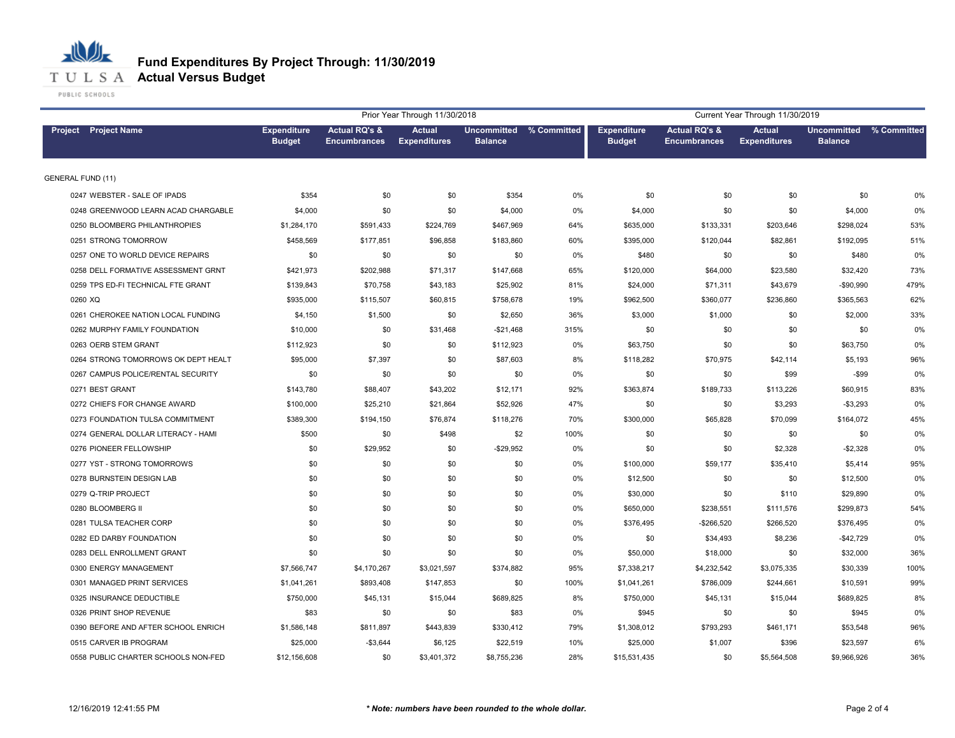

PUBLIC SCHOOLS

|                                     |                                     |                                                 | Prior Year Through 11/30/2018        |                |                         |                                     |                                                 | Current Year Through 11/30/2019      |                                      |             |
|-------------------------------------|-------------------------------------|-------------------------------------------------|--------------------------------------|----------------|-------------------------|-------------------------------------|-------------------------------------------------|--------------------------------------|--------------------------------------|-------------|
| Project Project Name                | <b>Expenditure</b><br><b>Budget</b> | <b>Actual RQ's &amp;</b><br><b>Encumbrances</b> | <b>Actual</b><br><b>Expenditures</b> | <b>Balance</b> | Uncommitted % Committed | <b>Expenditure</b><br><b>Budget</b> | <b>Actual RQ's &amp;</b><br><b>Encumbrances</b> | <b>Actual</b><br><b>Expenditures</b> | <b>Uncommitted</b><br><b>Balance</b> | % Committed |
| <b>GENERAL FUND (11)</b>            |                                     |                                                 |                                      |                |                         |                                     |                                                 |                                      |                                      |             |
| 0247 WEBSTER - SALE OF IPADS        | \$354                               | \$0                                             | \$0                                  | \$354          | 0%                      | \$0                                 | \$0                                             | \$0                                  | \$0                                  | 0%          |
| 0248 GREENWOOD LEARN ACAD CHARGABLE | \$4,000                             | \$0                                             | \$0                                  | \$4,000        | 0%                      | \$4,000                             | \$0                                             | \$0                                  | \$4,000                              | 0%          |
| 0250 BLOOMBERG PHILANTHROPIES       | \$1,284,170                         | \$591,433                                       | \$224,769                            | \$467,969      | 64%                     | \$635,000                           | \$133,331                                       | \$203,646                            | \$298,024                            | 53%         |
| 0251 STRONG TOMORROW                | \$458,569                           | \$177,851                                       | \$96,858                             | \$183,860      | 60%                     | \$395,000                           | \$120,044                                       | \$82,861                             | \$192,095                            | 51%         |
| 0257 ONE TO WORLD DEVICE REPAIRS    | \$0                                 | \$0                                             | \$0                                  | \$0            | 0%                      | \$480                               | \$0                                             | \$0                                  | \$480                                | 0%          |
| 0258 DELL FORMATIVE ASSESSMENT GRNT | \$421,973                           | \$202,988                                       | \$71,317                             | \$147,668      | 65%                     | \$120,000                           | \$64,000                                        | \$23,580                             | \$32,420                             | 73%         |
| 0259 TPS ED-FI TECHNICAL FTE GRANT  | \$139,843                           | \$70,758                                        | \$43,183                             | \$25,902       | 81%                     | \$24,000                            | \$71,311                                        | \$43,679                             | $-$90,990$                           | 479%        |
| 0260 XQ                             | \$935,000                           | \$115,507                                       | \$60,815                             | \$758,678      | 19%                     | \$962,500                           | \$360,077                                       | \$236,860                            | \$365,563                            | 62%         |
| 0261 CHEROKEE NATION LOCAL FUNDING  | \$4,150                             | \$1,500                                         | \$0                                  | \$2,650        | 36%                     | \$3,000                             | \$1,000                                         | \$0                                  | \$2,000                              | 33%         |
| 0262 MURPHY FAMILY FOUNDATION       | \$10,000                            | \$0                                             | \$31,468                             | $-$21,468$     | 315%                    | \$0                                 | \$0                                             | \$0                                  | \$0                                  | 0%          |
| 0263 OERB STEM GRANT                | \$112,923                           | \$0                                             | \$0                                  | \$112,923      | 0%                      | \$63,750                            | \$0                                             | \$0                                  | \$63,750                             | 0%          |
| 0264 STRONG TOMORROWS OK DEPT HEALT | \$95,000                            | \$7,397                                         | \$0                                  | \$87,603       | 8%                      | \$118,282                           | \$70,975                                        | \$42,114                             | \$5,193                              | 96%         |
| 0267 CAMPUS POLICE/RENTAL SECURITY  | \$0                                 | \$0                                             | \$0                                  | \$0            | 0%                      | \$0                                 | \$0                                             | \$99                                 | $-$ \$99                             | 0%          |
| 0271 BEST GRANT                     | \$143,780                           | \$88,407                                        | \$43,202                             | \$12,171       | 92%                     | \$363,874                           | \$189,733                                       | \$113,226                            | \$60,915                             | 83%         |
| 0272 CHIEFS FOR CHANGE AWARD        | \$100,000                           | \$25,210                                        | \$21,864                             | \$52,926       | 47%                     | \$0                                 | \$0                                             | \$3,293                              | $-$3,293$                            | 0%          |
| 0273 FOUNDATION TULSA COMMITMENT    | \$389,300                           | \$194,150                                       | \$76,874                             | \$118,276      | 70%                     | \$300,000                           | \$65,828                                        | \$70,099                             | \$164,072                            | 45%         |
| 0274 GENERAL DOLLAR LITERACY - HAMI | \$500                               | \$0                                             | \$498                                | \$2            | 100%                    | \$0                                 | \$0                                             | \$0                                  | \$0                                  | 0%          |
| 0276 PIONEER FELLOWSHIP             | \$0                                 | \$29,952                                        | \$0                                  | $-$29,952$     | 0%                      | \$0                                 | \$0                                             | \$2,328                              | $-$2,328$                            | 0%          |
| 0277 YST - STRONG TOMORROWS         | \$0                                 | \$0                                             | \$0                                  | \$0            | 0%                      | \$100,000                           | \$59,177                                        | \$35,410                             | \$5,414                              | 95%         |
| 0278 BURNSTEIN DESIGN LAB           | \$0                                 | \$0                                             | \$0                                  | \$0            | 0%                      | \$12,500                            | \$0                                             | \$0                                  | \$12,500                             | 0%          |
| 0279 Q-TRIP PROJECT                 | \$0                                 | \$0                                             | \$0                                  | \$0            | 0%                      | \$30,000                            | \$0                                             | \$110                                | \$29,890                             | 0%          |
| 0280 BLOOMBERG II                   | \$0                                 | \$0                                             | \$0                                  | \$0            | 0%                      | \$650,000                           | \$238,551                                       | \$111,576                            | \$299,873                            | 54%         |
| 0281 TULSA TEACHER CORP             | \$0                                 | \$0                                             | \$0                                  | \$0            | 0%                      | \$376,495                           | -\$266,520                                      | \$266,520                            | \$376,495                            | 0%          |
| 0282 ED DARBY FOUNDATION            | \$0                                 | \$0                                             | \$0                                  | \$0            | 0%                      | \$0                                 | \$34,493                                        | \$8,236                              | $-$42,729$                           | 0%          |
| 0283 DELL ENROLLMENT GRANT          | \$0                                 | \$0                                             | \$0                                  | \$0            | 0%                      | \$50,000                            | \$18,000                                        | \$0                                  | \$32,000                             | 36%         |
| 0300 ENERGY MANAGEMENT              | \$7,566,747                         | \$4,170,267                                     | \$3,021,597                          | \$374,882      | 95%                     | \$7,338,217                         | \$4,232,542                                     | \$3,075,335                          | \$30,339                             | 100%        |
| 0301 MANAGED PRINT SERVICES         | \$1,041,261                         | \$893,408                                       | \$147,853                            | \$0            | 100%                    | \$1,041,261                         | \$786,009                                       | \$244,661                            | \$10,591                             | 99%         |
| 0325 INSURANCE DEDUCTIBLE           | \$750,000                           | \$45,131                                        | \$15,044                             | \$689,825      | 8%                      | \$750,000                           | \$45,131                                        | \$15,044                             | \$689,825                            | 8%          |
| 0326 PRINT SHOP REVENUE             | \$83                                | \$0                                             | \$0                                  | \$83           | 0%                      | \$945                               | \$0                                             | \$0                                  | \$945                                | 0%          |
| 0390 BEFORE AND AFTER SCHOOL ENRICH | \$1,586,148                         | \$811,897                                       | \$443,839                            | \$330,412      | 79%                     | \$1,308,012                         | \$793,293                                       | \$461,171                            | \$53,548                             | 96%         |
| 0515 CARVER IB PROGRAM              | \$25,000                            | $-$3,644$                                       | \$6,125                              | \$22,519       | 10%                     | \$25,000                            | \$1,007                                         | \$396                                | \$23,597                             | 6%          |
| 0558 PUBLIC CHARTER SCHOOLS NON-FED | \$12,156,608                        | \$0                                             | \$3,401,372                          | \$8,755,236    | 28%                     | \$15,531,435                        | \$0                                             | \$5,564,508                          | \$9,966,926                          | 36%         |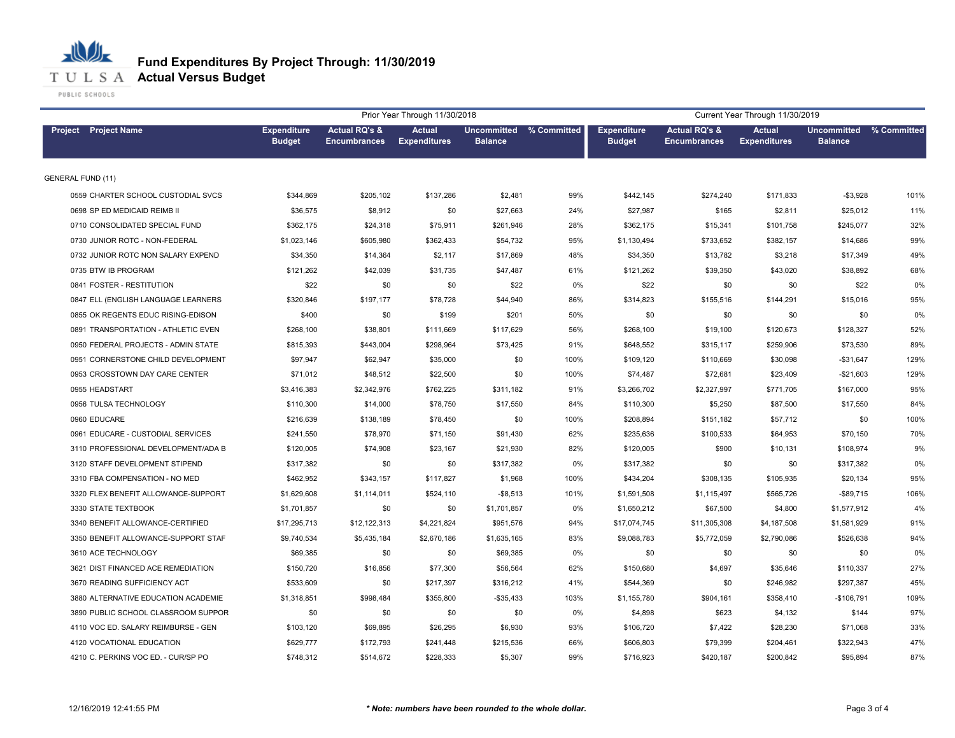

|                                     |                                     |                                                 | Prior Year Through 11/30/2018        |                |                         | Current Year Through 11/30/2019     |                                                 |                                      |                                      |             |  |
|-------------------------------------|-------------------------------------|-------------------------------------------------|--------------------------------------|----------------|-------------------------|-------------------------------------|-------------------------------------------------|--------------------------------------|--------------------------------------|-------------|--|
| <b>Project</b> Project Name         | <b>Expenditure</b><br><b>Budget</b> | <b>Actual RQ's &amp;</b><br><b>Encumbrances</b> | <b>Actual</b><br><b>Expenditures</b> | <b>Balance</b> | Uncommitted % Committed | <b>Expenditure</b><br><b>Budget</b> | <b>Actual RQ's &amp;</b><br><b>Encumbrances</b> | <b>Actual</b><br><b>Expenditures</b> | <b>Uncommitted</b><br><b>Balance</b> | % Committed |  |
| <b>GENERAL FUND (11)</b>            |                                     |                                                 |                                      |                |                         |                                     |                                                 |                                      |                                      |             |  |
| 0559 CHARTER SCHOOL CUSTODIAL SVCS  | \$344,869                           | \$205,102                                       | \$137,286                            | \$2,481        | 99%                     | \$442,145                           | \$274,240                                       | \$171,833                            | $- $3,928$                           | 101%        |  |
| 0698 SP ED MEDICAID REIMB II        | \$36,575                            | \$8,912                                         | \$0                                  | \$27,663       | 24%                     | \$27,987                            | \$165                                           | \$2,811                              | \$25,012                             | 11%         |  |
| 0710 CONSOLIDATED SPECIAL FUND      | \$362,175                           | \$24,318                                        | \$75,911                             | \$261,946      | 28%                     | \$362,175                           | \$15,341                                        | \$101,758                            | \$245,077                            | 32%         |  |
| 0730 JUNIOR ROTC - NON-FEDERAL      | \$1,023,146                         | \$605,980                                       | \$362,433                            | \$54,732       | 95%                     | \$1,130,494                         | \$733,652                                       | \$382,157                            | \$14,686                             | 99%         |  |
| 0732 JUNIOR ROTC NON SALARY EXPEND  | \$34,350                            | \$14,364                                        | \$2,117                              | \$17,869       | 48%                     | \$34,350                            | \$13,782                                        | \$3,218                              | \$17,349                             | 49%         |  |
| 0735 BTW IB PROGRAM                 | \$121,262                           | \$42,039                                        | \$31,735                             | \$47,487       | 61%                     | \$121,262                           | \$39,350                                        | \$43,020                             | \$38,892                             | 68%         |  |
| 0841 FOSTER - RESTITUTION           | \$22                                | \$0                                             | \$0                                  | \$22           | 0%                      | \$22                                | \$0                                             | \$0                                  | \$22                                 | 0%          |  |
| 0847 ELL (ENGLISH LANGUAGE LEARNERS | \$320,846                           | \$197,177                                       | \$78,728                             | \$44,940       | 86%                     | \$314,823                           | \$155,516                                       | \$144,291                            | \$15,016                             | 95%         |  |
| 0855 OK REGENTS EDUC RISING-EDISON  | \$400                               | \$0                                             | \$199                                | \$201          | 50%                     | \$0                                 | \$0                                             | \$0                                  | \$0                                  | 0%          |  |
| 0891 TRANSPORTATION - ATHLETIC EVEN | \$268,100                           | \$38,801                                        | \$111,669                            | \$117,629      | 56%                     | \$268,100                           | \$19,100                                        | \$120,673                            | \$128,327                            | 52%         |  |
| 0950 FEDERAL PROJECTS - ADMIN STATE | \$815,393                           | \$443,004                                       | \$298,964                            | \$73,425       | 91%                     | \$648,552                           | \$315,117                                       | \$259,906                            | \$73,530                             | 89%         |  |
| 0951 CORNERSTONE CHILD DEVELOPMENT  | \$97,947                            | \$62,947                                        | \$35,000                             | \$0            | 100%                    | \$109,120                           | \$110,669                                       | \$30,098                             | $-$31,647$                           | 129%        |  |
| 0953 CROSSTOWN DAY CARE CENTER      | \$71,012                            | \$48,512                                        | \$22,500                             | \$0            | 100%                    | \$74,487                            | \$72,681                                        | \$23,409                             | $-$21,603$                           | 129%        |  |
| 0955 HEADSTART                      | \$3,416,383                         | \$2,342,976                                     | \$762,225                            | \$311,182      | 91%                     | \$3,266,702                         | \$2,327,997                                     | \$771,705                            | \$167,000                            | 95%         |  |
| 0956 TULSA TECHNOLOGY               | \$110,300                           | \$14,000                                        | \$78,750                             | \$17,550       | 84%                     | \$110,300                           | \$5,250                                         | \$87,500                             | \$17,550                             | 84%         |  |
| 0960 EDUCARE                        | \$216,639                           | \$138,189                                       | \$78,450                             | \$0            | 100%                    | \$208,894                           | \$151,182                                       | \$57,712                             | \$0                                  | 100%        |  |
| 0961 EDUCARE - CUSTODIAL SERVICES   | \$241,550                           | \$78,970                                        | \$71,150                             | \$91,430       | 62%                     | \$235,636                           | \$100,533                                       | \$64,953                             | \$70,150                             | 70%         |  |
| 3110 PROFESSIONAL DEVELOPMENT/ADA B | \$120,005                           | \$74,908                                        | \$23,167                             | \$21,930       | 82%                     | \$120,005                           | \$900                                           | \$10,131                             | \$108,974                            | 9%          |  |
| 3120 STAFF DEVELOPMENT STIPEND      | \$317,382                           | \$0                                             | \$0                                  | \$317,382      | 0%                      | \$317,382                           | \$0                                             | \$0                                  | \$317,382                            | 0%          |  |
| 3310 FBA COMPENSATION - NO MED      | \$462,952                           | \$343,157                                       | \$117,827                            | \$1,968        | 100%                    | \$434,204                           | \$308,135                                       | \$105,935                            | \$20,134                             | 95%         |  |
| 3320 FLEX BENEFIT ALLOWANCE-SUPPORT | \$1,629,608                         | \$1,114,011                                     | \$524,110                            | $-$ \$8,513    | 101%                    | \$1,591,508                         | \$1,115,497                                     | \$565,726                            | $-$ \$89,715                         | 106%        |  |
| 3330 STATE TEXTBOOK                 | \$1,701,857                         | \$0                                             | \$0                                  | \$1,701,857    | 0%                      | \$1,650,212                         | \$67,500                                        | \$4,800                              | \$1,577,912                          | 4%          |  |
| 3340 BENEFIT ALLOWANCE-CERTIFIED    | \$17,295,713                        | \$12,122,313                                    | \$4,221,824                          | \$951,576      | 94%                     | \$17,074,745                        | \$11,305,308                                    | \$4,187,508                          | \$1,581,929                          | 91%         |  |
| 3350 BENEFIT ALLOWANCE-SUPPORT STAF | \$9,740,534                         | \$5,435,184                                     | \$2,670,186                          | \$1,635,165    | 83%                     | \$9,088,783                         | \$5,772,059                                     | \$2,790,086                          | \$526,638                            | 94%         |  |
| 3610 ACE TECHNOLOGY                 | \$69,385                            | \$0                                             | \$0                                  | \$69,385       | 0%                      | \$0                                 | \$0                                             | \$0                                  | \$0                                  | 0%          |  |
| 3621 DIST FINANCED ACE REMEDIATION  | \$150,720                           | \$16,856                                        | \$77,300                             | \$56,564       | 62%                     | \$150,680                           | \$4,697                                         | \$35,646                             | \$110,337                            | 27%         |  |
| 3670 READING SUFFICIENCY ACT        | \$533,609                           | \$0                                             | \$217,397                            | \$316,212      | 41%                     | \$544,369                           | \$0                                             | \$246,982                            | \$297,387                            | 45%         |  |
| 3880 ALTERNATIVE EDUCATION ACADEMIE | \$1,318,851                         | \$998,484                                       | \$355,800                            | $-$ \$35,433   | 103%                    | \$1,155,780                         | \$904,161                                       | \$358,410                            | $-$106,791$                          | 109%        |  |
| 3890 PUBLIC SCHOOL CLASSROOM SUPPOR | \$0                                 | \$0                                             | \$0                                  | \$0            | 0%                      | \$4,898                             | \$623                                           | \$4,132                              | \$144                                | 97%         |  |
| 4110 VOC ED. SALARY REIMBURSE - GEN | \$103,120                           | \$69,895                                        | \$26,295                             | \$6,930        | 93%                     | \$106,720                           | \$7,422                                         | \$28,230                             | \$71,068                             | 33%         |  |
| 4120 VOCATIONAL EDUCATION           | \$629,777                           | \$172,793                                       | \$241,448                            | \$215,536      | 66%                     | \$606,803                           | \$79,399                                        | \$204,461                            | \$322,943                            | 47%         |  |
| 4210 C. PERKINS VOC ED. - CUR/SP PO | \$748,312                           | \$514,672                                       | \$228,333                            | \$5,307        | 99%                     | \$716,923                           | \$420,187                                       | \$200.842                            | \$95,894                             | 87%         |  |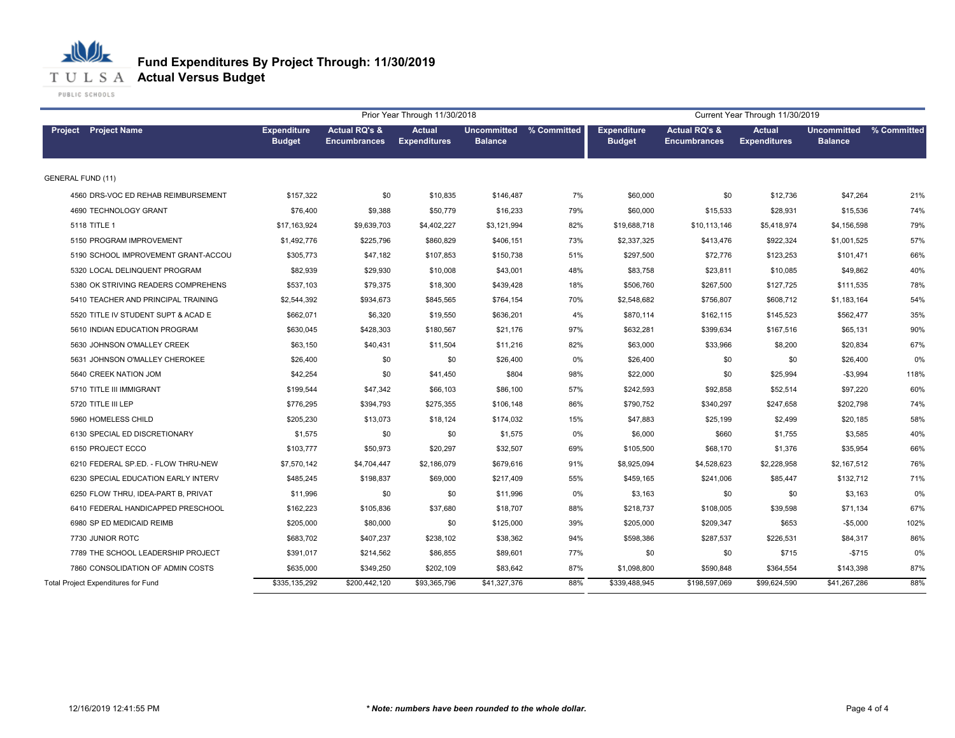

# **Fund Expenditures By Project Through: 11/30/2019**

|                                            |                                     |                                                 | Prior Year Through 11/30/2018        |                                           |       | Current Year Through 11/30/2019     |                                                 |                                      |                                      |             |  |
|--------------------------------------------|-------------------------------------|-------------------------------------------------|--------------------------------------|-------------------------------------------|-------|-------------------------------------|-------------------------------------------------|--------------------------------------|--------------------------------------|-------------|--|
| <b>Project</b> Project Name                | <b>Expenditure</b><br><b>Budget</b> | <b>Actual RQ's &amp;</b><br><b>Encumbrances</b> | <b>Actual</b><br><b>Expenditures</b> | Uncommitted % Committed<br><b>Balance</b> |       | <b>Expenditure</b><br><b>Budget</b> | <b>Actual RQ's &amp;</b><br><b>Encumbrances</b> | <b>Actual</b><br><b>Expenditures</b> | <b>Uncommitted</b><br><b>Balance</b> | % Committed |  |
| <b>GENERAL FUND (11)</b>                   |                                     |                                                 |                                      |                                           |       |                                     |                                                 |                                      |                                      |             |  |
| 4560 DRS-VOC ED REHAB REIMBURSEMENT        | \$157,322                           | \$0                                             | \$10,835                             | \$146,487                                 | 7%    | \$60,000                            | \$0                                             | \$12,736                             | \$47,264                             | 21%         |  |
| 4690 TECHNOLOGY GRANT                      | \$76,400                            | \$9,388                                         | \$50,779                             | \$16,233                                  | 79%   | \$60,000                            | \$15,533                                        | \$28,931                             | \$15,536                             | 74%         |  |
| 5118 TITLE 1                               | \$17,163,924                        | \$9,639,703                                     | \$4,402,227                          | \$3,121,994                               | 82%   | \$19,688,718                        | \$10,113,146                                    | \$5,418,974                          | \$4,156,598                          | 79%         |  |
| 5150 PROGRAM IMPROVEMENT                   | \$1,492,776                         | \$225,796                                       | \$860,829                            | \$406,151                                 | 73%   | \$2,337,325                         | \$413,476                                       | \$922,324                            | \$1,001,525                          | 57%         |  |
| 5190 SCHOOL IMPROVEMENT GRANT-ACCOU        | \$305,773                           | \$47,182                                        | \$107,853                            | \$150,738                                 | 51%   | \$297,500                           | \$72,776                                        | \$123,253                            | \$101,471                            | 66%         |  |
| 5320 LOCAL DELINQUENT PROGRAM              | \$82,939                            | \$29,930                                        | \$10,008                             | \$43,001                                  | 48%   | \$83,758                            | \$23,811                                        | \$10,085                             | \$49,862                             | 40%         |  |
| 5380 OK STRIVING READERS COMPREHENS        | \$537,103                           | \$79,375                                        | \$18,300                             | \$439,428                                 | 18%   | \$506,760                           | \$267,500                                       | \$127,725                            | \$111,535                            | 78%         |  |
| 5410 TEACHER AND PRINCIPAL TRAINING        | \$2,544,392                         | \$934,673                                       | \$845,565                            | \$764,154                                 | 70%   | \$2,548,682                         | \$756,807                                       | \$608,712                            | \$1,183,164                          | 54%         |  |
| 5520 TITLE IV STUDENT SUPT & ACAD E        | \$662,071                           | \$6,320                                         | \$19,550                             | \$636,201                                 | 4%    | \$870,114                           | \$162,115                                       | \$145,523                            | \$562,477                            | 35%         |  |
| 5610 INDIAN EDUCATION PROGRAM              | \$630,045                           | \$428,303                                       | \$180,567                            | \$21,176                                  | 97%   | \$632,281                           | \$399,634                                       | \$167,516                            | \$65,131                             | 90%         |  |
| 5630 JOHNSON O'MALLEY CREEK                | \$63,150                            | \$40,431                                        | \$11,504                             | \$11,216                                  | 82%   | \$63,000                            | \$33,966                                        | \$8,200                              | \$20,834                             | 67%         |  |
| 5631 JOHNSON O'MALLEY CHEROKEE             | \$26,400                            | \$0                                             | \$0                                  | \$26,400                                  | $0\%$ | \$26,400                            | \$0                                             | \$0                                  | \$26,400                             | 0%          |  |
| 5640 CREEK NATION JOM                      | \$42,254                            | \$0                                             | \$41,450                             | \$804                                     | 98%   | \$22,000                            | \$0                                             | \$25,994                             | $-$3,994$                            | 118%        |  |
| 5710 TITLE III IMMIGRANT                   | \$199,544                           | \$47,342                                        | \$66,103                             | \$86,100                                  | 57%   | \$242,593                           | \$92,858                                        | \$52,514                             | \$97,220                             | 60%         |  |
| 5720 TITLE III LEP                         | \$776,295                           | \$394,793                                       | \$275,355                            | \$106,148                                 | 86%   | \$790,752                           | \$340,297                                       | \$247,658                            | \$202,798                            | 74%         |  |
| 5960 HOMELESS CHILD                        | \$205,230                           | \$13,073                                        | \$18,124                             | \$174,032                                 | 15%   | \$47,883                            | \$25,199                                        | \$2,499                              | \$20,185                             | 58%         |  |
| 6130 SPECIAL ED DISCRETIONARY              | \$1,575                             | \$0                                             | \$0                                  | \$1,575                                   | $0\%$ | \$6,000                             | \$660                                           | \$1,755                              | \$3,585                              | 40%         |  |
| 6150 PROJECT ECCO                          | \$103,777                           | \$50,973                                        | \$20,297                             | \$32,507                                  | 69%   | \$105,500                           | \$68,170                                        | \$1,376                              | \$35,954                             | 66%         |  |
| 6210 FEDERAL SP.ED. - FLOW THRU-NEW        | \$7,570,142                         | \$4,704,447                                     | \$2,186,079                          | \$679,616                                 | 91%   | \$8,925,094                         | \$4,528,623                                     | \$2,228,958                          | \$2,167,512                          | 76%         |  |
| 6230 SPECIAL EDUCATION EARLY INTERV        | \$485,245                           | \$198,837                                       | \$69,000                             | \$217,409                                 | 55%   | \$459,165                           | \$241,006                                       | \$85,447                             | \$132,712                            | 71%         |  |
| 6250 FLOW THRU, IDEA-PART B, PRIVAT        | \$11,996                            | \$0                                             | \$0                                  | \$11,996                                  | $0\%$ | \$3,163                             | \$0                                             | \$0                                  | \$3,163                              | 0%          |  |
| 6410 FEDERAL HANDICAPPED PRESCHOOL         | \$162,223                           | \$105,836                                       | \$37,680                             | \$18,707                                  | 88%   | \$218,737                           | \$108,005                                       | \$39,598                             | \$71,134                             | 67%         |  |
| 6980 SP ED MEDICAID REIMB                  | \$205,000                           | \$80,000                                        | \$0                                  | \$125,000                                 | 39%   | \$205,000                           | \$209,347                                       | \$653                                | $-$5,000$                            | 102%        |  |
| 7730 JUNIOR ROTC                           | \$683,702                           | \$407,237                                       | \$238,102                            | \$38,362                                  | 94%   | \$598,386                           | \$287,537                                       | \$226,531                            | \$84,317                             | 86%         |  |
| 7789 THE SCHOOL LEADERSHIP PROJECT         | \$391,017                           | \$214,562                                       | \$86,855                             | \$89,601                                  | 77%   | \$0                                 | \$0                                             | \$715                                | $-$715$                              | 0%          |  |
| 7860 CONSOLIDATION OF ADMIN COSTS          | \$635,000                           | \$349,250                                       | \$202,109                            | \$83,642                                  | 87%   | \$1,098,800                         | \$590,848                                       | \$364,554                            | \$143,398                            | 87%         |  |
| <b>Total Project Expenditures for Fund</b> | \$335,135,292                       | \$200,442,120                                   | \$93,365,796                         | \$41,327,376                              | 88%   | \$339,488,945                       | \$198,597,069                                   | \$99,624,590                         | \$41,267,286                         | 88%         |  |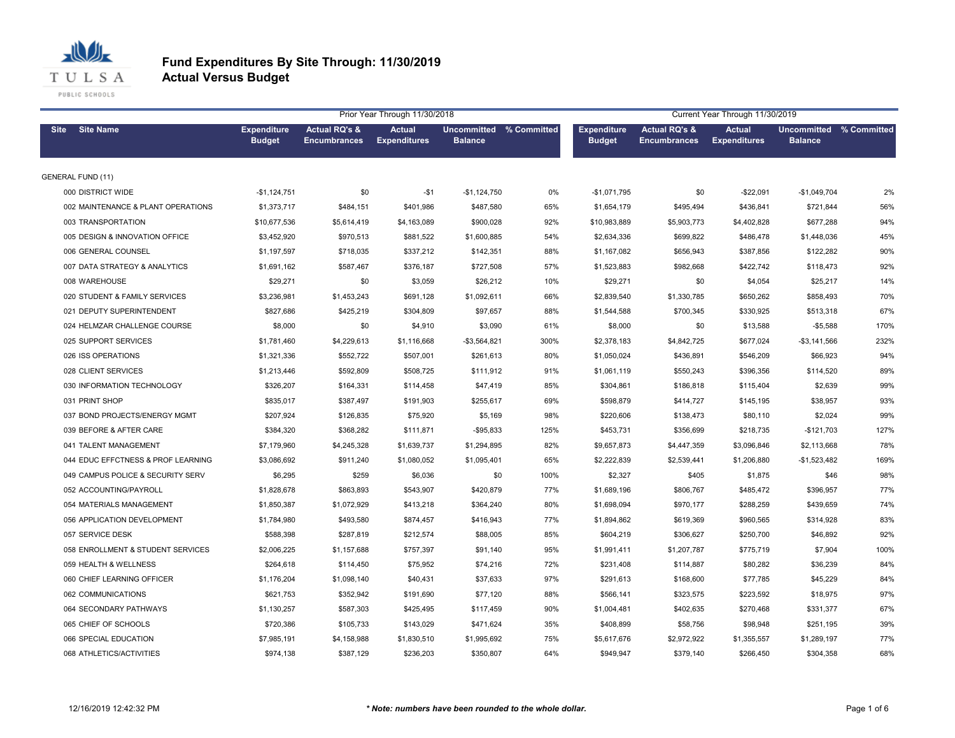

|                                    |                                     |                                                 | Prior Year Through 11/30/2018        |                                           |      |                                     |                                                 | Current Year Through 11/30/2019      |                                                  |      |
|------------------------------------|-------------------------------------|-------------------------------------------------|--------------------------------------|-------------------------------------------|------|-------------------------------------|-------------------------------------------------|--------------------------------------|--------------------------------------------------|------|
| Site Site Name                     | <b>Expenditure</b><br><b>Budget</b> | <b>Actual RQ's &amp;</b><br><b>Encumbrances</b> | <b>Actual</b><br><b>Expenditures</b> | Uncommitted % Committed<br><b>Balance</b> |      | <b>Expenditure</b><br><b>Budget</b> | <b>Actual RQ's &amp;</b><br><b>Encumbrances</b> | <b>Actual</b><br><b>Expenditures</b> | <b>Uncommitted % Committed</b><br><b>Balance</b> |      |
| <b>GENERAL FUND (11)</b>           |                                     |                                                 |                                      |                                           |      |                                     |                                                 |                                      |                                                  |      |
| 000 DISTRICT WIDE                  | $-$1,124,751$                       | \$0                                             | $-$ \$1                              | $-$1,124,750$                             | 0%   | -\$1,071,795                        | \$0                                             | $-$22,091$                           | $-$1,049,704$                                    | 2%   |
| 002 MAINTENANCE & PLANT OPERATIONS | \$1,373,717                         | \$484,151                                       | \$401,986                            | \$487,580                                 | 65%  | \$1,654,179                         | \$495,494                                       | \$436,841                            | \$721,844                                        | 56%  |
| 003 TRANSPORTATION                 | \$10,677,536                        | \$5,614,419                                     | \$4,163,089                          | \$900,028                                 | 92%  | \$10,983,889                        | \$5,903,773                                     | \$4,402,828                          | \$677,288                                        | 94%  |
| 005 DESIGN & INNOVATION OFFICE     | \$3,452,920                         | \$970,513                                       | \$881,522                            | \$1,600,885                               | 54%  | \$2,634,336                         | \$699,822                                       | \$486,478                            | \$1,448,036                                      | 45%  |
| 006 GENERAL COUNSEL                | \$1,197,597                         | \$718,035                                       | \$337,212                            | \$142,351                                 | 88%  | \$1,167,082                         | \$656,943                                       | \$387,856                            | \$122,282                                        | 90%  |
| 007 DATA STRATEGY & ANALYTICS      | \$1,691,162                         | \$587,467                                       | \$376,187                            | \$727,508                                 | 57%  | \$1,523,883                         | \$982,668                                       | \$422,742                            | \$118,473                                        | 92%  |
| 008 WAREHOUSE                      | \$29,271                            | \$0                                             | \$3,059                              | \$26,212                                  | 10%  | \$29,271                            | \$0                                             | \$4,054                              | \$25,217                                         | 14%  |
| 020 STUDENT & FAMILY SERVICES      | \$3,236,981                         | \$1,453,243                                     | \$691,128                            | \$1,092,611                               | 66%  | \$2,839,540                         | \$1,330,785                                     | \$650,262                            | \$858,493                                        | 70%  |
| 021 DEPUTY SUPERINTENDENT          | \$827,686                           | \$425,219                                       | \$304,809                            | \$97,657                                  | 88%  | \$1,544,588                         | \$700,345                                       | \$330,925                            | \$513,318                                        | 67%  |
| 024 HELMZAR CHALLENGE COURSE       | \$8,000                             | \$0                                             | \$4,910                              | \$3,090                                   | 61%  | \$8,000                             | \$0                                             | \$13,588                             | $-$5,588$                                        | 170% |
| 025 SUPPORT SERVICES               | \$1,781,460                         | \$4,229,613                                     | \$1,116,668                          | $-$3,564,821$                             | 300% | \$2,378,183                         | \$4,842,725                                     | \$677,024                            | $-$3,141,566$                                    | 232% |
| 026 ISS OPERATIONS                 | \$1,321,336                         | \$552,722                                       | \$507,001                            | \$261,613                                 | 80%  | \$1,050,024                         | \$436,891                                       | \$546,209                            | \$66,923                                         | 94%  |
| 028 CLIENT SERVICES                | \$1,213,446                         | \$592,809                                       | \$508,725                            | \$111,912                                 | 91%  | \$1,061,119                         | \$550,243                                       | \$396,356                            | \$114,520                                        | 89%  |
| 030 INFORMATION TECHNOLOGY         | \$326,207                           | \$164,331                                       | \$114,458                            | \$47,419                                  | 85%  | \$304,861                           | \$186,818                                       | \$115,404                            | \$2,639                                          | 99%  |
| 031 PRINT SHOP                     | \$835.017                           | \$387,497                                       | \$191,903                            | \$255,617                                 | 69%  | \$598.879                           | \$414,727                                       | \$145,195                            | \$38,957                                         | 93%  |
| 037 BOND PROJECTS/ENERGY MGMT      | \$207,924                           | \$126,835                                       | \$75,920                             | \$5,169                                   | 98%  | \$220,606                           | \$138,473                                       | \$80,110                             | \$2,024                                          | 99%  |
| 039 BEFORE & AFTER CARE            | \$384,320                           | \$368,282                                       | \$111,871                            | $-$95,833$                                | 125% | \$453,731                           | \$356,699                                       | \$218,735                            | $-$121,703$                                      | 127% |
| 041 TALENT MANAGEMENT              | \$7,179,960                         | \$4,245,328                                     | \$1,639,737                          | \$1,294,895                               | 82%  | \$9,657,873                         | \$4,447,359                                     | \$3,096,846                          | \$2,113,668                                      | 78%  |
| 044 EDUC EFFCTNESS & PROF LEARNING | \$3.086.692                         | \$911,240                                       | \$1,080,052                          | \$1,095,401                               | 65%  | \$2,222,839                         | \$2,539,441                                     | \$1,206,880                          | $-$1,523,482$                                    | 169% |
| 049 CAMPUS POLICE & SECURITY SERV  | \$6,295                             | \$259                                           | \$6,036                              | \$0                                       | 100% | \$2,327                             | \$405                                           | \$1,875                              | \$46                                             | 98%  |
| 052 ACCOUNTING/PAYROLL             | \$1,828,678                         | \$863,893                                       | \$543,907                            | \$420,879                                 | 77%  | \$1,689,196                         | \$806,767                                       | \$485,472                            | \$396,957                                        | 77%  |
| 054 MATERIALS MANAGEMENT           | \$1,850,387                         | \$1,072,929                                     | \$413,218                            | \$364,240                                 | 80%  | \$1,698,094                         | \$970,177                                       | \$288,259                            | \$439,659                                        | 74%  |
| 056 APPLICATION DEVELOPMENT        | \$1,784,980                         | \$493,580                                       | \$874,457                            | \$416,943                                 | 77%  | \$1,894,862                         | \$619,369                                       | \$960,565                            | \$314,928                                        | 83%  |
| 057 SERVICE DESK                   | \$588,398                           | \$287,819                                       | \$212,574                            | \$88,005                                  | 85%  | \$604,219                           | \$306,627                                       | \$250,700                            | \$46,892                                         | 92%  |
| 058 ENROLLMENT & STUDENT SERVICES  | \$2,006,225                         | \$1,157,688                                     | \$757,397                            | \$91,140                                  | 95%  | \$1,991,411                         | \$1,207,787                                     | \$775,719                            | \$7,904                                          | 100% |
| 059 HEALTH & WELLNESS              | \$264,618                           | \$114,450                                       | \$75,952                             | \$74,216                                  | 72%  | \$231,408                           | \$114,887                                       | \$80,282                             | \$36,239                                         | 84%  |
| 060 CHIEF LEARNING OFFICER         | \$1,176,204                         | \$1,098,140                                     | \$40,431                             | \$37,633                                  | 97%  | \$291,613                           | \$168,600                                       | \$77,785                             | \$45,229                                         | 84%  |
| 062 COMMUNICATIONS                 | \$621,753                           | \$352,942                                       | \$191,690                            | \$77,120                                  | 88%  | \$566,141                           | \$323,575                                       | \$223,592                            | \$18,975                                         | 97%  |
| 064 SECONDARY PATHWAYS             | \$1,130,257                         | \$587,303                                       | \$425,495                            | \$117,459                                 | 90%  | \$1,004,481                         | \$402,635                                       | \$270,468                            | \$331,377                                        | 67%  |
| 065 CHIEF OF SCHOOLS               | \$720,386                           | \$105,733                                       | \$143,029                            | \$471,624                                 | 35%  | \$408,899                           | \$58,756                                        | \$98,948                             | \$251,195                                        | 39%  |
| 066 SPECIAL EDUCATION              | \$7,985,191                         | \$4,158,988                                     | \$1,830,510                          | \$1,995,692                               | 75%  | \$5,617,676                         | \$2,972,922                                     | \$1,355,557                          | \$1,289,197                                      | 77%  |
| 068 ATHLETICS/ACTIVITIES           | \$974,138                           | \$387,129                                       | \$236,203                            | \$350,807                                 | 64%  | \$949,947                           | \$379,140                                       | \$266,450                            | \$304,358                                        | 68%  |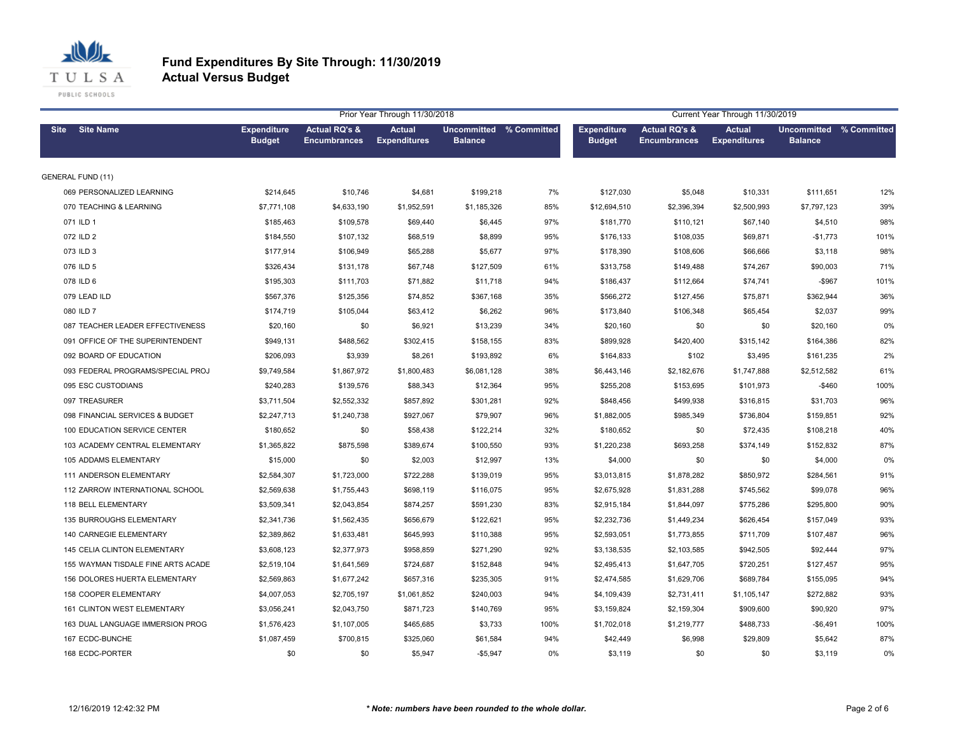

|                                    |                                     | Prior Year Through 11/30/2018                   |                                      |                                           |      |                                     | Current Year Through 11/30/2019                 |                                      |                                           |      |
|------------------------------------|-------------------------------------|-------------------------------------------------|--------------------------------------|-------------------------------------------|------|-------------------------------------|-------------------------------------------------|--------------------------------------|-------------------------------------------|------|
| <b>Site Name</b><br><b>Site</b>    | <b>Expenditure</b><br><b>Budget</b> | <b>Actual RQ's &amp;</b><br><b>Encumbrances</b> | <b>Actual</b><br><b>Expenditures</b> | Uncommitted % Committed<br><b>Balance</b> |      | <b>Expenditure</b><br><b>Budget</b> | <b>Actual RQ's &amp;</b><br><b>Encumbrances</b> | <b>Actual</b><br><b>Expenditures</b> | Uncommitted % Committed<br><b>Balance</b> |      |
| <b>GENERAL FUND (11)</b>           |                                     |                                                 |                                      |                                           |      |                                     |                                                 |                                      |                                           |      |
| 069 PERSONALIZED LEARNING          | \$214,645                           | \$10,746                                        | \$4,681                              | \$199,218                                 | 7%   | \$127,030                           | \$5,048                                         | \$10,331                             | \$111,651                                 | 12%  |
| 070 TEACHING & LEARNING            | \$7,771,108                         | \$4,633,190                                     | \$1,952,591                          | \$1,185,326                               | 85%  | \$12,694,510                        | \$2,396,394                                     | \$2,500,993                          | \$7,797,123                               | 39%  |
| 071 ILD 1                          | \$185,463                           | \$109,578                                       | \$69,440                             | \$6,445                                   | 97%  | \$181,770                           | \$110,121                                       | \$67,140                             | \$4,510                                   | 98%  |
| 072 ILD 2                          | \$184,550                           | \$107,132                                       | \$68,519                             | \$8,899                                   | 95%  | \$176,133                           | \$108,035                                       | \$69,871                             | $-$1,773$                                 | 101% |
| 073 ILD 3                          | \$177,914                           | \$106,949                                       | \$65,288                             | \$5,677                                   | 97%  | \$178,390                           | \$108,606                                       | \$66,666                             | \$3,118                                   | 98%  |
| 076 ILD 5                          | \$326,434                           | \$131,178                                       | \$67,748                             | \$127,509                                 | 61%  | \$313,758                           | \$149,488                                       | \$74,267                             | \$90,003                                  | 71%  |
| 078 ILD 6                          | \$195,303                           | \$111,703                                       | \$71,882                             | \$11,718                                  | 94%  | \$186,437                           | \$112,664                                       | \$74,741                             | $-$967$                                   | 101% |
| 079 LEAD ILD                       | \$567,376                           | \$125,356                                       | \$74,852                             | \$367,168                                 | 35%  | \$566,272                           | \$127,456                                       | \$75,871                             | \$362,944                                 | 36%  |
| 080 ILD 7                          | \$174,719                           | \$105,044                                       | \$63,412                             | \$6,262                                   | 96%  | \$173,840                           | \$106,348                                       | \$65,454                             | \$2,037                                   | 99%  |
| 087 TEACHER LEADER EFFECTIVENESS   | \$20,160                            | \$0                                             | \$6,921                              | \$13,239                                  | 34%  | \$20,160                            | \$0                                             | \$0                                  | \$20,160                                  | 0%   |
| 091 OFFICE OF THE SUPERINTENDENT   | \$949,131                           | \$488,562                                       | \$302,415                            | \$158,155                                 | 83%  | \$899,928                           | \$420,400                                       | \$315,142                            | \$164,386                                 | 82%  |
| 092 BOARD OF EDUCATION             | \$206,093                           | \$3,939                                         | \$8,261                              | \$193,892                                 | 6%   | \$164,833                           | \$102                                           | \$3,495                              | \$161,235                                 | 2%   |
| 093 FEDERAL PROGRAMS/SPECIAL PROJ  | \$9,749,584                         | \$1,867,972                                     | \$1,800,483                          | \$6,081,128                               | 38%  | \$6,443,146                         | \$2,182,676                                     | \$1,747,888                          | \$2,512,582                               | 61%  |
| 095 ESC CUSTODIANS                 | \$240,283                           | \$139,576                                       | \$88,343                             | \$12,364                                  | 95%  | \$255,208                           | \$153,695                                       | \$101,973                            | $-$460$                                   | 100% |
| 097 TREASURER                      | \$3.711.504                         | \$2,552,332                                     | \$857,892                            | \$301,281                                 | 92%  | \$848.456                           | \$499,938                                       | \$316,815                            | \$31,703                                  | 96%  |
| 098 FINANCIAL SERVICES & BUDGET    | \$2,247,713                         | \$1,240,738                                     | \$927,067                            | \$79,907                                  | 96%  | \$1,882,005                         | \$985,349                                       | \$736,804                            | \$159,851                                 | 92%  |
| 100 EDUCATION SERVICE CENTER       | \$180,652                           | \$0                                             | \$58,438                             | \$122,214                                 | 32%  | \$180,652                           | \$0                                             | \$72,435                             | \$108,218                                 | 40%  |
| 103 ACADEMY CENTRAL ELEMENTARY     | \$1,365,822                         | \$875,598                                       | \$389,674                            | \$100,550                                 | 93%  | \$1,220,238                         | \$693,258                                       | \$374,149                            | \$152,832                                 | 87%  |
| 105 ADDAMS ELEMENTARY              | \$15,000                            | \$0                                             | \$2,003                              | \$12,997                                  | 13%  | \$4,000                             | \$0                                             | \$0                                  | \$4,000                                   | 0%   |
| 111 ANDERSON ELEMENTARY            | \$2,584,307                         | \$1,723,000                                     | \$722,288                            | \$139,019                                 | 95%  | \$3,013,815                         | \$1,878,282                                     | \$850,972                            | \$284,561                                 | 91%  |
| 112 ZARROW INTERNATIONAL SCHOOL    | \$2,569,638                         | \$1,755,443                                     | \$698,119                            | \$116,075                                 | 95%  | \$2,675,928                         | \$1,831,288                                     | \$745,562                            | \$99,078                                  | 96%  |
| 118 BELL ELEMENTARY                | \$3,509,341                         | \$2,043,854                                     | \$874,257                            | \$591,230                                 | 83%  | \$2,915,184                         | \$1,844,097                                     | \$775,286                            | \$295,800                                 | 90%  |
| <b>135 BURROUGHS ELEMENTARY</b>    | \$2,341,736                         | \$1,562,435                                     | \$656,679                            | \$122,621                                 | 95%  | \$2,232,736                         | \$1,449,234                                     | \$626,454                            | \$157,049                                 | 93%  |
| 140 CARNEGIE ELEMENTARY            | \$2,389,862                         | \$1,633,481                                     | \$645,993                            | \$110,388                                 | 95%  | \$2,593,051                         | \$1,773,855                                     | \$711,709                            | \$107,487                                 | 96%  |
| 145 CELIA CLINTON ELEMENTARY       | \$3,608,123                         | \$2,377,973                                     | \$958,859                            | \$271,290                                 | 92%  | \$3,138,535                         | \$2,103,585                                     | \$942,505                            | \$92,444                                  | 97%  |
| 155 WAYMAN TISDALE FINE ARTS ACADE | \$2,519,104                         | \$1,641,569                                     | \$724,687                            | \$152,848                                 | 94%  | \$2,495,413                         | \$1,647,705                                     | \$720,251                            | \$127,457                                 | 95%  |
| 156 DOLORES HUERTA ELEMENTARY      | \$2,569,863                         | \$1,677,242                                     | \$657,316                            | \$235,305                                 | 91%  | \$2,474,585                         | \$1,629,706                                     | \$689,784                            | \$155,095                                 | 94%  |
| 158 COOPER ELEMENTARY              | \$4,007,053                         | \$2,705,197                                     | \$1,061,852                          | \$240,003                                 | 94%  | \$4,109,439                         | \$2,731,411                                     | \$1,105,147                          | \$272,882                                 | 93%  |
| 161 CLINTON WEST ELEMENTARY        | \$3,056,241                         | \$2,043,750                                     | \$871,723                            | \$140,769                                 | 95%  | \$3,159,824                         | \$2,159,304                                     | \$909,600                            | \$90,920                                  | 97%  |
| 163 DUAL LANGUAGE IMMERSION PROG   | \$1,576,423                         | \$1,107,005                                     | \$465,685                            | \$3,733                                   | 100% | \$1,702,018                         | \$1,219,777                                     | \$488,733                            | $-$6,491$                                 | 100% |
| 167 ECDC-BUNCHE                    | \$1,087,459                         | \$700,815                                       | \$325,060                            | \$61,584                                  | 94%  | \$42,449                            | \$6,998                                         | \$29,809                             | \$5,642                                   | 87%  |
| 168 ECDC-PORTER                    | \$0                                 | \$0                                             | \$5,947                              | $-$5,947$                                 | 0%   | \$3,119                             | \$0                                             | \$0                                  | \$3,119                                   | 0%   |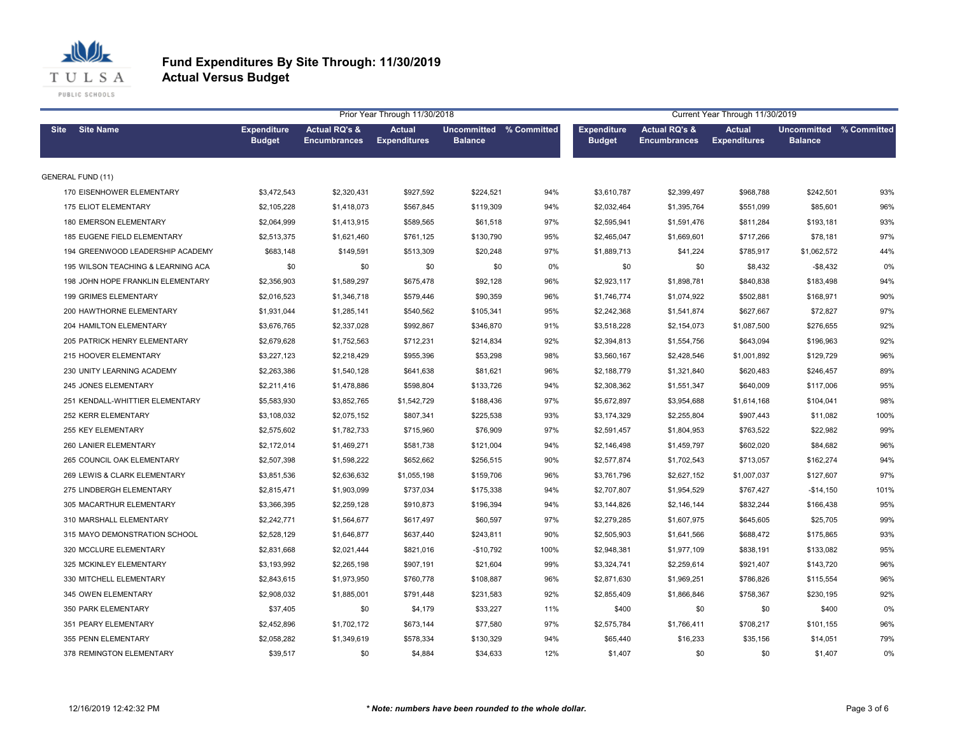

|                                    |                                     |                                                 | Prior Year Through 11/30/2018        |                                           | Current Year Through 11/30/2019 |                                     |                                                 |                                      |                                           |      |
|------------------------------------|-------------------------------------|-------------------------------------------------|--------------------------------------|-------------------------------------------|---------------------------------|-------------------------------------|-------------------------------------------------|--------------------------------------|-------------------------------------------|------|
| <b>Site Name</b><br><b>Site</b>    | <b>Expenditure</b><br><b>Budget</b> | <b>Actual RQ's &amp;</b><br><b>Encumbrances</b> | <b>Actual</b><br><b>Expenditures</b> | Uncommitted % Committed<br><b>Balance</b> |                                 | <b>Expenditure</b><br><b>Budget</b> | <b>Actual RQ's &amp;</b><br><b>Encumbrances</b> | <b>Actual</b><br><b>Expenditures</b> | Uncommitted % Committed<br><b>Balance</b> |      |
| <b>GENERAL FUND (11)</b>           |                                     |                                                 |                                      |                                           |                                 |                                     |                                                 |                                      |                                           |      |
| 170 EISENHOWER ELEMENTARY          | \$3,472,543                         | \$2,320,431                                     | \$927,592                            | \$224,521                                 | 94%                             | \$3,610,787                         | \$2,399,497                                     | \$968,788                            | \$242,501                                 | 93%  |
| 175 ELIOT ELEMENTARY               | \$2,105,228                         | \$1,418,073                                     | \$567,845                            | \$119,309                                 | 94%                             | \$2,032,464                         | \$1,395,764                                     | \$551,099                            | \$85,601                                  | 96%  |
| <b>180 EMERSON ELEMENTARY</b>      | \$2,064,999                         | \$1,413,915                                     | \$589,565                            | \$61,518                                  | 97%                             | \$2,595,941                         | \$1,591,476                                     | \$811,284                            | \$193,181                                 | 93%  |
| 185 EUGENE FIELD ELEMENTARY        | \$2,513,375                         | \$1,621,460                                     | \$761,125                            | \$130,790                                 | 95%                             | \$2,465,047                         | \$1,669,601                                     | \$717,266                            | \$78,181                                  | 97%  |
| 194 GREENWOOD LEADERSHIP ACADEMY   | \$683,148                           | \$149,591                                       | \$513,309                            | \$20,248                                  | 97%                             | \$1,889,713                         | \$41,224                                        | \$785,917                            | \$1,062,572                               | 44%  |
| 195 WILSON TEACHING & LEARNING ACA | \$0                                 | \$0                                             | \$0                                  | \$0                                       | 0%                              | \$0                                 | \$0                                             | \$8,432                              | $-$8,432$                                 | 0%   |
| 198 JOHN HOPE FRANKLIN ELEMENTARY  | \$2,356,903                         | \$1,589,297                                     | \$675,478                            | \$92,128                                  | 96%                             | \$2,923,117                         | \$1,898,781                                     | \$840,838                            | \$183,498                                 | 94%  |
| 199 GRIMES ELEMENTARY              | \$2,016,523                         | \$1,346,718                                     | \$579,446                            | \$90,359                                  | 96%                             | \$1,746,774                         | \$1,074,922                                     | \$502,881                            | \$168,971                                 | 90%  |
| 200 HAWTHORNE ELEMENTARY           | \$1,931,044                         | \$1,285,141                                     | \$540,562                            | \$105,341                                 | 95%                             | \$2,242,368                         | \$1,541,874                                     | \$627,667                            | \$72,827                                  | 97%  |
| 204 HAMILTON ELEMENTARY            | \$3,676,765                         | \$2,337,028                                     | \$992,867                            | \$346,870                                 | 91%                             | \$3,518,228                         | \$2,154,073                                     | \$1,087,500                          | \$276,655                                 | 92%  |
| 205 PATRICK HENRY ELEMENTARY       | \$2,679,628                         | \$1,752,563                                     | \$712,231                            | \$214,834                                 | 92%                             | \$2,394,813                         | \$1,554,756                                     | \$643,094                            | \$196,963                                 | 92%  |
| 215 HOOVER ELEMENTARY              | \$3,227,123                         | \$2,218,429                                     | \$955,396                            | \$53,298                                  | 98%                             | \$3,560,167                         | \$2,428,546                                     | \$1,001,892                          | \$129,729                                 | 96%  |
| 230 UNITY LEARNING ACADEMY         | \$2,263,386                         | \$1,540,128                                     | \$641,638                            | \$81,621                                  | 96%                             | \$2,188,779                         | \$1,321,840                                     | \$620,483                            | \$246,457                                 | 89%  |
| 245 JONES ELEMENTARY               | \$2,211,416                         | \$1,478,886                                     | \$598,804                            | \$133,726                                 | 94%                             | \$2,308,362                         | \$1,551,347                                     | \$640,009                            | \$117,006                                 | 95%  |
| 251 KENDALL-WHITTIER ELEMENTARY    | \$5,583,930                         | \$3,852,765                                     | \$1,542,729                          | \$188,436                                 | 97%                             | \$5,672,897                         | \$3,954,688                                     | \$1,614,168                          | \$104,041                                 | 98%  |
| 252 KERR ELEMENTARY                | \$3,108,032                         | \$2,075,152                                     | \$807,341                            | \$225,538                                 | 93%                             | \$3,174,329                         | \$2,255,804                                     | \$907,443                            | \$11,082                                  | 100% |
| 255 KEY ELEMENTARY                 | \$2,575,602                         | \$1,782,733                                     | \$715,960                            | \$76,909                                  | 97%                             | \$2,591,457                         | \$1,804,953                                     | \$763,522                            | \$22,982                                  | 99%  |
| 260 LANIER ELEMENTARY              | \$2,172,014                         | \$1,469,271                                     | \$581,738                            | \$121,004                                 | 94%                             | \$2,146,498                         | \$1,459,797                                     | \$602,020                            | \$84,682                                  | 96%  |
| 265 COUNCIL OAK ELEMENTARY         | \$2,507,398                         | \$1,598,222                                     | \$652,662                            | \$256,515                                 | 90%                             | \$2,577,874                         | \$1,702,543                                     | \$713,057                            | \$162,274                                 | 94%  |
| 269 LEWIS & CLARK ELEMENTARY       | \$3,851,536                         | \$2,636,632                                     | \$1,055,198                          | \$159,706                                 | 96%                             | \$3,761,796                         | \$2,627,152                                     | \$1,007,037                          | \$127,607                                 | 97%  |
| 275 LINDBERGH ELEMENTARY           | \$2,815,471                         | \$1,903,099                                     | \$737,034                            | \$175,338                                 | 94%                             | \$2,707,807                         | \$1,954,529                                     | \$767,427                            | $-$14,150$                                | 101% |
| 305 MACARTHUR ELEMENTARY           | \$3,366,395                         | \$2,259,128                                     | \$910,873                            | \$196,394                                 | 94%                             | \$3,144,826                         | \$2,146,144                                     | \$832,244                            | \$166,438                                 | 95%  |
| 310 MARSHALL ELEMENTARY            | \$2,242,771                         | \$1,564,677                                     | \$617,497                            | \$60,597                                  | 97%                             | \$2,279,285                         | \$1,607,975                                     | \$645,605                            | \$25,705                                  | 99%  |
| 315 MAYO DEMONSTRATION SCHOOL      | \$2,528,129                         | \$1,646,877                                     | \$637,440                            | \$243,811                                 | 90%                             | \$2,505,903                         | \$1,641,566                                     | \$688,472                            | \$175,865                                 | 93%  |
| 320 MCCLURE ELEMENTARY             | \$2,831,668                         | \$2,021,444                                     | \$821,016                            | $-$10,792$                                | 100%                            | \$2,948,381                         | \$1,977,109                                     | \$838,191                            | \$133,082                                 | 95%  |
| 325 MCKINLEY ELEMENTARY            | \$3,193,992                         | \$2,265,198                                     | \$907,191                            | \$21,604                                  | 99%                             | \$3,324,741                         | \$2,259,614                                     | \$921,407                            | \$143,720                                 | 96%  |
| 330 MITCHELL ELEMENTARY            | \$2,843,615                         | \$1,973,950                                     | \$760,778                            | \$108,887                                 | 96%                             | \$2,871,630                         | \$1,969,251                                     | \$786,826                            | \$115,554                                 | 96%  |
| 345 OWEN ELEMENTARY                | \$2,908,032                         | \$1,885,001                                     | \$791,448                            | \$231,583                                 | 92%                             | \$2,855,409                         | \$1,866,846                                     | \$758,367                            | \$230,195                                 | 92%  |
| 350 PARK ELEMENTARY                | \$37,405                            | \$0                                             | \$4,179                              | \$33,227                                  | 11%                             | \$400                               | \$0                                             | \$0                                  | \$400                                     | 0%   |
| 351 PEARY ELEMENTARY               | \$2,452,896                         | \$1,702,172                                     | \$673,144                            | \$77,580                                  | 97%                             | \$2,575,784                         | \$1,766,411                                     | \$708,217                            | \$101,155                                 | 96%  |
| 355 PENN ELEMENTARY                | \$2,058,282                         | \$1,349,619                                     | \$578,334                            | \$130,329                                 | 94%                             | \$65,440                            | \$16,233                                        | \$35,156                             | \$14,051                                  | 79%  |
| 378 REMINGTON ELEMENTARY           | \$39,517                            | \$0                                             | \$4,884                              | \$34,633                                  | 12%                             | \$1,407                             | \$0                                             | \$0                                  | \$1,407                                   | 0%   |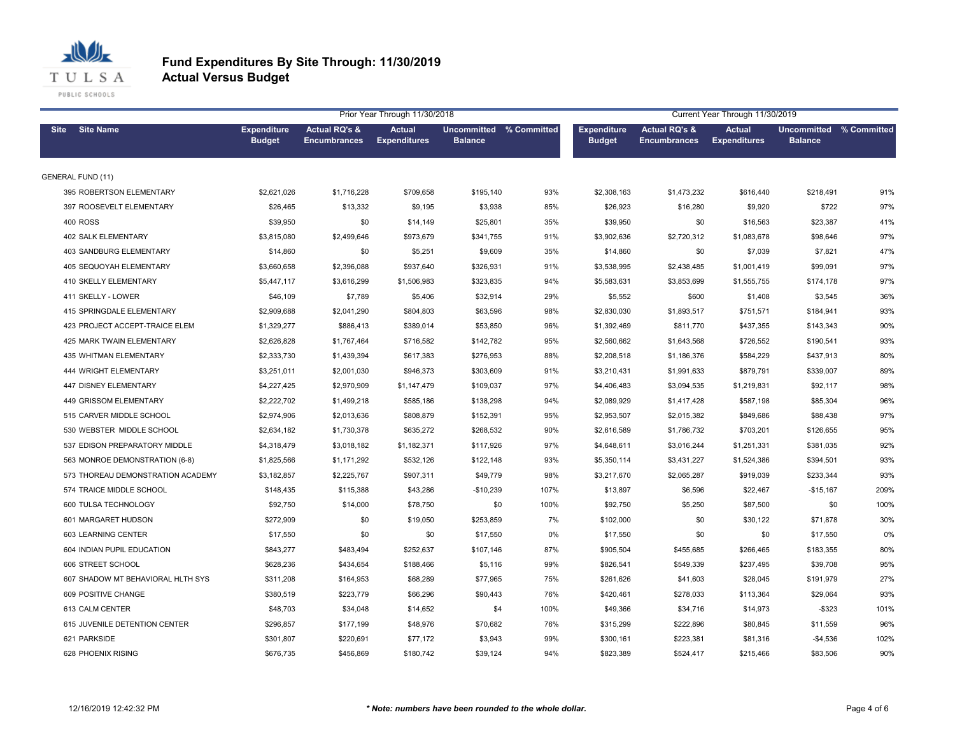

|                                   |                                     |                                                 | Prior Year Through 11/30/2018        |                                                  |      | Current Year Through 11/30/2019     |                                                 |                                      |                                                  |      |
|-----------------------------------|-------------------------------------|-------------------------------------------------|--------------------------------------|--------------------------------------------------|------|-------------------------------------|-------------------------------------------------|--------------------------------------|--------------------------------------------------|------|
| <b>Site Name</b><br><b>Site</b>   | <b>Expenditure</b><br><b>Budget</b> | <b>Actual RQ's &amp;</b><br><b>Encumbrances</b> | <b>Actual</b><br><b>Expenditures</b> | <b>Uncommitted % Committed</b><br><b>Balance</b> |      | <b>Expenditure</b><br><b>Budget</b> | <b>Actual RQ's &amp;</b><br><b>Encumbrances</b> | <b>Actual</b><br><b>Expenditures</b> | <b>Uncommitted % Committed</b><br><b>Balance</b> |      |
| <b>GENERAL FUND (11)</b>          |                                     |                                                 |                                      |                                                  |      |                                     |                                                 |                                      |                                                  |      |
| 395 ROBERTSON ELEMENTARY          | \$2,621,026                         | \$1,716,228                                     | \$709,658                            | \$195,140                                        | 93%  | \$2,308,163                         | \$1,473,232                                     | \$616,440                            | \$218,491                                        | 91%  |
| 397 ROOSEVELT ELEMENTARY          | \$26,465                            | \$13,332                                        | \$9,195                              | \$3,938                                          | 85%  | \$26,923                            | \$16,280                                        | \$9,920                              | \$722                                            | 97%  |
| <b>400 ROSS</b>                   | \$39,950                            | \$0                                             | \$14,149                             | \$25,801                                         | 35%  | \$39,950                            | \$0                                             | \$16,563                             | \$23,387                                         | 41%  |
| 402 SALK ELEMENTARY               | \$3,815,080                         | \$2,499,646                                     | \$973,679                            | \$341,755                                        | 91%  | \$3,902,636                         | \$2,720,312                                     | \$1,083,678                          | \$98,646                                         | 97%  |
| 403 SANDBURG ELEMENTARY           | \$14,860                            | \$0                                             | \$5,251                              | \$9,609                                          | 35%  | \$14,860                            | \$0                                             | \$7,039                              | \$7,821                                          | 47%  |
| 405 SEQUOYAH ELEMENTARY           | \$3,660,658                         | \$2,396,088                                     | \$937,640                            | \$326,931                                        | 91%  | \$3,538,995                         | \$2,438,485                                     | \$1,001,419                          | \$99,091                                         | 97%  |
| 410 SKELLY ELEMENTARY             | \$5,447,117                         | \$3,616,299                                     | \$1,506,983                          | \$323,835                                        | 94%  | \$5,583,631                         | \$3,853,699                                     | \$1,555,755                          | \$174,178                                        | 97%  |
| 411 SKELLY - LOWER                | \$46,109                            | \$7,789                                         | \$5,406                              | \$32,914                                         | 29%  | \$5,552                             | \$600                                           | \$1,408                              | \$3,545                                          | 36%  |
| 415 SPRINGDALE ELEMENTARY         | \$2,909,688                         | \$2,041,290                                     | \$804,803                            | \$63,596                                         | 98%  | \$2,830,030                         | \$1,893,517                                     | \$751,571                            | \$184,941                                        | 93%  |
| 423 PROJECT ACCEPT-TRAICE ELEM    | \$1,329,277                         | \$886,413                                       | \$389,014                            | \$53,850                                         | 96%  | \$1,392,469                         | \$811,770                                       | \$437,355                            | \$143,343                                        | 90%  |
| 425 MARK TWAIN ELEMENTARY         | \$2,626,828                         | \$1,767,464                                     | \$716,582                            | \$142,782                                        | 95%  | \$2,560,662                         | \$1,643,568                                     | \$726,552                            | \$190,541                                        | 93%  |
| 435 WHITMAN ELEMENTARY            | \$2,333,730                         | \$1,439,394                                     | \$617,383                            | \$276,953                                        | 88%  | \$2,208,518                         | \$1,186,376                                     | \$584,229                            | \$437,913                                        | 80%  |
| 444 WRIGHT ELEMENTARY             | \$3,251,011                         | \$2,001,030                                     | \$946,373                            | \$303,609                                        | 91%  | \$3,210,431                         | \$1,991,633                                     | \$879,791                            | \$339,007                                        | 89%  |
| 447 DISNEY ELEMENTARY             | \$4,227,425                         | \$2,970,909                                     | \$1,147,479                          | \$109,037                                        | 97%  | \$4,406,483                         | \$3,094,535                                     | \$1,219,831                          | \$92,117                                         | 98%  |
| 449 GRISSOM ELEMENTARY            | \$2,222,702                         | \$1,499,218                                     | \$585,186                            | \$138,298                                        | 94%  | \$2,089,929                         | \$1,417,428                                     | \$587,198                            | \$85,304                                         | 96%  |
| 515 CARVER MIDDLE SCHOOL          | \$2,974,906                         | \$2,013,636                                     | \$808,879                            | \$152,391                                        | 95%  | \$2,953,507                         | \$2,015,382                                     | \$849,686                            | \$88,438                                         | 97%  |
| 530 WEBSTER MIDDLE SCHOOL         | \$2,634,182                         | \$1,730,378                                     | \$635,272                            | \$268,532                                        | 90%  | \$2,616,589                         | \$1,786,732                                     | \$703,201                            | \$126,655                                        | 95%  |
| 537 EDISON PREPARATORY MIDDLE     | \$4,318,479                         | \$3,018,182                                     | \$1,182,371                          | \$117,926                                        | 97%  | \$4,648,611                         | \$3,016,244                                     | \$1,251,331                          | \$381,035                                        | 92%  |
| 563 MONROE DEMONSTRATION (6-8)    | \$1,825,566                         | \$1,171,292                                     | \$532,126                            | \$122,148                                        | 93%  | \$5,350,114                         | \$3,431,227                                     | \$1,524,386                          | \$394,501                                        | 93%  |
| 573 THOREAU DEMONSTRATION ACADEMY | \$3,182,857                         | \$2,225,767                                     | \$907,311                            | \$49,779                                         | 98%  | \$3,217,670                         | \$2,065,287                                     | \$919,039                            | \$233,344                                        | 93%  |
| 574 TRAICE MIDDLE SCHOOL          | \$148,435                           | \$115,388                                       | \$43,286                             | $-$10,239$                                       | 107% | \$13,897                            | \$6,596                                         | \$22,467                             | $-$15,167$                                       | 209% |
| 600 TULSA TECHNOLOGY              | \$92,750                            | \$14,000                                        | \$78,750                             | \$0                                              | 100% | \$92,750                            | \$5,250                                         | \$87,500                             | \$0                                              | 100% |
| 601 MARGARET HUDSON               | \$272,909                           | \$0                                             | \$19,050                             | \$253,859                                        | 7%   | \$102,000                           | \$0                                             | \$30,122                             | \$71,878                                         | 30%  |
| 603 LEARNING CENTER               | \$17,550                            | \$0                                             | \$0                                  | \$17,550                                         | 0%   | \$17,550                            | \$0                                             | \$0                                  | \$17,550                                         | 0%   |
| 604 INDIAN PUPIL EDUCATION        | \$843,277                           | \$483,494                                       | \$252,637                            | \$107,146                                        | 87%  | \$905,504                           | \$455,685                                       | \$266,465                            | \$183,355                                        | 80%  |
| 606 STREET SCHOOL                 | \$628,236                           | \$434,654                                       | \$188,466                            | \$5,116                                          | 99%  | \$826,541                           | \$549,339                                       | \$237,495                            | \$39,708                                         | 95%  |
| 607 SHADOW MT BEHAVIORAL HLTH SYS | \$311,208                           | \$164,953                                       | \$68,289                             | \$77,965                                         | 75%  | \$261,626                           | \$41,603                                        | \$28,045                             | \$191,979                                        | 27%  |
| 609 POSITIVE CHANGE               | \$380,519                           | \$223,779                                       | \$66,296                             | \$90,443                                         | 76%  | \$420,461                           | \$278,033                                       | \$113,364                            | \$29,064                                         | 93%  |
| 613 CALM CENTER                   | \$48,703                            | \$34,048                                        | \$14,652                             | \$4                                              | 100% | \$49,366                            | \$34,716                                        | \$14,973                             | $-$ \$323                                        | 101% |
| 615 JUVENILE DETENTION CENTER     | \$296,857                           | \$177,199                                       | \$48,976                             | \$70,682                                         | 76%  | \$315,299                           | \$222,896                                       | \$80,845                             | \$11,559                                         | 96%  |
| 621 PARKSIDE                      | \$301,807                           | \$220,691                                       | \$77,172                             | \$3,943                                          | 99%  | \$300,161                           | \$223,381                                       | \$81,316                             | $-$4,536$                                        | 102% |
| 628 PHOENIX RISING                | \$676,735                           | \$456,869                                       | \$180,742                            | \$39,124                                         | 94%  | \$823,389                           | \$524,417                                       | \$215,466                            | \$83,506                                         | 90%  |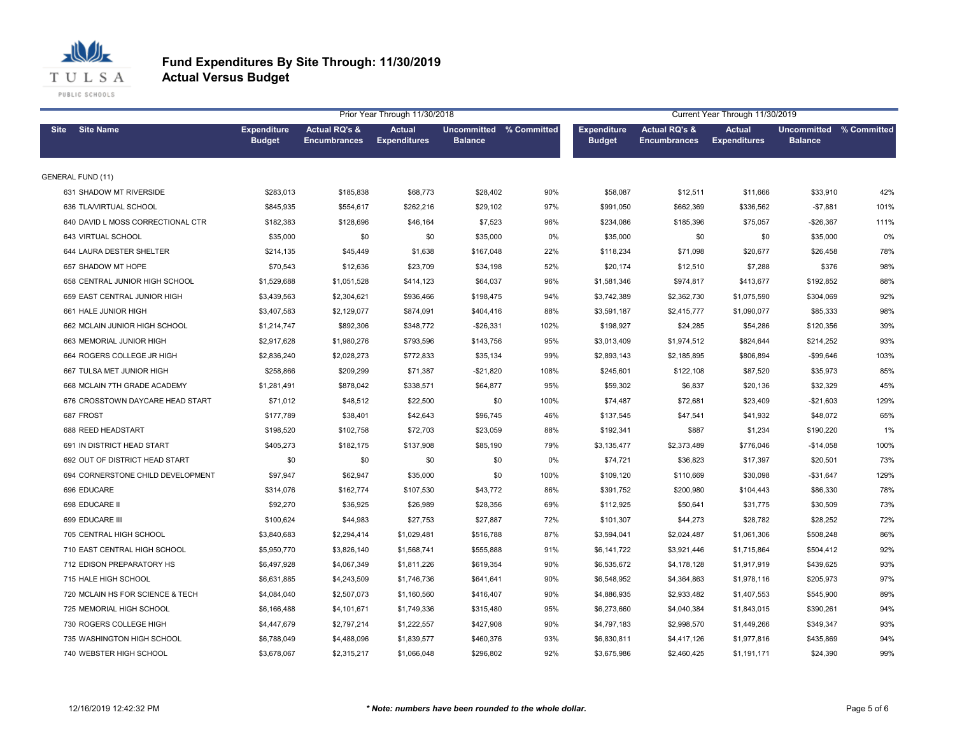

|                                   |                                     |                                                 | Prior Year Through 11/30/2018        |                                           |      | Current Year Through 11/30/2019     |                                                 |                                      |                                                  |      |
|-----------------------------------|-------------------------------------|-------------------------------------------------|--------------------------------------|-------------------------------------------|------|-------------------------------------|-------------------------------------------------|--------------------------------------|--------------------------------------------------|------|
| <b>Site Name</b><br><b>Site</b>   | <b>Expenditure</b><br><b>Budget</b> | <b>Actual RQ's &amp;</b><br><b>Encumbrances</b> | <b>Actual</b><br><b>Expenditures</b> | Uncommitted % Committed<br><b>Balance</b> |      | <b>Expenditure</b><br><b>Budget</b> | <b>Actual RQ's &amp;</b><br><b>Encumbrances</b> | <b>Actual</b><br><b>Expenditures</b> | <b>Uncommitted % Committed</b><br><b>Balance</b> |      |
| <b>GENERAL FUND (11)</b>          |                                     |                                                 |                                      |                                           |      |                                     |                                                 |                                      |                                                  |      |
| 631 SHADOW MT RIVERSIDE           | \$283,013                           | \$185,838                                       | \$68,773                             | \$28,402                                  | 90%  | \$58,087                            | \$12,511                                        | \$11,666                             | \$33,910                                         | 42%  |
| 636 TLA/VIRTUAL SCHOOL            | \$845,935                           | \$554,617                                       | \$262,216                            | \$29,102                                  | 97%  | \$991,050                           | \$662,369                                       | \$336,562                            | $-$7,881$                                        | 101% |
| 640 DAVID L MOSS CORRECTIONAL CTR | \$182,383                           | \$128,696                                       | \$46,164                             | \$7,523                                   | 96%  | \$234,086                           | \$185,396                                       | \$75,057                             | $-$26,367$                                       | 111% |
| 643 VIRTUAL SCHOOL                | \$35,000                            | \$0                                             | \$0                                  | \$35,000                                  | 0%   | \$35,000                            | \$0                                             | \$0                                  | \$35,000                                         | 0%   |
| 644 LAURA DESTER SHELTER          | \$214,135                           | \$45,449                                        | \$1,638                              | \$167,048                                 | 22%  | \$118,234                           | \$71,098                                        | \$20,677                             | \$26,458                                         | 78%  |
| 657 SHADOW MT HOPE                | \$70,543                            | \$12,636                                        | \$23,709                             | \$34,198                                  | 52%  | \$20,174                            | \$12,510                                        | \$7,288                              | \$376                                            | 98%  |
| 658 CENTRAL JUNIOR HIGH SCHOOL    | \$1,529,688                         | \$1,051,528                                     | \$414,123                            | \$64,037                                  | 96%  | \$1,581,346                         | \$974,817                                       | \$413,677                            | \$192,852                                        | 88%  |
| 659 EAST CENTRAL JUNIOR HIGH      | \$3,439,563                         | \$2,304,621                                     | \$936,466                            | \$198,475                                 | 94%  | \$3,742,389                         | \$2,362,730                                     | \$1,075,590                          | \$304,069                                        | 92%  |
| 661 HALE JUNIOR HIGH              | \$3,407,583                         | \$2,129,077                                     | \$874,091                            | \$404,416                                 | 88%  | \$3,591,187                         | \$2,415,777                                     | \$1,090,077                          | \$85,333                                         | 98%  |
| 662 MCLAIN JUNIOR HIGH SCHOOL     | \$1,214,747                         | \$892,306                                       | \$348,772                            | $-$26,331$                                | 102% | \$198,927                           | \$24,285                                        | \$54,286                             | \$120,356                                        | 39%  |
| 663 MEMORIAL JUNIOR HIGH          | \$2,917,628                         | \$1,980,276                                     | \$793,596                            | \$143,756                                 | 95%  | \$3,013,409                         | \$1,974,512                                     | \$824,644                            | \$214,252                                        | 93%  |
| 664 ROGERS COLLEGE JR HIGH        | \$2,836,240                         | \$2,028,273                                     | \$772,833                            | \$35,134                                  | 99%  | \$2,893,143                         | \$2,185,895                                     | \$806,894                            | $-$99,646$                                       | 103% |
| 667 TULSA MET JUNIOR HIGH         | \$258,866                           | \$209,299                                       | \$71,387                             | $-$21,820$                                | 108% | \$245,601                           | \$122,108                                       | \$87,520                             | \$35,973                                         | 85%  |
| 668 MCLAIN 7TH GRADE ACADEMY      | \$1,281,491                         | \$878,042                                       | \$338,571                            | \$64,877                                  | 95%  | \$59,302                            | \$6,837                                         | \$20,136                             | \$32,329                                         | 45%  |
| 676 CROSSTOWN DAYCARE HEAD START  | \$71.012                            | \$48,512                                        | \$22,500                             | \$0                                       | 100% | \$74,487                            | \$72,681                                        | \$23,409                             | $-$21,603$                                       | 129% |
| 687 FROST                         | \$177,789                           | \$38,401                                        | \$42,643                             | \$96,745                                  | 46%  | \$137,545                           | \$47,541                                        | \$41,932                             | \$48,072                                         | 65%  |
| 688 REED HEADSTART                | \$198,520                           | \$102,758                                       | \$72,703                             | \$23,059                                  | 88%  | \$192,341                           | \$887                                           | \$1,234                              | \$190,220                                        | 1%   |
| 691 IN DISTRICT HEAD START        | \$405,273                           | \$182,175                                       | \$137,908                            | \$85,190                                  | 79%  | \$3,135,477                         | \$2,373,489                                     | \$776,046                            | $-$14,058$                                       | 100% |
| 692 OUT OF DISTRICT HEAD START    | \$0                                 | \$0                                             | \$0                                  | \$0                                       | 0%   | \$74,721                            | \$36,823                                        | \$17,397                             | \$20,501                                         | 73%  |
| 694 CORNERSTONE CHILD DEVELOPMENT | \$97,947                            | \$62,947                                        | \$35,000                             | \$0                                       | 100% | \$109,120                           | \$110,669                                       | \$30,098                             | $-$31,647$                                       | 129% |
| 696 EDUCARE                       | \$314,076                           | \$162,774                                       | \$107,530                            | \$43,772                                  | 86%  | \$391,752                           | \$200,980                                       | \$104,443                            | \$86,330                                         | 78%  |
| 698 EDUCARE II                    | \$92,270                            | \$36,925                                        | \$26,989                             | \$28,356                                  | 69%  | \$112,925                           | \$50,641                                        | \$31,775                             | \$30,509                                         | 73%  |
| 699 EDUCARE III                   | \$100,624                           | \$44,983                                        | \$27,753                             | \$27,887                                  | 72%  | \$101,307                           | \$44,273                                        | \$28,782                             | \$28,252                                         | 72%  |
| 705 CENTRAL HIGH SCHOOL           | \$3,840,683                         | \$2,294,414                                     | \$1,029,481                          | \$516,788                                 | 87%  | \$3,594,041                         | \$2,024,487                                     | \$1,061,306                          | \$508,248                                        | 86%  |
| 710 EAST CENTRAL HIGH SCHOOL      | \$5,950,770                         | \$3,826,140                                     | \$1,568,741                          | \$555,888                                 | 91%  | \$6,141,722                         | \$3,921,446                                     | \$1,715,864                          | \$504,412                                        | 92%  |
| 712 EDISON PREPARATORY HS         | \$6,497,928                         | \$4,067,349                                     | \$1,811,226                          | \$619,354                                 | 90%  | \$6,535,672                         | \$4,178,128                                     | \$1,917,919                          | \$439,625                                        | 93%  |
| 715 HALE HIGH SCHOOL              | \$6,631,885                         | \$4,243,509                                     | \$1,746,736                          | \$641,641                                 | 90%  | \$6,548,952                         | \$4,364,863                                     | \$1,978,116                          | \$205,973                                        | 97%  |
| 720 MCLAIN HS FOR SCIENCE & TECH  | \$4,084,040                         | \$2,507,073                                     | \$1,160,560                          | \$416,407                                 | 90%  | \$4,886,935                         | \$2,933,482                                     | \$1,407,553                          | \$545,900                                        | 89%  |
| 725 MEMORIAL HIGH SCHOOL          | \$6,166,488                         | \$4,101,671                                     | \$1,749,336                          | \$315,480                                 | 95%  | \$6,273,660                         | \$4,040,384                                     | \$1,843,015                          | \$390,261                                        | 94%  |
| 730 ROGERS COLLEGE HIGH           | \$4,447,679                         | \$2,797,214                                     | \$1,222,557                          | \$427,908                                 | 90%  | \$4,797,183                         | \$2,998,570                                     | \$1,449,266                          | \$349,347                                        | 93%  |
| 735 WASHINGTON HIGH SCHOOL        | \$6,788,049                         | \$4,488,096                                     | \$1,839,577                          | \$460,376                                 | 93%  | \$6,830,811                         | \$4,417,126                                     | \$1,977,816                          | \$435,869                                        | 94%  |
| 740 WEBSTER HIGH SCHOOL           | \$3,678,067                         | \$2,315,217                                     | \$1,066,048                          | \$296,802                                 | 92%  | \$3,675,986                         | \$2,460,425                                     | \$1,191,171                          | \$24,390                                         | 99%  |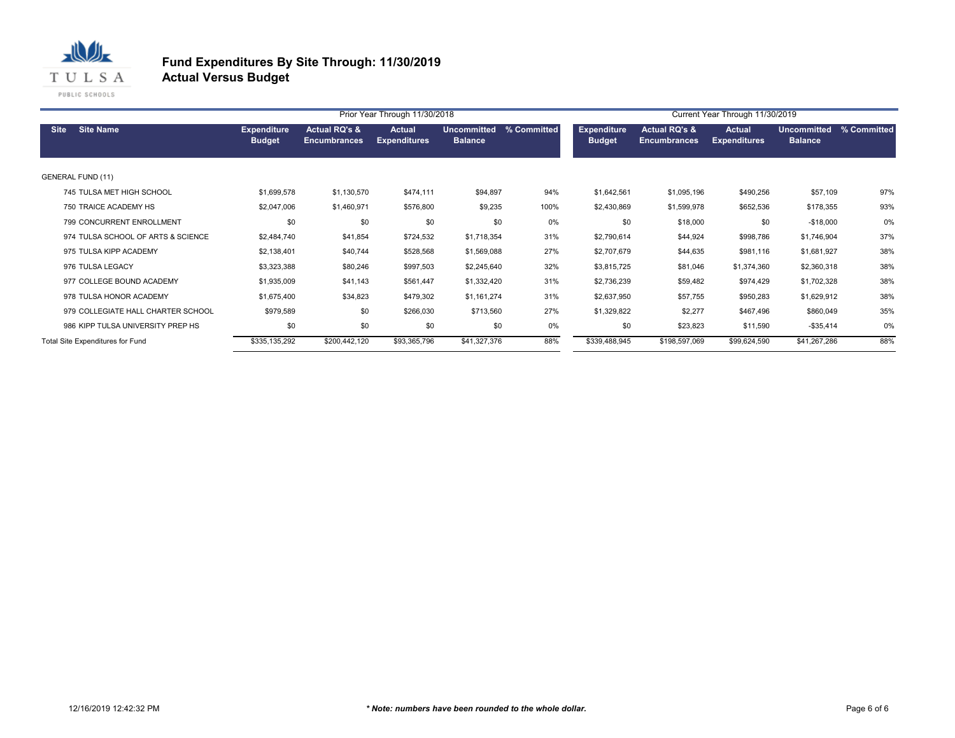

|                                    |                                     |                                                 | Prior Year Through 11/30/2018        |                                      | Current Year Through 11/30/2019 |                                     |                                                 |                                      |                                      |             |
|------------------------------------|-------------------------------------|-------------------------------------------------|--------------------------------------|--------------------------------------|---------------------------------|-------------------------------------|-------------------------------------------------|--------------------------------------|--------------------------------------|-------------|
| <b>Site Name</b><br><b>Site</b>    | <b>Expenditure</b><br><b>Budget</b> | <b>Actual RQ's &amp;</b><br><b>Encumbrances</b> | <b>Actual</b><br><b>Expenditures</b> | <b>Uncommitted</b><br><b>Balance</b> | % Committed                     | <b>Expenditure</b><br><b>Budget</b> | <b>Actual RQ's &amp;</b><br><b>Encumbrances</b> | <b>Actual</b><br><b>Expenditures</b> | <b>Uncommitted</b><br><b>Balance</b> | % Committed |
| <b>GENERAL FUND (11)</b>           |                                     |                                                 |                                      |                                      |                                 |                                     |                                                 |                                      |                                      |             |
| 745 TULSA MET HIGH SCHOOL          | \$1,699,578                         | \$1,130,570                                     | \$474,111                            | \$94,897                             | 94%                             | \$1,642,561                         | \$1,095,196                                     | \$490,256                            | \$57,109                             | 97%         |
| 750 TRAICE ACADEMY HS              | \$2,047,006                         | \$1,460,971                                     | \$576,800                            | \$9,235                              | 100%                            | \$2,430,869                         | \$1,599,978                                     | \$652,536                            | \$178,355                            | 93%         |
| 799 CONCURRENT ENROLLMENT          | \$0                                 | \$0                                             | \$0                                  | \$0                                  | 0%                              | \$0                                 | \$18,000                                        | \$0                                  | $-$18,000$                           | 0%          |
| 974 TULSA SCHOOL OF ARTS & SCIENCE | \$2,484,740                         | \$41,854                                        | \$724,532                            | \$1,718,354                          | 31%                             | \$2,790,614                         | \$44,924                                        | \$998,786                            | \$1,746,904                          | 37%         |
| 975 TULSA KIPP ACADEMY             | \$2,138,401                         | \$40,744                                        | \$528,568                            | \$1,569,088                          | 27%                             | \$2,707,679                         | \$44,635                                        | \$981,116                            | \$1,681,927                          | 38%         |
| 976 TULSA LEGACY                   | \$3,323,388                         | \$80,246                                        | \$997,503                            | \$2,245,640                          | 32%                             | \$3,815,725                         | \$81,046                                        | \$1,374,360                          | \$2,360,318                          | 38%         |
| 977 COLLEGE BOUND ACADEMY          | \$1,935,009                         | \$41,143                                        | \$561,447                            | \$1,332,420                          | 31%                             | \$2,736,239                         | \$59,482                                        | \$974,429                            | \$1,702,328                          | 38%         |
| 978 TULSA HONOR ACADEMY            | \$1,675,400                         | \$34,823                                        | \$479,302                            | \$1,161,274                          | 31%                             | \$2,637,950                         | \$57,755                                        | \$950,283                            | \$1,629,912                          | 38%         |
| 979 COLLEGIATE HALL CHARTER SCHOOL | \$979,589                           | \$0                                             | \$266,030                            | \$713,560                            | 27%                             | \$1,329,822                         | \$2,277                                         | \$467,496                            | \$860,049                            | 35%         |
| 986 KIPP TULSA UNIVERSITY PREP HS  | \$0                                 | \$0                                             | \$0                                  | \$0                                  | 0%                              | \$0                                 | \$23,823                                        | \$11,590                             | $-$ \$35,414                         | 0%          |
| Total Site Expenditures for Fund   | \$335,135,292                       | \$200,442,120                                   | \$93,365,796                         | \$41,327,376                         | 88%                             | \$339,488,945                       | \$198,597,069                                   | \$99,624,590                         | \$41,267,286                         | 88%         |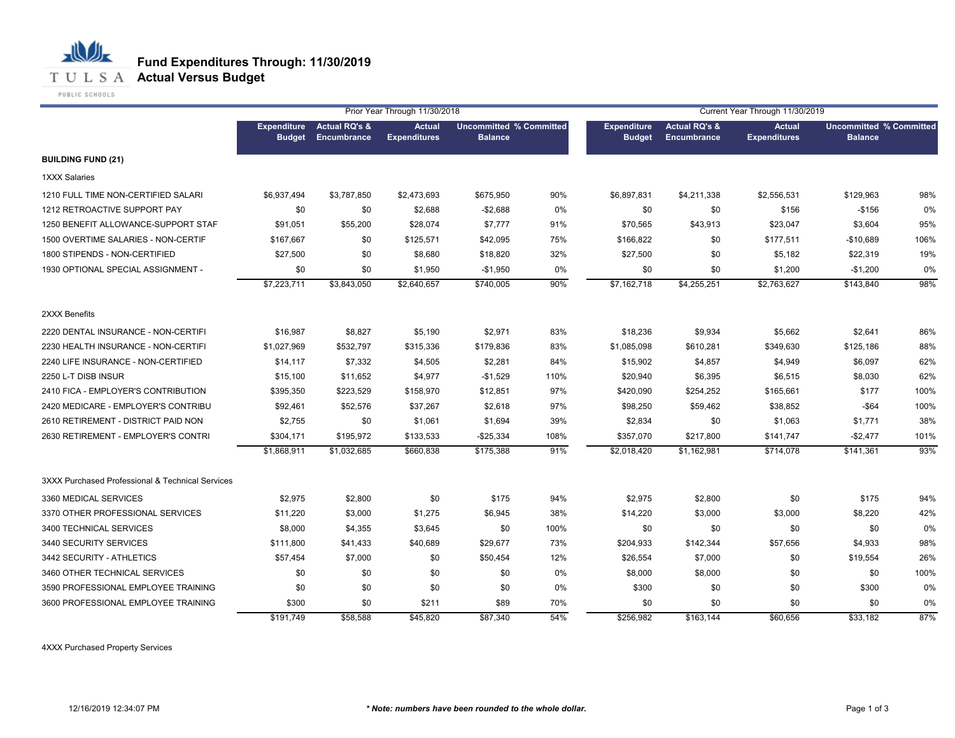

PUBLIC SCHOOLS

心儿

|                                                  |                                     | Prior Year Through 11/30/2018           |                                      |                                                  |      |                                     | Current Year Through 11/30/2019                |                                      |                                                  |      |  |
|--------------------------------------------------|-------------------------------------|-----------------------------------------|--------------------------------------|--------------------------------------------------|------|-------------------------------------|------------------------------------------------|--------------------------------------|--------------------------------------------------|------|--|
|                                                  | <b>Expenditure</b><br><b>Budget</b> | <b>Actual RQ's &amp;</b><br>Encumbrance | <b>Actual</b><br><b>Expenditures</b> | <b>Uncommitted % Committed</b><br><b>Balance</b> |      | <b>Expenditure</b><br><b>Budget</b> | <b>Actual RQ's &amp;</b><br><b>Encumbrance</b> | <b>Actual</b><br><b>Expenditures</b> | <b>Uncommitted % Committed</b><br><b>Balance</b> |      |  |
| <b>BUILDING FUND (21)</b>                        |                                     |                                         |                                      |                                                  |      |                                     |                                                |                                      |                                                  |      |  |
| <b>1XXX Salaries</b>                             |                                     |                                         |                                      |                                                  |      |                                     |                                                |                                      |                                                  |      |  |
| 1210 FULL TIME NON-CERTIFIED SALARI              | \$6,937,494                         | \$3,787,850                             | \$2,473,693                          | \$675,950                                        | 90%  | \$6,897,831                         | \$4,211,338                                    | \$2,556,531                          | \$129,963                                        | 98%  |  |
| 1212 RETROACTIVE SUPPORT PAY                     | \$0                                 | \$0                                     | \$2,688                              | $-$2,688$                                        | 0%   | \$0                                 | \$0                                            | \$156                                | $-$156$                                          | 0%   |  |
| 1250 BENEFIT ALLOWANCE-SUPPORT STAF              | \$91,051                            | \$55,200                                | \$28,074                             | \$7,777                                          | 91%  | \$70,565                            | \$43,913                                       | \$23,047                             | \$3,604                                          | 95%  |  |
| 1500 OVERTIME SALARIES - NON-CERTIF              | \$167,667                           | \$0                                     | \$125,571                            | \$42,095                                         | 75%  | \$166,822                           | \$0                                            | \$177,511                            | $-$10,689$                                       | 106% |  |
| 1800 STIPENDS - NON-CERTIFIED                    | \$27,500                            | \$0                                     | \$8,680                              | \$18,820                                         | 32%  | \$27,500                            | \$0                                            | \$5,182                              | \$22,319                                         | 19%  |  |
| 1930 OPTIONAL SPECIAL ASSIGNMENT -               | \$0                                 | \$0                                     | \$1,950                              | $-$1,950$                                        | 0%   | \$0                                 | \$0                                            | \$1,200                              | $-$1,200$                                        | 0%   |  |
|                                                  | \$7,223,711                         | \$3,843,050                             | \$2,640,657                          | \$740,005                                        | 90%  | \$7,162,718                         | \$4,255,251                                    | \$2,763,627                          | \$143,840                                        | 98%  |  |
| 2XXX Benefits                                    |                                     |                                         |                                      |                                                  |      |                                     |                                                |                                      |                                                  |      |  |
| 2220 DENTAL INSURANCE - NON-CERTIFI              | \$16,987                            | \$8,827                                 | \$5,190                              | \$2,971                                          | 83%  | \$18,236                            | \$9,934                                        | \$5,662                              | \$2,641                                          | 86%  |  |
| 2230 HEALTH INSURANCE - NON-CERTIFI              | \$1,027,969                         | \$532,797                               | \$315,336                            | \$179,836                                        | 83%  | \$1,085,098                         | \$610,281                                      | \$349,630                            | \$125,186                                        | 88%  |  |
| 2240 LIFE INSURANCE - NON-CERTIFIED              | \$14,117                            | \$7,332                                 | \$4,505                              | \$2,281                                          | 84%  | \$15,902                            | \$4,857                                        | \$4,949                              | \$6,097                                          | 62%  |  |
| 2250 L-T DISB INSUR                              | \$15,100                            | \$11,652                                | \$4,977                              | $-$1,529$                                        | 110% | \$20,940                            | \$6,395                                        | \$6,515                              | \$8,030                                          | 62%  |  |
| 2410 FICA - EMPLOYER'S CONTRIBUTION              | \$395,350                           | \$223,529                               | \$158,970                            | \$12,851                                         | 97%  | \$420,090                           | \$254,252                                      | \$165,661                            | \$177                                            | 100% |  |
| 2420 MEDICARE - EMPLOYER'S CONTRIBU              | \$92,461                            | \$52,576                                | \$37,267                             | \$2,618                                          | 97%  | \$98,250                            | \$59,462                                       | \$38,852                             | $-$ \$64                                         | 100% |  |
| 2610 RETIREMENT - DISTRICT PAID NON              | \$2,755                             | \$0                                     | \$1,061                              | \$1,694                                          | 39%  | \$2,834                             | \$0                                            | \$1,063                              | \$1,771                                          | 38%  |  |
| 2630 RETIREMENT - EMPLOYER'S CONTRI              | \$304,171                           | \$195,972                               | \$133,533                            | $-$25,334$                                       | 108% | \$357,070                           | \$217,800                                      | \$141,747                            | $-$2,477$                                        | 101% |  |
|                                                  | \$1,868,911                         | \$1,032,685                             | \$660,838                            | \$175,388                                        | 91%  | \$2,018,420                         | \$1,162,981                                    | \$714,078                            | \$141,361                                        | 93%  |  |
| 3XXX Purchased Professional & Technical Services |                                     |                                         |                                      |                                                  |      |                                     |                                                |                                      |                                                  |      |  |
| 3360 MEDICAL SERVICES                            | \$2,975                             | \$2,800                                 | \$0                                  | \$175                                            | 94%  | \$2,975                             | \$2,800                                        | \$0                                  | \$175                                            | 94%  |  |
| 3370 OTHER PROFESSIONAL SERVICES                 | \$11,220                            | \$3,000                                 | \$1,275                              | \$6,945                                          | 38%  | \$14,220                            | \$3,000                                        | \$3,000                              | \$8,220                                          | 42%  |  |
| 3400 TECHNICAL SERVICES                          | \$8,000                             | \$4,355                                 | \$3,645                              | \$0                                              | 100% | \$0                                 | \$0                                            | \$0                                  | \$0                                              | 0%   |  |
| 3440 SECURITY SERVICES                           | \$111,800                           | \$41,433                                | \$40,689                             | \$29,677                                         | 73%  | \$204,933                           | \$142,344                                      | \$57,656                             | \$4,933                                          | 98%  |  |
| 3442 SECURITY - ATHLETICS                        | \$57,454                            | \$7,000                                 | \$0                                  | \$50,454                                         | 12%  | \$26,554                            | \$7,000                                        | \$0                                  | \$19,554                                         | 26%  |  |
| 3460 OTHER TECHNICAL SERVICES                    | \$0                                 | \$0                                     | \$0                                  | \$0                                              | 0%   | \$8,000                             | \$8,000                                        | \$0                                  | \$0                                              | 100% |  |
| 3590 PROFESSIONAL EMPLOYEE TRAINING              | \$0                                 | \$0                                     | \$0                                  | \$0                                              | 0%   | \$300                               | \$0                                            | \$0                                  | \$300                                            | 0%   |  |
| 3600 PROFESSIONAL EMPLOYEE TRAINING              | \$300                               | \$0                                     | \$211                                | \$89                                             | 70%  | \$0                                 | \$0                                            | \$0                                  | \$0                                              | 0%   |  |
|                                                  | \$191,749                           | \$58,588                                | \$45,820                             | \$87,340                                         | 54%  | \$256,982                           | \$163,144                                      | \$60,656                             | \$33,182                                         | 87%  |  |

4XXX Purchased Property Services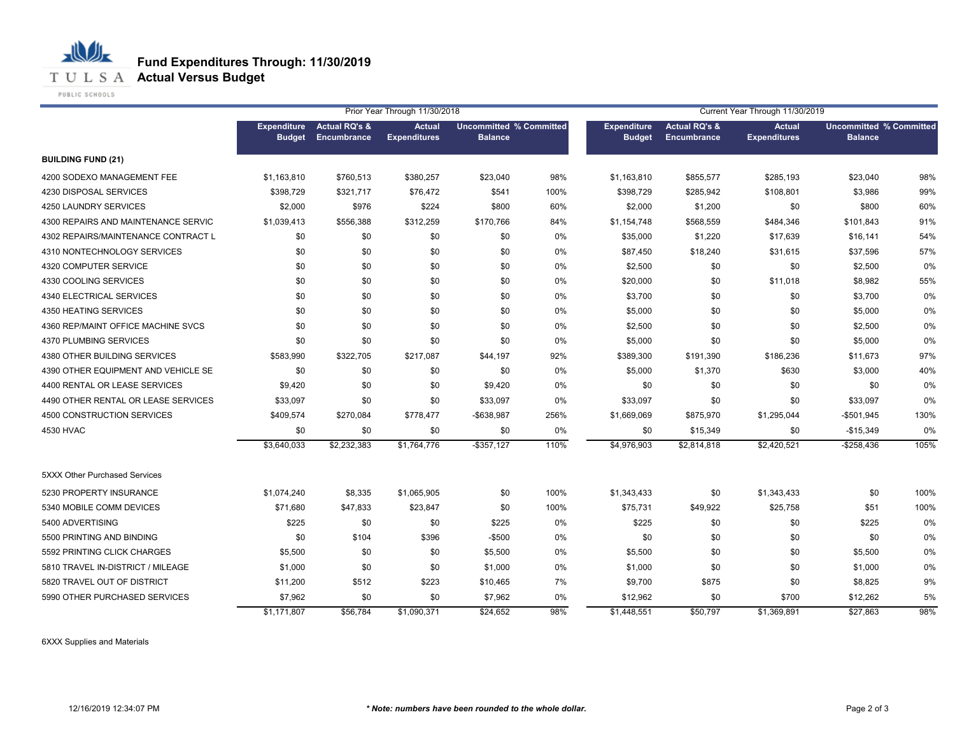

PUBLIC SCHOOLS

心儿

|                                     |                                     | Prior Year Through 11/30/2018           |                                      |                                                  |      | Current Year Through 11/30/2019     |                                         |                                      |                                                  |      |
|-------------------------------------|-------------------------------------|-----------------------------------------|--------------------------------------|--------------------------------------------------|------|-------------------------------------|-----------------------------------------|--------------------------------------|--------------------------------------------------|------|
|                                     | <b>Expenditure</b><br><b>Budget</b> | <b>Actual RQ's &amp;</b><br>Encumbrance | <b>Actual</b><br><b>Expenditures</b> | <b>Uncommitted % Committed</b><br><b>Balance</b> |      | <b>Expenditure</b><br><b>Budget</b> | <b>Actual RQ's &amp;</b><br>Encumbrance | <b>Actual</b><br><b>Expenditures</b> | <b>Uncommitted % Committed</b><br><b>Balance</b> |      |
| <b>BUILDING FUND (21)</b>           |                                     |                                         |                                      |                                                  |      |                                     |                                         |                                      |                                                  |      |
| 4200 SODEXO MANAGEMENT FEE          | \$1,163,810                         | \$760,513                               | \$380,257                            | \$23,040                                         | 98%  | \$1,163,810                         | \$855,577                               | \$285,193                            | \$23,040                                         | 98%  |
| 4230 DISPOSAL SERVICES              | \$398,729                           | \$321,717                               | \$76,472                             | \$541                                            | 100% | \$398,729                           | \$285,942                               | \$108,801                            | \$3,986                                          | 99%  |
| 4250 LAUNDRY SERVICES               | \$2,000                             | \$976                                   | \$224                                | \$800                                            | 60%  | \$2,000                             | \$1,200                                 | \$0                                  | \$800                                            | 60%  |
| 4300 REPAIRS AND MAINTENANCE SERVIC | \$1,039,413                         | \$556,388                               | \$312,259                            | \$170,766                                        | 84%  | \$1,154,748                         | \$568,559                               | \$484,346                            | \$101,843                                        | 91%  |
| 4302 REPAIRS/MAINTENANCE CONTRACT L | \$0                                 | \$0                                     | \$0                                  | \$0                                              | 0%   | \$35,000                            | \$1,220                                 | \$17,639                             | \$16,141                                         | 54%  |
| 4310 NONTECHNOLOGY SERVICES         | \$0                                 | \$0                                     | \$0                                  | \$0                                              | 0%   | \$87,450                            | \$18,240                                | \$31,615                             | \$37,596                                         | 57%  |
| 4320 COMPUTER SERVICE               | \$0                                 | \$0                                     | \$0                                  | \$0                                              | 0%   | \$2,500                             | \$0                                     | \$0                                  | \$2,500                                          | 0%   |
| 4330 COOLING SERVICES               | \$0                                 | \$0                                     | \$0                                  | \$0                                              | 0%   | \$20,000                            | \$0                                     | \$11,018                             | \$8,982                                          | 55%  |
| 4340 ELECTRICAL SERVICES            | \$0                                 | \$0                                     | \$0                                  | \$0                                              | 0%   | \$3,700                             | \$0                                     | \$0                                  | \$3,700                                          | 0%   |
| 4350 HEATING SERVICES               | \$0                                 | \$0                                     | \$0                                  | \$0                                              | 0%   | \$5,000                             | \$0                                     | \$0                                  | \$5,000                                          | 0%   |
| 4360 REP/MAINT OFFICE MACHINE SVCS  | \$0                                 | \$0                                     | \$0                                  | \$0                                              | 0%   | \$2,500                             | \$0                                     | \$0                                  | \$2,500                                          | 0%   |
| 4370 PLUMBING SERVICES              | \$0                                 | \$0                                     | \$0                                  | \$0                                              | 0%   | \$5,000                             | \$0                                     | \$0                                  | \$5,000                                          | 0%   |
| 4380 OTHER BUILDING SERVICES        | \$583,990                           | \$322,705                               | \$217,087                            | \$44,197                                         | 92%  | \$389,300                           | \$191,390                               | \$186,236                            | \$11,673                                         | 97%  |
| 4390 OTHER EQUIPMENT AND VEHICLE SE | \$0                                 | \$0                                     | \$0                                  | \$0                                              | 0%   | \$5,000                             | \$1,370                                 | \$630                                | \$3,000                                          | 40%  |
| 4400 RENTAL OR LEASE SERVICES       | \$9,420                             | \$0                                     | \$0                                  | \$9,420                                          | 0%   | \$0                                 | \$0                                     | \$0                                  | \$0                                              | 0%   |
| 4490 OTHER RENTAL OR LEASE SERVICES | \$33,097                            | \$0                                     | \$0                                  | \$33,097                                         | 0%   | \$33,097                            | \$0                                     | \$0                                  | \$33,097                                         | 0%   |
| 4500 CONSTRUCTION SERVICES          | \$409,574                           | \$270,084                               | \$778,477                            | -\$638,987                                       | 256% | \$1,669,069                         | \$875,970                               | \$1,295,044                          | $-$501,945$                                      | 130% |
| 4530 HVAC                           | \$0                                 | \$0                                     | \$0                                  | \$0                                              | 0%   | \$0                                 | \$15,349                                | \$0                                  | $-$15,349$                                       | 0%   |
|                                     | \$3,640,033                         | \$2,232,383                             | \$1,764,776                          | $-$357,127$                                      | 110% | \$4,976,903                         | \$2,814,818                             | \$2,420,521                          | $-$ \$258,436                                    | 105% |
| 5XXX Other Purchased Services       |                                     |                                         |                                      |                                                  |      |                                     |                                         |                                      |                                                  |      |
| 5230 PROPERTY INSURANCE             | \$1,074,240                         | \$8,335                                 | \$1,065,905                          | \$0                                              | 100% | \$1,343,433                         | \$0                                     | \$1,343,433                          | \$0                                              | 100% |
| 5340 MOBILE COMM DEVICES            | \$71,680                            | \$47,833                                | \$23,847                             | \$0                                              | 100% | \$75,731                            | \$49,922                                | \$25,758                             | \$51                                             | 100% |
| 5400 ADVERTISING                    | \$225                               | \$0                                     | \$0                                  | \$225                                            | 0%   | \$225                               | \$0                                     | \$0                                  | \$225                                            | 0%   |
| 5500 PRINTING AND BINDING           | \$0                                 | \$104                                   | \$396                                | $-$500$                                          | 0%   | \$0                                 | \$0                                     | \$0                                  | \$0                                              | 0%   |
| 5592 PRINTING CLICK CHARGES         | \$5,500                             | \$0                                     | \$0                                  | \$5,500                                          | 0%   | \$5,500                             | \$0                                     | \$0                                  | \$5,500                                          | 0%   |
| 5810 TRAVEL IN-DISTRICT / MILEAGE   | \$1,000                             | \$0                                     | \$0                                  | \$1,000                                          | 0%   | \$1,000                             | \$0                                     | \$0                                  | \$1,000                                          | 0%   |
| 5820 TRAVEL OUT OF DISTRICT         | \$11,200                            | \$512                                   | \$223                                | \$10,465                                         | 7%   | \$9,700                             | \$875                                   | \$0                                  | \$8,825                                          | 9%   |
| 5990 OTHER PURCHASED SERVICES       | \$7,962                             | \$0                                     | \$0                                  | \$7,962                                          | 0%   | \$12,962                            | \$0                                     | \$700                                | \$12,262                                         | 5%   |
|                                     | \$1,171,807                         | \$56,784                                | \$1,090,371                          | \$24,652                                         | 98%  | \$1,448,551                         | \$50,797                                | \$1,369,891                          | \$27,863                                         | 98%  |

6XXX Supplies and Materials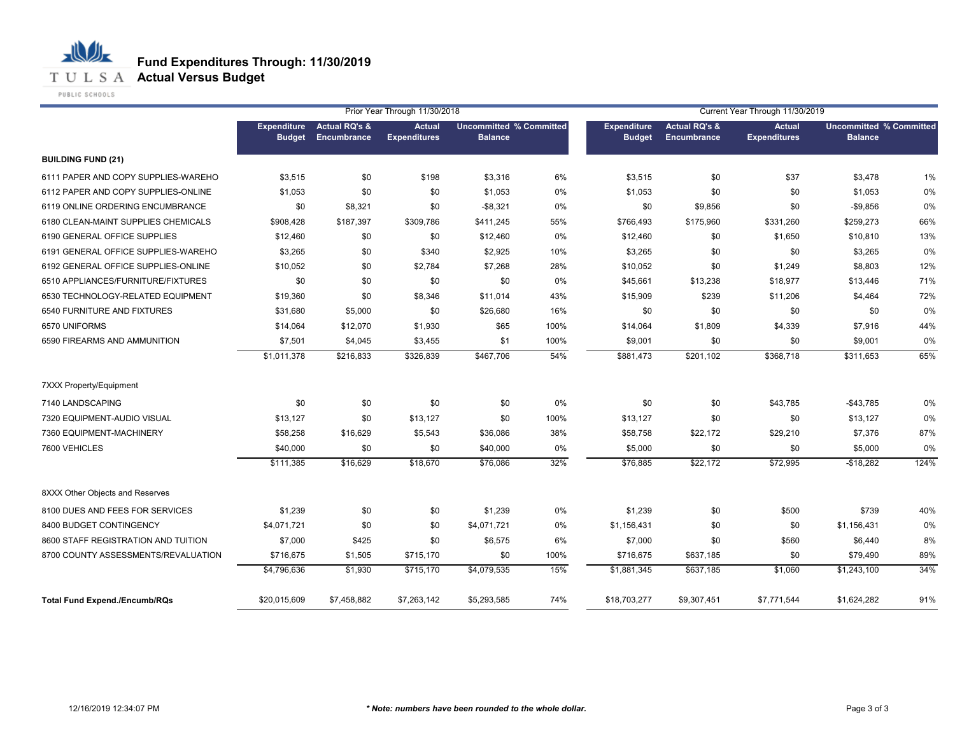

|                                      | Prior Year Through 11/30/2018       |                                         |                                      |                                                  | Current Year Through 11/30/2019 |                                     |                                         |                                      |                                                  |      |
|--------------------------------------|-------------------------------------|-----------------------------------------|--------------------------------------|--------------------------------------------------|---------------------------------|-------------------------------------|-----------------------------------------|--------------------------------------|--------------------------------------------------|------|
|                                      | <b>Expenditure</b><br><b>Budget</b> | <b>Actual RQ's &amp;</b><br>Encumbrance | <b>Actual</b><br><b>Expenditures</b> | <b>Uncommitted % Committed</b><br><b>Balance</b> |                                 | <b>Expenditure</b><br><b>Budget</b> | <b>Actual RQ's &amp;</b><br>Encumbrance | <b>Actual</b><br><b>Expenditures</b> | <b>Uncommitted % Committed</b><br><b>Balance</b> |      |
| <b>BUILDING FUND (21)</b>            |                                     |                                         |                                      |                                                  |                                 |                                     |                                         |                                      |                                                  |      |
| 6111 PAPER AND COPY SUPPLIES-WAREHO  | \$3,515                             | \$0                                     | \$198                                | \$3,316                                          | 6%                              | \$3,515                             | \$0                                     | \$37                                 | \$3,478                                          | 1%   |
| 6112 PAPER AND COPY SUPPLIES-ONLINE  | \$1,053                             | \$0                                     | \$0                                  | \$1,053                                          | 0%                              | \$1,053                             | \$0                                     | \$0                                  | \$1,053                                          | 0%   |
| 6119 ONLINE ORDERING ENCUMBRANCE     | \$0                                 | \$8,321                                 | \$0                                  | $-$8,321$                                        | 0%                              | \$0                                 | \$9,856                                 | \$0                                  | $-$9,856$                                        | 0%   |
| 6180 CLEAN-MAINT SUPPLIES CHEMICALS  | \$908,428                           | \$187,397                               | \$309,786                            | \$411,245                                        | 55%                             | \$766,493                           | \$175,960                               | \$331,260                            | \$259,273                                        | 66%  |
| 6190 GENERAL OFFICE SUPPLIES         | \$12,460                            | \$0                                     | \$0                                  | \$12,460                                         | 0%                              | \$12,460                            | \$0                                     | \$1,650                              | \$10,810                                         | 13%  |
| 6191 GENERAL OFFICE SUPPLIES-WAREHO  | \$3,265                             | \$0                                     | \$340                                | \$2,925                                          | 10%                             | \$3,265                             | \$0                                     | \$0                                  | \$3,265                                          | 0%   |
| 6192 GENERAL OFFICE SUPPLIES-ONLINE  | \$10,052                            | \$0                                     | \$2,784                              | \$7,268                                          | 28%                             | \$10,052                            | \$0                                     | \$1,249                              | \$8,803                                          | 12%  |
| 6510 APPLIANCES/FURNITURE/FIXTURES   | \$0                                 | \$0                                     | \$0                                  | \$0                                              | 0%                              | \$45,661                            | \$13,238                                | \$18,977                             | \$13,446                                         | 71%  |
| 6530 TECHNOLOGY-RELATED EQUIPMENT    | \$19,360                            | \$0                                     | \$8,346                              | \$11,014                                         | 43%                             | \$15,909                            | \$239                                   | \$11,206                             | \$4,464                                          | 72%  |
| 6540 FURNITURE AND FIXTURES          | \$31,680                            | \$5,000                                 | \$0                                  | \$26,680                                         | 16%                             | \$0                                 | \$0                                     | \$0                                  | \$0                                              | 0%   |
| 6570 UNIFORMS                        | \$14,064                            | \$12,070                                | \$1,930                              | \$65                                             | 100%                            | \$14,064                            | \$1,809                                 | \$4,339                              | \$7,916                                          | 44%  |
| 6590 FIREARMS AND AMMUNITION         | \$7,501                             | \$4,045                                 | \$3,455                              | \$1                                              | 100%                            | \$9,001                             | \$0                                     | \$0                                  | \$9,001                                          | 0%   |
|                                      | \$1,011,378                         | \$216,833                               | \$326,839                            | \$467,706                                        | 54%                             | \$881,473                           | \$201,102                               | \$368,718                            | \$311,653                                        | 65%  |
| 7XXX Property/Equipment              |                                     |                                         |                                      |                                                  |                                 |                                     |                                         |                                      |                                                  |      |
| 7140 LANDSCAPING                     | \$0                                 | \$0                                     | \$0                                  | \$0                                              | 0%                              | \$0                                 | \$0                                     | \$43,785                             | $-$ \$43,785                                     | 0%   |
| 7320 EQUIPMENT-AUDIO VISUAL          | \$13,127                            | \$0                                     | \$13,127                             | \$0                                              | 100%                            | \$13,127                            | \$0                                     | \$0                                  | \$13,127                                         | 0%   |
| 7360 EQUIPMENT-MACHINERY             | \$58,258                            | \$16,629                                | \$5,543                              | \$36,086                                         | 38%                             | \$58,758                            | \$22,172                                | \$29,210                             | \$7,376                                          | 87%  |
| 7600 VEHICLES                        | \$40,000                            | \$0                                     | \$0                                  | \$40,000                                         | 0%                              | \$5,000                             | \$0                                     | \$0                                  | \$5,000                                          | 0%   |
|                                      | \$111,385                           | \$16,629                                | \$18,670                             | \$76,086                                         | 32%                             | \$76,885                            | \$22,172                                | \$72,995                             | $-$18,282$                                       | 124% |
| 8XXX Other Objects and Reserves      |                                     |                                         |                                      |                                                  |                                 |                                     |                                         |                                      |                                                  |      |
| 8100 DUES AND FEES FOR SERVICES      | \$1,239                             | \$0                                     | \$0                                  | \$1,239                                          | 0%                              | \$1,239                             | \$0                                     | \$500                                | \$739                                            | 40%  |
| 8400 BUDGET CONTINGENCY              | \$4,071,721                         | \$0                                     | \$0                                  | \$4,071,721                                      | 0%                              | \$1,156,431                         | \$0                                     | \$0                                  | \$1,156,431                                      | 0%   |
| 8600 STAFF REGISTRATION AND TUITION  | \$7,000                             | \$425                                   | \$0                                  | \$6,575                                          | 6%                              | \$7,000                             | \$0                                     | \$560                                | \$6,440                                          | 8%   |
| 8700 COUNTY ASSESSMENTS/REVALUATION  | \$716,675                           | \$1,505                                 | \$715,170                            | \$0                                              | 100%                            | \$716,675                           | \$637,185                               | \$0                                  | \$79,490                                         | 89%  |
|                                      | \$4,796,636                         | \$1,930                                 | \$715,170                            | \$4,079,535                                      | 15%                             | \$1,881,345                         | \$637,185                               | \$1,060                              | \$1,243,100                                      | 34%  |
| <b>Total Fund Expend./Encumb/RQs</b> | \$20,015,609                        | \$7,458,882                             | \$7,263,142                          | \$5,293,585                                      | 74%                             | \$18,703,277                        | \$9,307,451                             | \$7,771,544                          | \$1,624,282                                      | 91%  |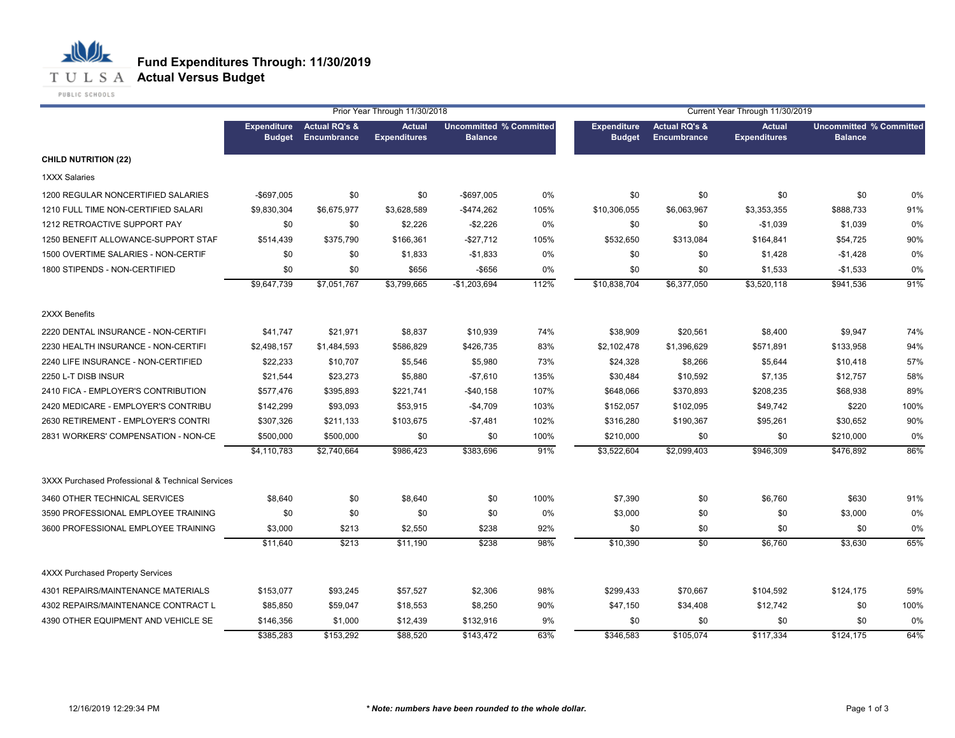

PUBLIC SCHOOLS

|                                                  | Prior Year Through 11/30/2018       |                                                |                                      |                                                  | Current Year Through 11/30/2019 |                                     |                                                |                                      |                                                  |      |
|--------------------------------------------------|-------------------------------------|------------------------------------------------|--------------------------------------|--------------------------------------------------|---------------------------------|-------------------------------------|------------------------------------------------|--------------------------------------|--------------------------------------------------|------|
|                                                  | <b>Expenditure</b><br><b>Budget</b> | <b>Actual RQ's &amp;</b><br><b>Encumbrance</b> | <b>Actual</b><br><b>Expenditures</b> | <b>Uncommitted % Committed</b><br><b>Balance</b> |                                 | <b>Expenditure</b><br><b>Budget</b> | <b>Actual RQ's &amp;</b><br><b>Encumbrance</b> | <b>Actual</b><br><b>Expenditures</b> | <b>Uncommitted % Committed</b><br><b>Balance</b> |      |
| <b>CHILD NUTRITION (22)</b>                      |                                     |                                                |                                      |                                                  |                                 |                                     |                                                |                                      |                                                  |      |
| 1XXX Salaries                                    |                                     |                                                |                                      |                                                  |                                 |                                     |                                                |                                      |                                                  |      |
| 1200 REGULAR NONCERTIFIED SALARIES               | -\$697,005                          | \$0                                            | \$0                                  | -\$697,005                                       | 0%                              | \$0                                 | \$0                                            | \$0                                  | \$0                                              | 0%   |
| 1210 FULL TIME NON-CERTIFIED SALARI              | \$9,830,304                         | \$6,675,977                                    | \$3,628,589                          | $-$ \$474,262                                    | 105%                            | \$10,306,055                        | \$6,063,967                                    | \$3,353,355                          | \$888,733                                        | 91%  |
| 1212 RETROACTIVE SUPPORT PAY                     | \$0                                 | \$0                                            | \$2,226                              | $-$2,226$                                        | 0%                              | \$0                                 | \$0                                            | $-$1,039$                            | \$1,039                                          | 0%   |
| 1250 BENEFIT ALLOWANCE-SUPPORT STAF              | \$514,439                           | \$375,790                                      | \$166,361                            | $-$ \$27,712                                     | 105%                            | \$532,650                           | \$313,084                                      | \$164,841                            | \$54,725                                         | 90%  |
| 1500 OVERTIME SALARIES - NON-CERTIF              | \$0                                 | \$0                                            | \$1,833                              | $-$1,833$                                        | 0%                              | \$0                                 | \$0                                            | \$1,428                              | $-$1,428$                                        | 0%   |
| 1800 STIPENDS - NON-CERTIFIED                    | \$0                                 | \$0                                            | \$656                                | $-$ \$656                                        | 0%                              | \$0                                 | \$0                                            | \$1,533                              | $-$1,533$                                        | 0%   |
|                                                  | \$9,647,739                         | \$7,051,767                                    | \$3,799,665                          | $-$1,203,694$                                    | 112%                            | \$10,838,704                        | \$6,377,050                                    | \$3,520,118                          | \$941,536                                        | 91%  |
| 2XXX Benefits                                    |                                     |                                                |                                      |                                                  |                                 |                                     |                                                |                                      |                                                  |      |
| 2220 DENTAL INSURANCE - NON-CERTIFI              | \$41,747                            | \$21,971                                       | \$8,837                              | \$10,939                                         | 74%                             | \$38,909                            | \$20,561                                       | \$8,400                              | \$9,947                                          | 74%  |
| 2230 HEALTH INSURANCE - NON-CERTIFI              | \$2,498,157                         | \$1,484,593                                    | \$586,829                            | \$426,735                                        | 83%                             | \$2,102,478                         | \$1,396,629                                    | \$571,891                            | \$133,958                                        | 94%  |
| 2240 LIFE INSURANCE - NON-CERTIFIED              | \$22,233                            | \$10,707                                       | \$5,546                              | \$5,980                                          | 73%                             | \$24,328                            | \$8,266                                        | \$5,644                              | \$10,418                                         | 57%  |
| 2250 L-T DISB INSUR                              | \$21,544                            | \$23,273                                       | \$5,880                              | $-$7,610$                                        | 135%                            | \$30,484                            | \$10,592                                       | \$7,135                              | \$12,757                                         | 58%  |
| 2410 FICA - EMPLOYER'S CONTRIBUTION              | \$577,476                           | \$395,893                                      | \$221,741                            | $-$40,158$                                       | 107%                            | \$648,066                           | \$370,893                                      | \$208,235                            | \$68,938                                         | 89%  |
| 2420 MEDICARE - EMPLOYER'S CONTRIBU              | \$142,299                           | \$93,093                                       | \$53,915                             | $-$4,709$                                        | 103%                            | \$152,057                           | \$102,095                                      | \$49,742                             | \$220                                            | 100% |
| 2630 RETIREMENT - EMPLOYER'S CONTRI              | \$307,326                           | \$211,133                                      | \$103,675                            | $-$7,481$                                        | 102%                            | \$316,280                           | \$190,367                                      | \$95,261                             | \$30,652                                         | 90%  |
| 2831 WORKERS' COMPENSATION - NON-CE              | \$500,000                           | \$500,000                                      | \$0                                  | \$0                                              | 100%                            | \$210,000                           | \$0                                            | \$0                                  | \$210,000                                        | 0%   |
|                                                  | \$4,110,783                         | \$2,740,664                                    | \$986,423                            | \$383,696                                        | 91%                             | \$3,522,604                         | \$2,099,403                                    | \$946,309                            | \$476,892                                        | 86%  |
| 3XXX Purchased Professional & Technical Services |                                     |                                                |                                      |                                                  |                                 |                                     |                                                |                                      |                                                  |      |
| 3460 OTHER TECHNICAL SERVICES                    | \$8,640                             | \$0                                            | \$8,640                              | \$0                                              | 100%                            | \$7,390                             | \$0                                            | \$6,760                              | \$630                                            | 91%  |
| 3590 PROFESSIONAL EMPLOYEE TRAINING              | \$0                                 | \$0                                            | \$0                                  | \$0                                              | 0%                              | \$3,000                             | \$0                                            | \$0                                  | \$3,000                                          | 0%   |
| 3600 PROFESSIONAL EMPLOYEE TRAINING              | \$3,000                             | \$213                                          | \$2,550                              | \$238                                            | 92%                             | \$0                                 | \$0                                            | \$0                                  | \$0                                              | 0%   |
|                                                  | \$11,640                            | \$213                                          | \$11,190                             | \$238                                            | 98%                             | \$10,390                            | \$0                                            | \$6,760                              | \$3,630                                          | 65%  |
| <b>4XXX Purchased Property Services</b>          |                                     |                                                |                                      |                                                  |                                 |                                     |                                                |                                      |                                                  |      |
| 4301 REPAIRS/MAINTENANCE MATERIALS               | \$153,077                           | \$93,245                                       | \$57,527                             | \$2,306                                          | 98%                             | \$299,433                           | \$70,667                                       | \$104,592                            | \$124,175                                        | 59%  |
| 4302 REPAIRS/MAINTENANCE CONTRACT L              | \$85,850                            | \$59,047                                       | \$18,553                             | \$8,250                                          | 90%                             | \$47,150                            | \$34,408                                       | \$12,742                             | \$0                                              | 100% |
| 4390 OTHER EQUIPMENT AND VEHICLE SE              | \$146,356                           | \$1,000                                        | \$12,439                             | \$132,916                                        | 9%                              | \$0                                 | \$0                                            | \$0                                  | \$0                                              | 0%   |
|                                                  | \$385,283                           | \$153,292                                      | \$88,520                             | \$143,472                                        | 63%                             | \$346,583                           | \$105,074                                      | \$117,334                            | \$124,175                                        | 64%  |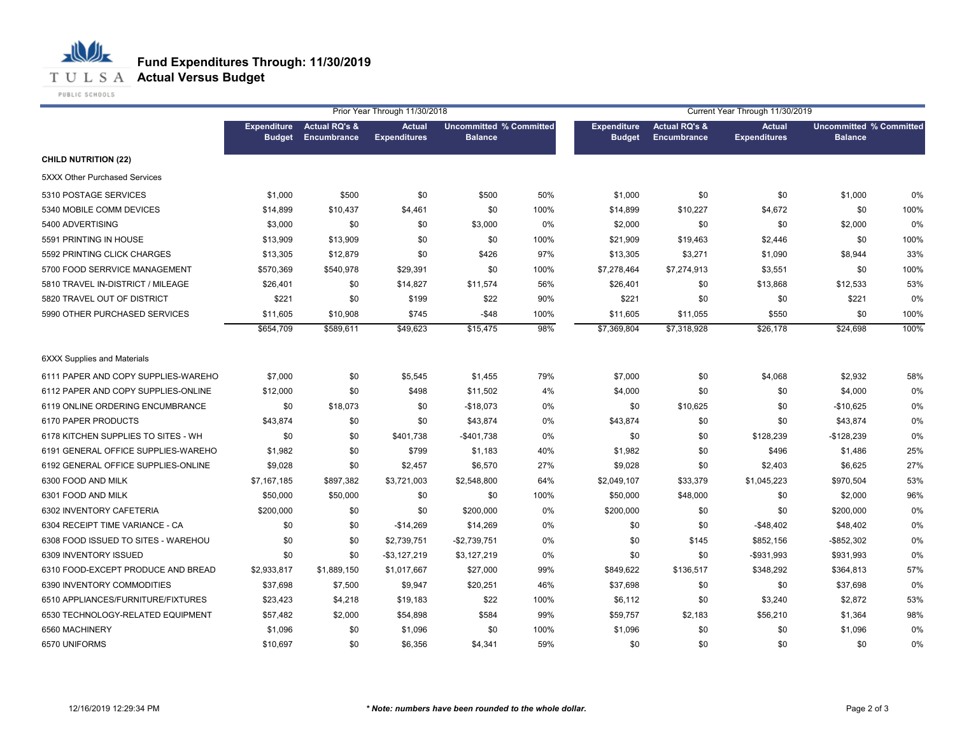

PUBLIC SCHOOLS

|                                     | Prior Year Through 11/30/2018       |                                         |                                      |                                                  | Current Year Through 11/30/2019 |                                     |                                         |                                      |                                                  |      |
|-------------------------------------|-------------------------------------|-----------------------------------------|--------------------------------------|--------------------------------------------------|---------------------------------|-------------------------------------|-----------------------------------------|--------------------------------------|--------------------------------------------------|------|
|                                     | <b>Expenditure</b><br><b>Budget</b> | <b>Actual RQ's &amp;</b><br>Encumbrance | <b>Actual</b><br><b>Expenditures</b> | <b>Uncommitted % Committed</b><br><b>Balance</b> |                                 | <b>Expenditure</b><br><b>Budget</b> | <b>Actual RQ's &amp;</b><br>Encumbrance | <b>Actual</b><br><b>Expenditures</b> | <b>Uncommitted % Committed</b><br><b>Balance</b> |      |
| <b>CHILD NUTRITION (22)</b>         |                                     |                                         |                                      |                                                  |                                 |                                     |                                         |                                      |                                                  |      |
| 5XXX Other Purchased Services       |                                     |                                         |                                      |                                                  |                                 |                                     |                                         |                                      |                                                  |      |
| 5310 POSTAGE SERVICES               | \$1,000                             | \$500                                   | \$0                                  | \$500                                            | 50%                             | \$1,000                             | \$0                                     | \$0                                  | \$1,000                                          | 0%   |
| 5340 MOBILE COMM DEVICES            | \$14,899                            | \$10,437                                | \$4,461                              | \$0                                              | 100%                            | \$14,899                            | \$10,227                                | \$4,672                              | \$0                                              | 100% |
| 5400 ADVERTISING                    | \$3,000                             | \$0                                     | \$0                                  | \$3,000                                          | 0%                              | \$2,000                             | \$0                                     | \$0                                  | \$2,000                                          | 0%   |
| 5591 PRINTING IN HOUSE              | \$13,909                            | \$13,909                                | \$0                                  | \$0                                              | 100%                            | \$21,909                            | \$19,463                                | \$2,446                              | \$0                                              | 100% |
| 5592 PRINTING CLICK CHARGES         | \$13,305                            | \$12,879                                | \$0                                  | \$426                                            | 97%                             | \$13,305                            | \$3,271                                 | \$1,090                              | \$8,944                                          | 33%  |
| 5700 FOOD SERRVICE MANAGEMENT       | \$570,369                           | \$540,978                               | \$29,391                             | \$0                                              | 100%                            | \$7,278,464                         | \$7,274,913                             | \$3,551                              | \$0                                              | 100% |
| 5810 TRAVEL IN-DISTRICT / MILEAGE   | \$26,401                            | \$0                                     | \$14,827                             | \$11,574                                         | 56%                             | \$26,401                            | \$0                                     | \$13,868                             | \$12,533                                         | 53%  |
| 5820 TRAVEL OUT OF DISTRICT         | \$221                               | \$0                                     | \$199                                | \$22                                             | 90%                             | \$221                               | \$0                                     | \$0                                  | \$221                                            | 0%   |
| 5990 OTHER PURCHASED SERVICES       | \$11,605                            | \$10,908                                | \$745                                | $-$ \$48                                         | 100%                            | \$11,605                            | \$11,055                                | \$550                                | \$0                                              | 100% |
|                                     | \$654,709                           | \$589,611                               | \$49,623                             | \$15,475                                         | 98%                             | \$7,369,804                         | \$7,318,928                             | \$26,178                             | \$24,698                                         | 100% |
| <b>6XXX Supplies and Materials</b>  |                                     |                                         |                                      |                                                  |                                 |                                     |                                         |                                      |                                                  |      |
| 6111 PAPER AND COPY SUPPLIES-WAREHO | \$7,000                             | \$0                                     | \$5,545                              | \$1,455                                          | 79%                             | \$7,000                             | \$0                                     | \$4,068                              | \$2,932                                          | 58%  |
| 6112 PAPER AND COPY SUPPLIES-ONLINE | \$12,000                            | \$0                                     | \$498                                | \$11,502                                         | 4%                              | \$4,000                             | \$0                                     | \$0                                  | \$4,000                                          | 0%   |
| 6119 ONLINE ORDERING ENCUMBRANCE    | \$0                                 | \$18,073                                | \$0                                  | $-$18,073$                                       | 0%                              | \$0                                 | \$10,625                                | \$0                                  | $-$10,625$                                       | 0%   |
| 6170 PAPER PRODUCTS                 | \$43,874                            | \$0                                     | \$0                                  | \$43,874                                         | 0%                              | \$43,874                            | \$0                                     | \$0                                  | \$43,874                                         | 0%   |
| 6178 KITCHEN SUPPLIES TO SITES - WH | \$0                                 | \$0                                     | \$401,738                            | $-$401,738$                                      | 0%                              | \$0                                 | \$0                                     | \$128,239                            | $-$128,239$                                      | 0%   |
| 6191 GENERAL OFFICE SUPPLIES-WAREHO | \$1,982                             | \$0                                     | \$799                                | \$1,183                                          | 40%                             | \$1,982                             | \$0                                     | \$496                                | \$1,486                                          | 25%  |
| 6192 GENERAL OFFICE SUPPLIES-ONLINE | \$9,028                             | \$0                                     | \$2,457                              | \$6,570                                          | 27%                             | \$9,028                             | \$0                                     | \$2,403                              | \$6,625                                          | 27%  |
| 6300 FOOD AND MILK                  | \$7,167,185                         | \$897,382                               | \$3,721,003                          | \$2,548,800                                      | 64%                             | \$2,049,107                         | \$33,379                                | \$1,045,223                          | \$970,504                                        | 53%  |
| 6301 FOOD AND MILK                  | \$50,000                            | \$50,000                                | \$0                                  | \$0                                              | 100%                            | \$50,000                            | \$48,000                                | \$0                                  | \$2,000                                          | 96%  |
| 6302 INVENTORY CAFETERIA            | \$200,000                           | \$0                                     | \$0                                  | \$200,000                                        | 0%                              | \$200,000                           | \$0                                     | \$0                                  | \$200,000                                        | 0%   |
| 6304 RECEIPT TIME VARIANCE - CA     | \$0                                 | \$0                                     | $-$14,269$                           | \$14,269                                         | 0%                              | \$0                                 | \$0                                     | $-$48,402$                           | \$48,402                                         | 0%   |
| 6308 FOOD ISSUED TO SITES - WAREHOU | \$0                                 | \$0                                     | \$2,739,751                          | $-$2,739,751$                                    | 0%                              | \$0                                 | \$145                                   | \$852,156                            | $-$ \$852,302                                    | 0%   |
| 6309 INVENTORY ISSUED               | \$0                                 | \$0                                     | $-$ \$3,127,219                      | \$3,127,219                                      | 0%                              | \$0                                 | \$0                                     | -\$931,993                           | \$931,993                                        | 0%   |
| 6310 FOOD-EXCEPT PRODUCE AND BREAD  | \$2,933,817                         | \$1,889,150                             | \$1,017,667                          | \$27,000                                         | 99%                             | \$849,622                           | \$136,517                               | \$348,292                            | \$364,813                                        | 57%  |
| 6390 INVENTORY COMMODITIES          | \$37,698                            | \$7,500                                 | \$9,947                              | \$20,251                                         | 46%                             | \$37,698                            | \$0                                     | \$0                                  | \$37,698                                         | 0%   |
| 6510 APPLIANCES/FURNITURE/FIXTURES  | \$23,423                            | \$4,218                                 | \$19,183                             | \$22                                             | 100%                            | \$6,112                             | \$0                                     | \$3,240                              | \$2,872                                          | 53%  |
| 6530 TECHNOLOGY-RELATED EQUIPMENT   | \$57,482                            | \$2,000                                 | \$54,898                             | \$584                                            | 99%                             | \$59,757                            | \$2,183                                 | \$56,210                             | \$1,364                                          | 98%  |
| 6560 MACHINERY                      | \$1,096                             | \$0                                     | \$1,096                              | \$0                                              | 100%                            | \$1,096                             | \$0                                     | \$0                                  | \$1,096                                          | 0%   |
| 6570 UNIFORMS                       | \$10,697                            | \$0                                     | \$6,356                              | \$4,341                                          | 59%                             | \$0                                 | \$0                                     | \$0                                  | \$0                                              | 0%   |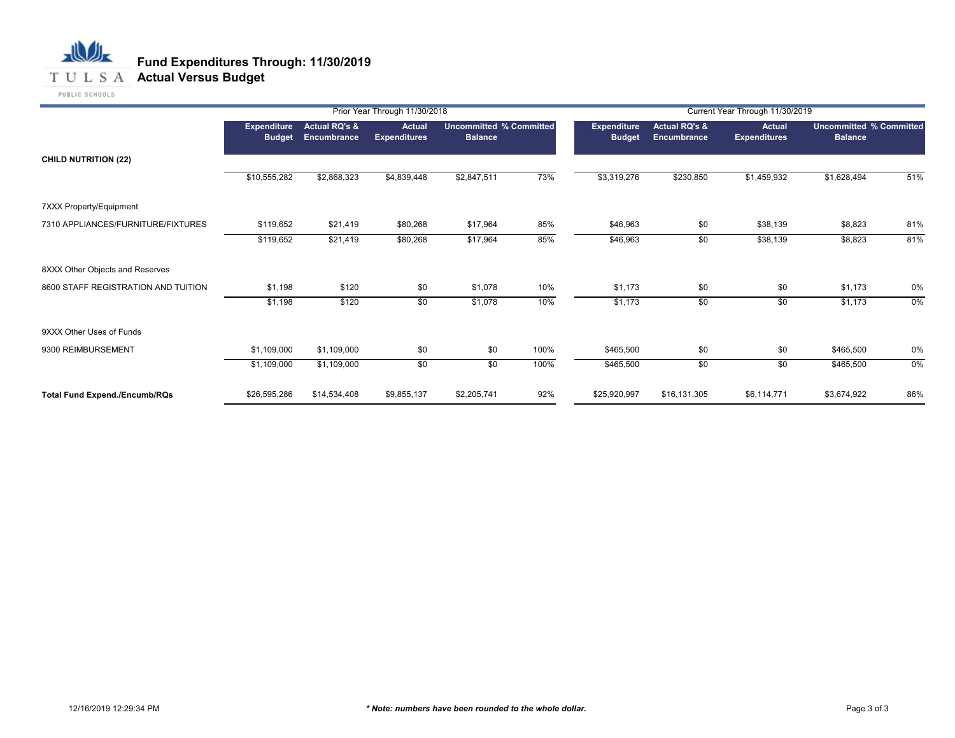## 心儿 **Fund Expenditures Through: 11/30/2019 T U L S A Actual Versus Budget**

|                                      |                              | Prior Year Through 11/30/2018           |                                      |                                                  |      |                              | Current Year Through 11/30/2019                |                                      |                                                  |     |  |  |
|--------------------------------------|------------------------------|-----------------------------------------|--------------------------------------|--------------------------------------------------|------|------------------------------|------------------------------------------------|--------------------------------------|--------------------------------------------------|-----|--|--|
|                                      | Expenditure<br><b>Budget</b> | <b>Actual RQ's &amp;</b><br>Encumbrance | <b>Actual</b><br><b>Expenditures</b> | <b>Uncommitted % Committed</b><br><b>Balance</b> |      | Expenditure<br><b>Budget</b> | <b>Actual RQ's &amp;</b><br><b>Encumbrance</b> | <b>Actual</b><br><b>Expenditures</b> | <b>Uncommitted % Committed</b><br><b>Balance</b> |     |  |  |
| <b>CHILD NUTRITION (22)</b>          |                              |                                         |                                      |                                                  |      |                              |                                                |                                      |                                                  |     |  |  |
|                                      | \$10,555,282                 | \$2,868,323                             | \$4,839,448                          | \$2,847,511                                      | 73%  | \$3,319,276                  | \$230,850                                      | \$1,459,932                          | \$1,628,494                                      | 51% |  |  |
| 7XXX Property/Equipment              |                              |                                         |                                      |                                                  |      |                              |                                                |                                      |                                                  |     |  |  |
| 7310 APPLIANCES/FURNITURE/FIXTURES   | \$119,652                    | \$21,419                                | \$80,268                             | \$17,964                                         | 85%  | \$46,963                     | \$0                                            | \$38,139                             | \$8,823                                          | 81% |  |  |
|                                      | \$119,652                    | \$21,419                                | \$80,268                             | \$17,964                                         | 85%  | \$46,963                     | \$0                                            | \$38,139                             | \$8,823                                          | 81% |  |  |
| 8XXX Other Objects and Reserves      |                              |                                         |                                      |                                                  |      |                              |                                                |                                      |                                                  |     |  |  |
| 8600 STAFF REGISTRATION AND TUITION  | \$1,198                      | \$120                                   | \$0                                  | \$1,078                                          | 10%  | \$1,173                      | \$0                                            | \$0                                  | \$1,173                                          | 0%  |  |  |
|                                      | \$1,198                      | \$120                                   | \$0                                  | \$1,078                                          | 10%  | \$1,173                      | \$0                                            | \$0                                  | \$1,173                                          | 0%  |  |  |
| 9XXX Other Uses of Funds             |                              |                                         |                                      |                                                  |      |                              |                                                |                                      |                                                  |     |  |  |
| 9300 REIMBURSEMENT                   | \$1,109,000                  | \$1,109,000                             | \$0                                  | \$0                                              | 100% | \$465,500                    | \$0                                            | \$0                                  | \$465,500                                        | 0%  |  |  |
|                                      | \$1,109,000                  | \$1,109,000                             | \$0                                  | \$0                                              | 100% | \$465,500                    | \$0                                            | \$0                                  | \$465,500                                        | 0%  |  |  |
| <b>Total Fund Expend./Encumb/RQs</b> | \$26,595,286                 | \$14,534,408                            | \$9,855,137                          | \$2,205,741                                      | 92%  | \$25,920,997                 | \$16,131,305                                   | \$6,114,771                          | \$3,674,922                                      | 86% |  |  |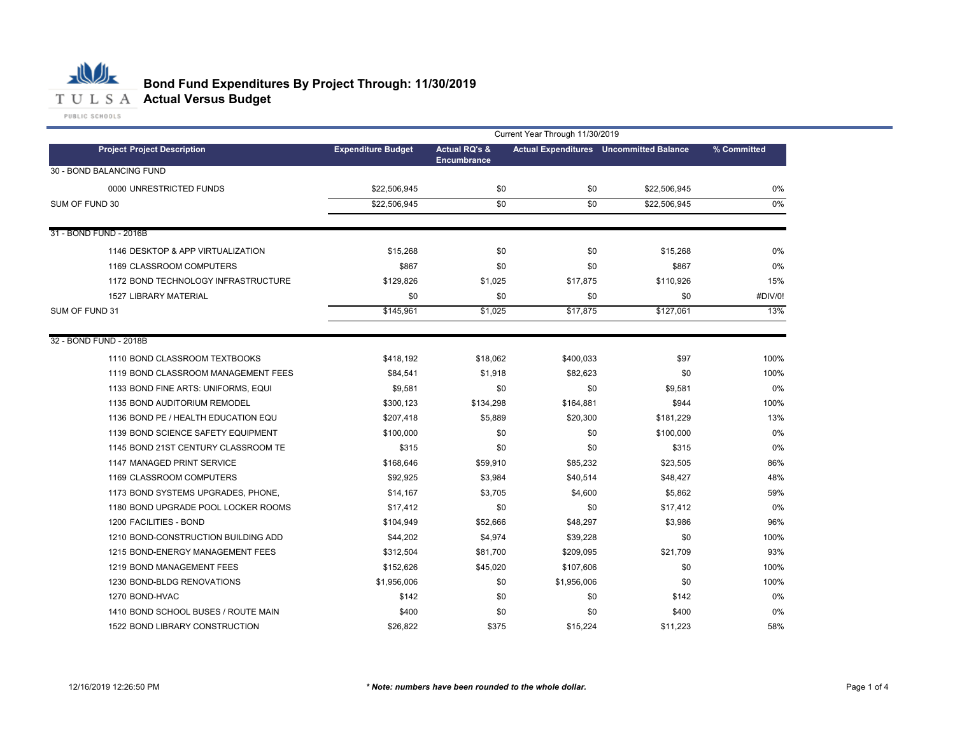

# **Bond Fund Expenditures By Project Through: 11/30/2019**

**Project Expenditure Budget Actual RQ's & Encumbrance Actual Expenditures Uncommitted Balance Project Description % Committed** 0000 UNRESTRICTED FUNDS \$22,506,945 \$0 \$22,506,945 0% \$22,506,945 \$0 \$0 \$22,506,945 1146 \$15,268 \$0 \$0 \$15,268 DESKTOP & APP VIRTUALIZATION 0% 1169 CLASSROOM COMPUTERS \$867 \$0 \$867 0% 1172 BOND TECHNOLOGY INFRASTRUCTURE \$129,826 \$1,025 \$17,875 \$110,926 15% 1527 \$0 \$0 \$0 \$0 \$145,961 \$1,025 \$17,875 \$127,061 1110 BOND CLASSROOM TEXTBOOKS \$418,192 \$18,062 \$400,033 \$97 100% 1119 BOND CLASSROOM MANAGEMENT FEES \$84,541 \$1,918 \$82,623 \$0 \$0 \$100% 1133 \$9,581 \$0 \$0 \$9,581 BOND FINE ARTS: UNIFORMS, EQUI 0% 1135 \$300,123 \$134,298 \$164,881 \$944 BOND AUDITORIUM REMODEL 100% 1136 \$207,418 \$5,889 \$20,300 \$181,229 BOND PE / HEALTH EDUCATION EQU 13% 1139 BOND SCIENCE SAFETY EQUIPMENT \$100,000 \$0 \$0 \$100,000 0% 1145 BOND 21ST CENTURY CLASSROOM TE \$315 \$0 \$30 0% 1147 MANAGED PRINT SERVICE \$168,646 \$59,910 \$85,232 \$23,505 86% 1169 CLASSROOM COMPUTERS \$92,925 \$3,984 \$40,514 \$48,427 48% 1173 BOND SYSTEMS UPGRADES, PHONE, \$14,167 \$3,705 \$4,600 \$5,862 59% 1180 BOND UPGRADE POOL LOCKER ROOMS \$17,412 \$0 \$17,412 0% 1200 FACILITIES - BOND \$104,949 \$104,949 \$52,666 \$48,297 \$3,986 1210 BOND-CONSTRUCTION BUILDING ADD \$44,202 \$4,974 \$39,228 \$0 \$0 \$100% 1215 BOND-ENERGY MANAGEMENT FEES \$312,504 \$81,700 \$209,095 \$21,709 93% 1219 BOND MANAGEMENT FEES \$152,626 \$45,020 \$107,606 \$0 100% 1230 \$1,956,006 \$0 \$1,956,006 \$0 BOND-BLDG RENOVATIONS 100% 1270 \$142 \$0 \$0 \$142 1410 \$400 \$0 \$0 \$400 BOND SCHOOL BUSES / ROUTE MAIN 0%1522 \$26,822 \$375 \$15,224 \$11,223 BOND LIBRARY CONSTRUCTION 58% 30 - BOND BALANCING FUND SUM OF FUND 30 \$22,506,945 \$0 \$22,506,945 0% Current Year Through 11/30/2019 LIBRARY MATERIAL #DIV/0! 31 - BOND FUND - 2016B SUM OF FUND 31 \$145,961 \$1,025 \$17,875 \$127,061 13% 32 - BOND FUND - 2018B FACILITIES - BOND 96% BOND-HVAC 0%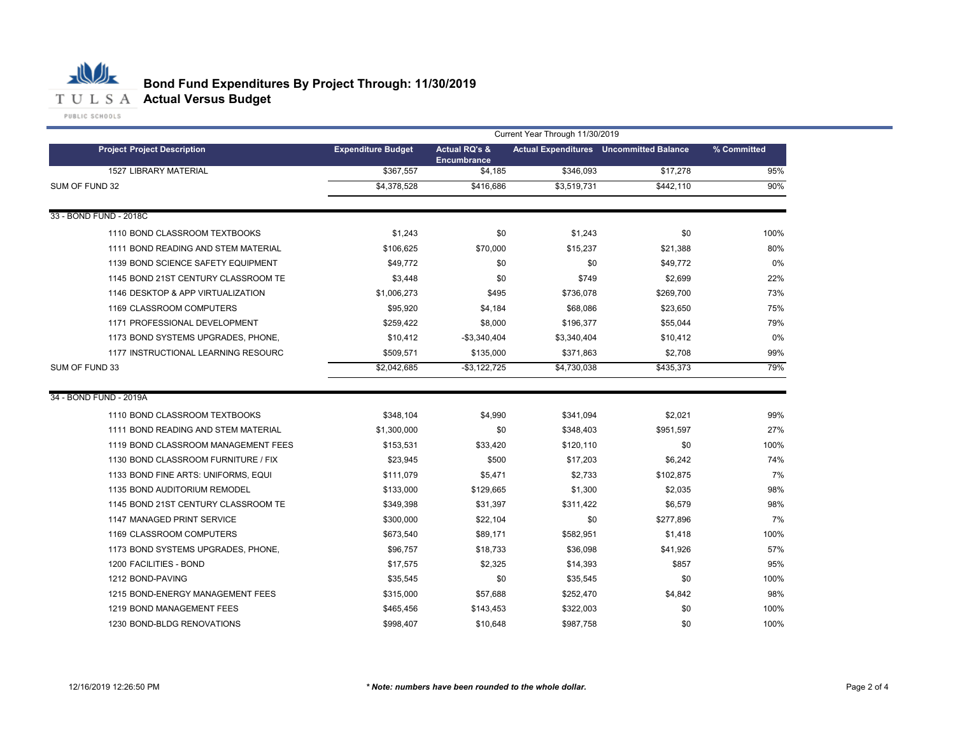

|                                     | Current Year Through 11/30/2019 |                                                |             |                                                |             |  |  |  |  |  |
|-------------------------------------|---------------------------------|------------------------------------------------|-------------|------------------------------------------------|-------------|--|--|--|--|--|
| <b>Project Project Description</b>  | <b>Expenditure Budget</b>       | <b>Actual RQ's &amp;</b><br><b>Encumbrance</b> |             | <b>Actual Expenditures</b> Uncommitted Balance | % Committed |  |  |  |  |  |
| <b>1527 LIBRARY MATERIAL</b>        | \$367,557                       | \$4,185                                        | \$346,093   | \$17,278                                       | 95%         |  |  |  |  |  |
| SUM OF FUND 32                      | \$4,378,528                     | \$416,686                                      | \$3,519,731 | \$442.110                                      | 90%         |  |  |  |  |  |
| 33 - BOND FUND - 2018C              |                                 |                                                |             |                                                |             |  |  |  |  |  |
| 1110 BOND CLASSROOM TEXTBOOKS       | \$1,243                         | \$0                                            | \$1,243     | \$0                                            | 100%        |  |  |  |  |  |
| 1111 BOND READING AND STEM MATERIAL | \$106,625                       | \$70,000                                       | \$15,237    | \$21,388                                       | 80%         |  |  |  |  |  |
| 1139 BOND SCIENCE SAFETY EQUIPMENT  | \$49,772                        | \$0                                            | \$0         | \$49,772                                       | 0%          |  |  |  |  |  |
| 1145 BOND 21ST CENTURY CLASSROOM TE | \$3,448                         | \$0                                            | \$749       | \$2,699                                        | 22%         |  |  |  |  |  |
| 1146 DESKTOP & APP VIRTUALIZATION   | \$1,006,273                     | \$495                                          | \$736,078   | \$269,700                                      | 73%         |  |  |  |  |  |
| 1169 CLASSROOM COMPUTERS            | \$95,920                        | \$4,184                                        | \$68,086    | \$23,650                                       | 75%         |  |  |  |  |  |
| 1171 PROFESSIONAL DEVELOPMENT       | \$259,422                       | \$8,000                                        | \$196,377   | \$55,044                                       | 79%         |  |  |  |  |  |
| 1173 BOND SYSTEMS UPGRADES, PHONE,  | \$10,412                        | $-$3,340,404$                                  | \$3,340,404 | \$10,412                                       | 0%          |  |  |  |  |  |
| 1177 INSTRUCTIONAL LEARNING RESOURC | \$509,571                       | \$135,000                                      | \$371,863   | \$2,708                                        | 99%         |  |  |  |  |  |
| SUM OF FUND 33                      | \$2,042,685                     | $-$ \$3,122,725                                | \$4,730,038 | \$435.373                                      | 79%         |  |  |  |  |  |
| 34 - BOND FUND - 2019A              |                                 |                                                |             |                                                |             |  |  |  |  |  |
| 1110 BOND CLASSROOM TEXTBOOKS       | \$348,104                       | \$4,990                                        | \$341,094   | \$2,021                                        | 99%         |  |  |  |  |  |
| 1111 BOND READING AND STEM MATERIAL | \$1,300,000                     | \$0                                            | \$348,403   | \$951,597                                      | 27%         |  |  |  |  |  |
| 1119 BOND CLASSROOM MANAGEMENT FEES | \$153,531                       | \$33,420                                       | \$120,110   | \$0                                            | 100%        |  |  |  |  |  |
| 1130 BOND CLASSROOM FURNITURE / FIX | \$23,945                        | \$500                                          | \$17,203    | \$6,242                                        | 74%         |  |  |  |  |  |
| 1133 BOND FINE ARTS: UNIFORMS, EQUI | \$111,079                       | \$5,471                                        | \$2,733     | \$102,875                                      | 7%          |  |  |  |  |  |
| 1135 BOND AUDITORIUM REMODEL        | \$133,000                       | \$129,665                                      | \$1,300     | \$2,035                                        | 98%         |  |  |  |  |  |
| 1145 BOND 21ST CENTURY CLASSROOM TE | \$349,398                       | \$31,397                                       | \$311,422   | \$6,579                                        | 98%         |  |  |  |  |  |
| 1147 MANAGED PRINT SERVICE          | \$300,000                       | \$22,104                                       | \$0         | \$277,896                                      | 7%          |  |  |  |  |  |
| 1169 CLASSROOM COMPUTERS            | \$673,540                       | \$89,171                                       | \$582,951   | \$1,418                                        | 100%        |  |  |  |  |  |
| 1173 BOND SYSTEMS UPGRADES, PHONE,  | \$96,757                        | \$18,733                                       | \$36,098    | \$41,926                                       | 57%         |  |  |  |  |  |
| 1200 FACILITIES - BOND              | \$17,575                        | \$2,325                                        | \$14,393    | \$857                                          | 95%         |  |  |  |  |  |
| 1212 BOND-PAVING                    | \$35,545                        | \$0                                            | \$35,545    | \$0                                            | 100%        |  |  |  |  |  |
| 1215 BOND-ENERGY MANAGEMENT FEES    | \$315,000                       | \$57,688                                       | \$252,470   | \$4,842                                        | 98%         |  |  |  |  |  |
| 1219 BOND MANAGEMENT FEES           | \$465,456                       | \$143,453                                      | \$322,003   | \$0                                            | 100%        |  |  |  |  |  |
| 1230 BOND-BLDG RENOVATIONS          | \$998,407                       | \$10,648                                       | \$987,758   | \$0                                            | 100%        |  |  |  |  |  |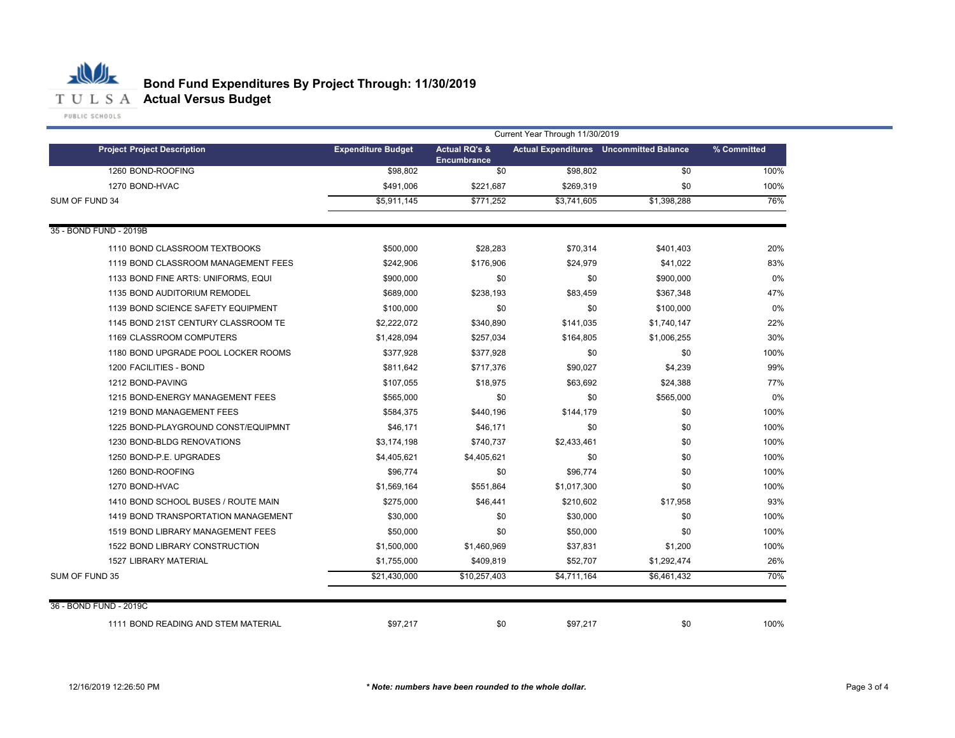## 心儿 **Bond Fund Expenditures By Project Through: 11/30/2019** T U L S A **Actual Versus Budget**

|                                     | Current Year Through 11/30/2019 |                                                |             |                                                |             |  |  |  |  |  |
|-------------------------------------|---------------------------------|------------------------------------------------|-------------|------------------------------------------------|-------------|--|--|--|--|--|
| <b>Project Project Description</b>  | <b>Expenditure Budget</b>       | <b>Actual RQ's &amp;</b><br><b>Encumbrance</b> |             | <b>Actual Expenditures</b> Uncommitted Balance | % Committed |  |  |  |  |  |
| 1260 BOND-ROOFING                   | \$98,802                        | \$0                                            | \$98,802    | \$0                                            | 100%        |  |  |  |  |  |
| 1270 BOND-HVAC                      | \$491,006                       | \$221,687                                      | \$269,319   | \$0                                            | 100%        |  |  |  |  |  |
| SUM OF FUND 34                      | \$5,911,145                     | \$771,252                                      | \$3,741,605 | \$1,398,288                                    | 76%         |  |  |  |  |  |
| 35 - BOND FUND - 2019B              |                                 |                                                |             |                                                |             |  |  |  |  |  |
| 1110 BOND CLASSROOM TEXTBOOKS       | \$500,000                       | \$28,283                                       | \$70,314    | \$401,403                                      | 20%         |  |  |  |  |  |
| 1119 BOND CLASSROOM MANAGEMENT FEES | \$242,906                       | \$176,906                                      | \$24,979    | \$41,022                                       | 83%         |  |  |  |  |  |
| 1133 BOND FINE ARTS: UNIFORMS, EQUI | \$900,000                       | \$0                                            | \$0         | \$900,000                                      | 0%          |  |  |  |  |  |
| 1135 BOND AUDITORIUM REMODEL        | \$689,000                       | \$238,193                                      | \$83,459    | \$367,348                                      | 47%         |  |  |  |  |  |
| 1139 BOND SCIENCE SAFETY EQUIPMENT  | \$100,000                       | \$0                                            | \$0         | \$100,000                                      | 0%          |  |  |  |  |  |
| 1145 BOND 21ST CENTURY CLASSROOM TE | \$2,222,072                     | \$340,890                                      | \$141,035   | \$1,740,147                                    | 22%         |  |  |  |  |  |
| 1169 CLASSROOM COMPUTERS            | \$1,428,094                     | \$257,034                                      | \$164,805   | \$1,006,255                                    | 30%         |  |  |  |  |  |
| 1180 BOND UPGRADE POOL LOCKER ROOMS | \$377,928                       | \$377,928                                      | \$0         | \$0                                            | 100%        |  |  |  |  |  |
| 1200 FACILITIES - BOND              | \$811,642                       | \$717,376                                      | \$90,027    | \$4,239                                        | 99%         |  |  |  |  |  |
| 1212 BOND-PAVING                    | \$107,055                       | \$18,975                                       | \$63,692    | \$24,388                                       | 77%         |  |  |  |  |  |
| 1215 BOND-ENERGY MANAGEMENT FEES    | \$565,000                       | \$0                                            | \$0         | \$565,000                                      | 0%          |  |  |  |  |  |
| 1219 BOND MANAGEMENT FEES           | \$584,375                       | \$440,196                                      | \$144,179   | \$0                                            | 100%        |  |  |  |  |  |
| 1225 BOND-PLAYGROUND CONST/EQUIPMNT | \$46,171                        | \$46,171                                       | \$0         | \$0                                            | 100%        |  |  |  |  |  |
| 1230 BOND-BLDG RENOVATIONS          | \$3,174,198                     | \$740,737                                      | \$2,433,461 | \$0                                            | 100%        |  |  |  |  |  |
| 1250 BOND-P.E. UPGRADES             | \$4,405,621                     | \$4,405,621                                    | \$0         | \$0                                            | 100%        |  |  |  |  |  |
| 1260 BOND-ROOFING                   | \$96,774                        | \$0                                            | \$96,774    | \$0                                            | 100%        |  |  |  |  |  |
| 1270 BOND-HVAC                      | \$1,569,164                     | \$551,864                                      | \$1,017,300 | \$0                                            | 100%        |  |  |  |  |  |
| 1410 BOND SCHOOL BUSES / ROUTE MAIN | \$275,000                       | \$46,441                                       | \$210,602   | \$17,958                                       | 93%         |  |  |  |  |  |
| 1419 BOND TRANSPORTATION MANAGEMENT | \$30,000                        | \$0                                            | \$30,000    | \$0                                            | 100%        |  |  |  |  |  |
| 1519 BOND LIBRARY MANAGEMENT FEES   | \$50,000                        | \$0                                            | \$50,000    | \$0                                            | 100%        |  |  |  |  |  |
| 1522 BOND LIBRARY CONSTRUCTION      | \$1,500,000                     | \$1,460,969                                    | \$37,831    | \$1,200                                        | 100%        |  |  |  |  |  |
| <b>1527 LIBRARY MATERIAL</b>        | \$1,755,000                     | \$409,819                                      | \$52,707    | \$1,292,474                                    | 26%         |  |  |  |  |  |
| SUM OF FUND 35                      | \$21,430,000                    | \$10,257,403                                   | \$4,711,164 | \$6,461,432                                    | 70%         |  |  |  |  |  |
| 36 - BOND FUND - 2019C              |                                 |                                                |             |                                                |             |  |  |  |  |  |
| 1111 BOND READING AND STEM MATERIAL | \$97,217                        | \$0                                            | \$97,217    | \$0                                            | 100%        |  |  |  |  |  |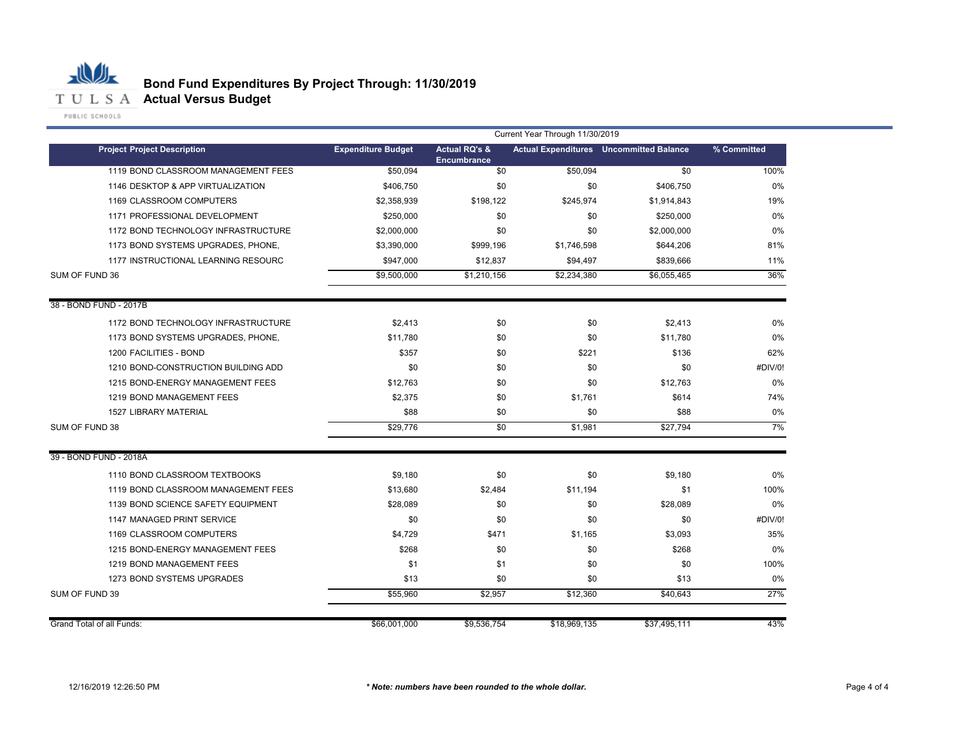

|                                     | Current Year Through 11/30/2019 |                                                |              |                                                |             |  |  |
|-------------------------------------|---------------------------------|------------------------------------------------|--------------|------------------------------------------------|-------------|--|--|
| <b>Project Project Description</b>  | <b>Expenditure Budget</b>       | <b>Actual RQ's &amp;</b><br><b>Encumbrance</b> |              | <b>Actual Expenditures</b> Uncommitted Balance | % Committed |  |  |
| 1119 BOND CLASSROOM MANAGEMENT FEES | \$50.094                        | $\overline{50}$                                | \$50,094     | \$0                                            | 100%        |  |  |
| 1146 DESKTOP & APP VIRTUALIZATION   | \$406.750                       | \$0                                            | \$0          | \$406,750                                      | $0\%$       |  |  |
| 1169 CLASSROOM COMPUTERS            | \$2,358,939                     | \$198,122                                      | \$245,974    | \$1,914,843                                    | 19%         |  |  |
| 1171 PROFESSIONAL DEVELOPMENT       | \$250,000                       | \$0                                            | \$0          | \$250,000                                      | $0\%$       |  |  |
| 1172 BOND TECHNOLOGY INFRASTRUCTURE | \$2,000,000                     | \$0                                            | \$0          | \$2,000,000                                    | 0%          |  |  |
| 1173 BOND SYSTEMS UPGRADES, PHONE,  | \$3,390,000                     | \$999,196                                      | \$1,746,598  | \$644,206                                      | 81%         |  |  |
| 1177 INSTRUCTIONAL LEARNING RESOURC | \$947,000                       | \$12,837                                       | \$94,497     | \$839,666                                      | 11%         |  |  |
| SUM OF FUND 36                      | \$9,500,000                     | \$1,210,156                                    | \$2,234,380  | \$6,055,465                                    | 36%         |  |  |
| 38 - BOND FUND - 2017B              |                                 |                                                |              |                                                |             |  |  |
| 1172 BOND TECHNOLOGY INFRASTRUCTURE | \$2,413                         | \$0                                            | \$0          | \$2,413                                        | 0%          |  |  |
| 1173 BOND SYSTEMS UPGRADES, PHONE,  | \$11,780                        | \$0                                            | \$0          | \$11,780                                       | 0%          |  |  |
| 1200 FACILITIES - BOND              | \$357                           | \$0                                            | \$221        | \$136                                          | 62%         |  |  |
| 1210 BOND-CONSTRUCTION BUILDING ADD | \$0                             | \$0                                            | \$0          | \$0                                            | #DIV/0!     |  |  |
| 1215 BOND-ENERGY MANAGEMENT FEES    | \$12,763                        | \$0                                            | \$0          | \$12,763                                       | 0%          |  |  |
| 1219 BOND MANAGEMENT FEES           | \$2,375                         | \$0                                            | \$1,761      | \$614                                          | 74%         |  |  |
| <b>1527 LIBRARY MATERIAL</b>        | \$88                            | \$0                                            | \$0          | \$88                                           | 0%          |  |  |
| SUM OF FUND 38                      | \$29,776                        | $\overline{50}$                                | \$1,981      | \$27,794                                       | 7%          |  |  |
| 39 - BOND FUND - 2018A              |                                 |                                                |              |                                                |             |  |  |
| 1110 BOND CLASSROOM TEXTBOOKS       | \$9,180                         | \$0                                            | \$0          | \$9,180                                        | $0\%$       |  |  |
| 1119 BOND CLASSROOM MANAGEMENT FEES | \$13,680                        | \$2,484                                        | \$11,194     | \$1                                            | 100%        |  |  |
| 1139 BOND SCIENCE SAFETY EQUIPMENT  | \$28,089                        | \$0                                            | \$0          | \$28,089                                       | $0\%$       |  |  |
| 1147 MANAGED PRINT SERVICE          | \$0                             | \$0                                            | \$0          | \$0                                            | #DIV/0!     |  |  |
| 1169 CLASSROOM COMPUTERS            | \$4,729                         | \$471                                          | \$1,165      | \$3,093                                        | 35%         |  |  |
| 1215 BOND-ENERGY MANAGEMENT FEES    | \$268                           | \$0                                            | \$0          | \$268                                          | $0\%$       |  |  |
| 1219 BOND MANAGEMENT FEES           | \$1                             | \$1                                            | \$0          | \$0                                            | 100%        |  |  |
| 1273 BOND SYSTEMS UPGRADES          | \$13                            | \$0                                            | \$0          | \$13                                           | 0%          |  |  |
| SUM OF FUND 39                      | \$55,960                        | \$2,957                                        | \$12,360     | \$40,643                                       | 27%         |  |  |
| <b>Grand Total of all Funds:</b>    | \$66,001,000                    | \$9,536,754                                    | \$18,969,135 | \$37,495,111                                   | 43%         |  |  |